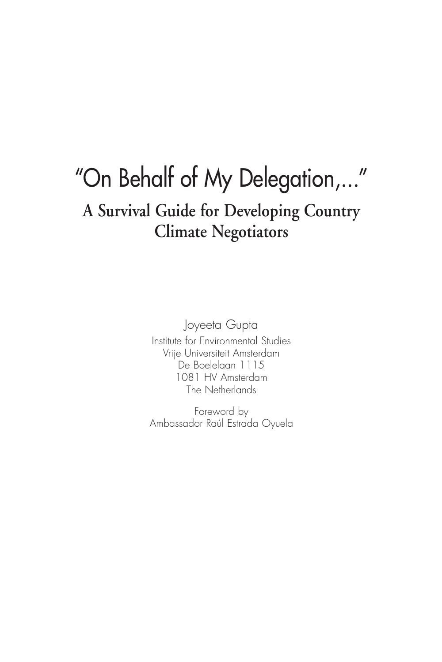# "On Behalf of My Delegation,..."

## **A Survival Guide for Developing Country Climate Negotiators**

Joyeeta Gupta Institute for Environmental Studies Vrije Universiteit Amsterdam De Boelelaan 1115 1081 HV Amsterdam The Netherlands

Foreword by Ambassador Raúl Estrada Oyuela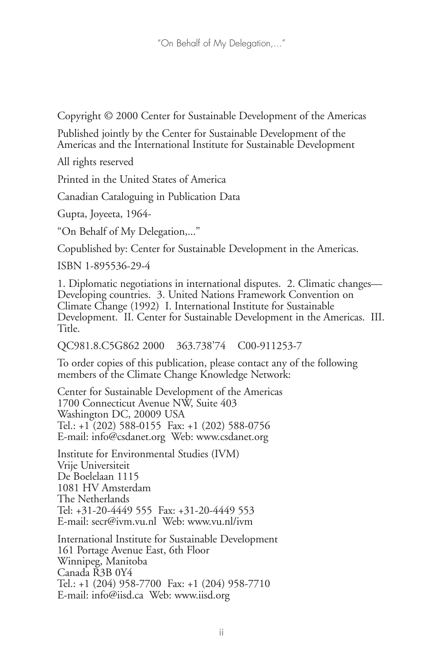Copyright © 2000 Center for Sustainable Development of the Americas

Published jointly by the Center for Sustainable Development of the Americas and the International Institute for Sustainable Development

All rights reserved

Printed in the United States of America

Canadian Cataloguing in Publication Data

Gupta, Joyeeta, 1964-

"On Behalf of My Delegation,..."

Copublished by: Center for Sustainable Development in the Americas.

ISBN 1-895536-29-4

1. Diplomatic negotiations in international disputes. 2. Climatic changes— Developing countries. 3. United Nations Framework Convention on Climate Change (1992) I. International Institute for Sustainable Development. II. Center for Sustainable Development in the Americas. III. Title.

QC981.8.C5G862 2000 363.738'74 C00-911253-7

To order copies of this publication, please contact any of the following members of the Climate Change Knowledge Network:

Center for Sustainable Development of the Americas 1700 Connecticut Avenue NW, Suite 403 Washington DC, 20009 USA Tel.:  $+1(202)$  588-0155 Fax:  $+1(202)$  588-0756 E-mail: info@csdanet.org Web: www.csdanet.org

Institute for Environmental Studies (IVM) Vrije Universiteit De Boelelaan 1115 1081 HV Amsterdam The Netherlands Tel: +31-20-4449 555 Fax: +31-20-4449 553 E-mail: secr@ivm.vu.nl Web: www.vu.nl/ivm

International Institute for Sustainable Development 161 Portage Avenue East, 6th Floor Winnipeg, Manitoba Canada R3B 0Y4 Tel.: +1 (204) 958-7700 Fax: +1 (204) 958-7710 E-mail: info@iisd.ca Web: www.iisd.org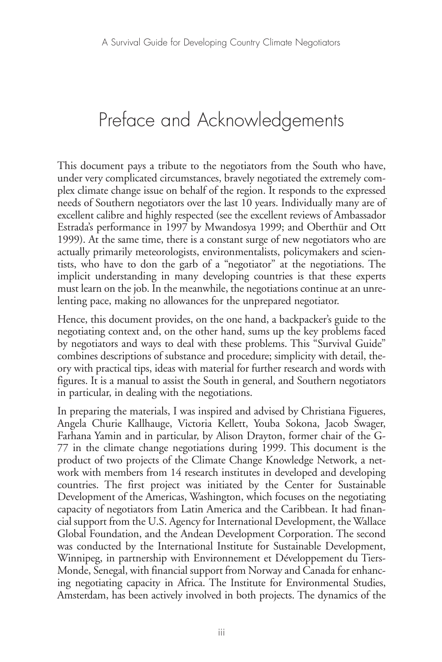## Preface and Acknowledgements

This document pays a tribute to the negotiators from the South who have, under very complicated circumstances, bravely negotiated the extremely complex climate change issue on behalf of the region. It responds to the expressed needs of Southern negotiators over the last 10 years. Individually many are of excellent calibre and highly respected (see the excellent reviews of Ambassador Estrada's performance in 1997 by Mwandosya 1999; and Oberthür and Ott 1999). At the same time, there is a constant surge of new negotiators who are actually primarily meteorologists, environmentalists, policymakers and scientists, who have to don the garb of a "negotiator" at the negotiations. The implicit understanding in many developing countries is that these experts must learn on the job. In the meanwhile, the negotiations continue at an unrelenting pace, making no allowances for the unprepared negotiator.

Hence, this document provides, on the one hand, a backpacker's guide to the negotiating context and, on the other hand, sums up the key problems faced by negotiators and ways to deal with these problems. This "Survival Guide" combines descriptions of substance and procedure; simplicity with detail, theory with practical tips, ideas with material for further research and words with figures. It is a manual to assist the South in general, and Southern negotiators in particular, in dealing with the negotiations.

In preparing the materials, I was inspired and advised by Christiana Figueres, Angela Churie Kallhauge, Victoria Kellett, Youba Sokona, Jacob Swager, Farhana Yamin and in particular, by Alison Drayton, former chair of the G-77 in the climate change negotiations during 1999. This document is the product of two projects of the Climate Change Knowledge Network, a network with members from 14 research institutes in developed and developing countries. The first project was initiated by the Center for Sustainable Development of the Americas, Washington, which focuses on the negotiating capacity of negotiators from Latin America and the Caribbean. It had financial support from the U.S. Agency for International Development, the Wallace Global Foundation, and the Andean Development Corporation. The second was conducted by the International Institute for Sustainable Development, Winnipeg, in partnership with Environnement et Développement du Tiers-Monde, Senegal, with financial support from Norway and Canada for enhancing negotiating capacity in Africa. The Institute for Environmental Studies, Amsterdam, has been actively involved in both projects. The dynamics of the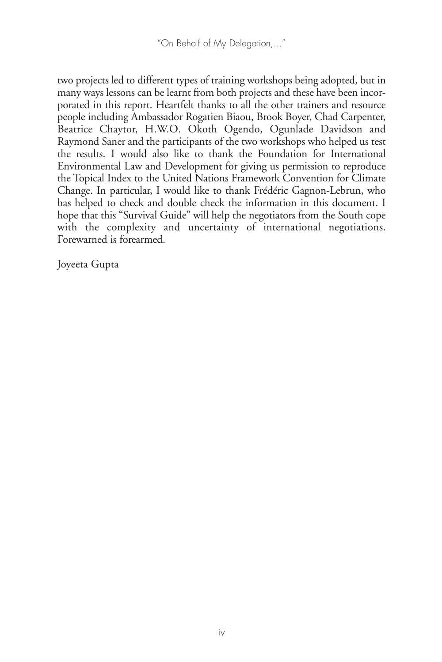two projects led to different types of training workshops being adopted, but in many ways lessons can be learnt from both projects and these have been incorporated in this report. Heartfelt thanks to all the other trainers and resource people including Ambassador Rogatien Biaou, Brook Boyer, Chad Carpenter, Beatrice Chaytor, H.W.O. Okoth Ogendo, Ogunlade Davidson and Raymond Saner and the participants of the two workshops who helped us test the results. I would also like to thank the Foundation for International Environmental Law and Development for giving us permission to reproduce the Topical Index to the United Nations Framework Convention for Climate Change. In particular, I would like to thank Frédéric Gagnon-Lebrun, who has helped to check and double check the information in this document. I hope that this "Survival Guide" will help the negotiators from the South cope with the complexity and uncertainty of international negotiations. Forewarned is forearmed.

Joyeeta Gupta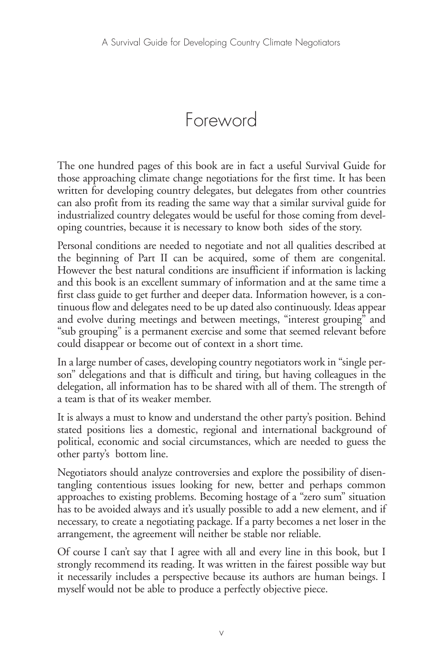## Foreword

The one hundred pages of this book are in fact a useful Survival Guide for those approaching climate change negotiations for the first time. It has been written for developing country delegates, but delegates from other countries can also profit from its reading the same way that a similar survival guide for industrialized country delegates would be useful for those coming from developing countries, because it is necessary to know both sides of the story.

Personal conditions are needed to negotiate and not all qualities described at the beginning of Part II can be acquired, some of them are congenital. However the best natural conditions are insufficient if information is lacking and this book is an excellent summary of information and at the same time a first class guide to get further and deeper data. Information however, is a continuous flow and delegates need to be up dated also continuously. Ideas appear and evolve during meetings and between meetings, "interest grouping" and "sub grouping" is a permanent exercise and some that seemed relevant before could disappear or become out of context in a short time.

In a large number of cases, developing country negotiators work in "single person" delegations and that is difficult and tiring, but having colleagues in the delegation, all information has to be shared with all of them. The strength of a team is that of its weaker member.

It is always a must to know and understand the other party's position. Behind stated positions lies a domestic, regional and international background of political, economic and social circumstances, which are needed to guess the other party's bottom line.

Negotiators should analyze controversies and explore the possibility of disentangling contentious issues looking for new, better and perhaps common approaches to existing problems. Becoming hostage of a "zero sum" situation has to be avoided always and it's usually possible to add a new element, and if necessary, to create a negotiating package. If a party becomes a net loser in the arrangement, the agreement will neither be stable nor reliable.

Of course I can't say that I agree with all and every line in this book, but I strongly recommend its reading. It was written in the fairest possible way but it necessarily includes a perspective because its authors are human beings. I myself would not be able to produce a perfectly objective piece.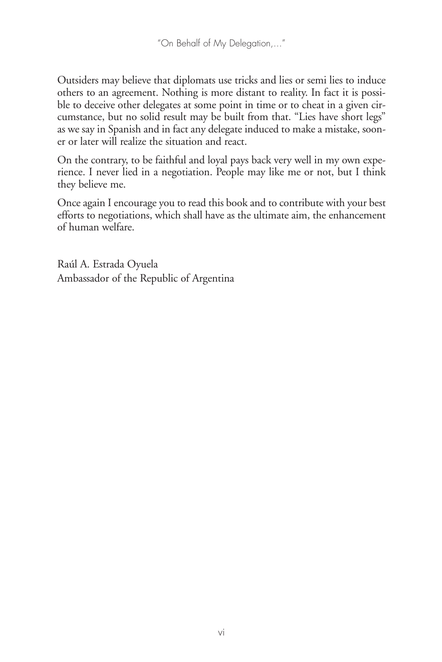Outsiders may believe that diplomats use tricks and lies or semi lies to induce others to an agreement. Nothing is more distant to reality. In fact it is possible to deceive other delegates at some point in time or to cheat in a given circumstance, but no solid result may be built from that. "Lies have short legs" as we say in Spanish and in fact any delegate induced to make a mistake, sooner or later will realize the situation and react.

On the contrary, to be faithful and loyal pays back very well in my own experience. I never lied in a negotiation. People may like me or not, but I think they believe me.

Once again I encourage you to read this book and to contribute with your best efforts to negotiations, which shall have as the ultimate aim, the enhancement of human welfare.

Raúl A. Estrada Oyuela Ambassador of the Republic of Argentina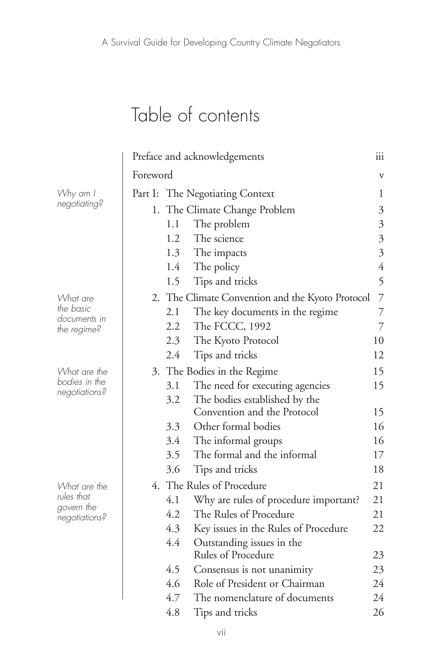# Table of contents

|                                           |          | Preface and acknowledgements                           | 111            |
|-------------------------------------------|----------|--------------------------------------------------------|----------------|
|                                           | Foreword |                                                        | V              |
| Why am I<br>negotiating?                  |          | Part I: The Negotiating Context                        | 1              |
|                                           |          | 1. The Climate Change Problem                          | 3              |
|                                           |          | 1.1<br>The problem                                     | $\mathfrak{Z}$ |
|                                           |          | 1.2<br>The science                                     | $\mathfrak{Z}$ |
|                                           |          | The impacts<br>1.3                                     | $\overline{3}$ |
|                                           |          | 1.4<br>The policy                                      | $\overline{4}$ |
|                                           |          | Tips and tricks<br>1.5                                 | 5              |
| What are                                  |          | 2. The Climate Convention and the Kyoto Protocol       | $\overline{7}$ |
| the basic                                 |          | 2.1<br>The key documents in the regime                 | 7              |
| documents in<br>the regime?               |          | 2.2<br>The FCCC, 1992                                  | 7              |
|                                           |          | 2.3<br>The Kyoto Protocol                              | 10             |
|                                           |          | 2.4<br>Tips and tricks                                 | 12             |
| What are the                              |          | 3. The Bodies in the Regime                            | 15             |
| bodies in the                             |          | The need for executing agencies<br>3.1                 | 15             |
| negotiations?                             |          | 3.2<br>The bodies established by the                   |                |
|                                           |          | Convention and the Protocol                            | 15             |
|                                           |          | Other formal bodies<br>3.3                             | 16             |
|                                           |          | 3.4<br>The informal groups                             | 16             |
|                                           |          | The formal and the informal<br>3.5                     | 17             |
|                                           |          | 3.6<br>Tips and tricks                                 | 18             |
| What are the                              |          | 4. The Rules of Procedure                              | 21             |
| rules that<br>govern the<br>negotiations? |          | 4.1<br>Why are rules of procedure important?           | 21             |
|                                           |          | 4.2<br>The Rules of Procedure                          | 21             |
|                                           |          | 4.3<br>Key issues in the Rules of Procedure            | 22             |
|                                           |          | 4.4<br>Outstanding issues in the<br>Rules of Procedure | 23             |
|                                           |          | 4.5<br>Consensus is not unanimity                      | 23             |
|                                           |          | 4.6<br>Role of President or Chairman                   | 24             |
|                                           |          | 4.7<br>The nomenclature of documents                   | 24             |
|                                           |          | 4.8<br>Tips and tricks                                 | 26             |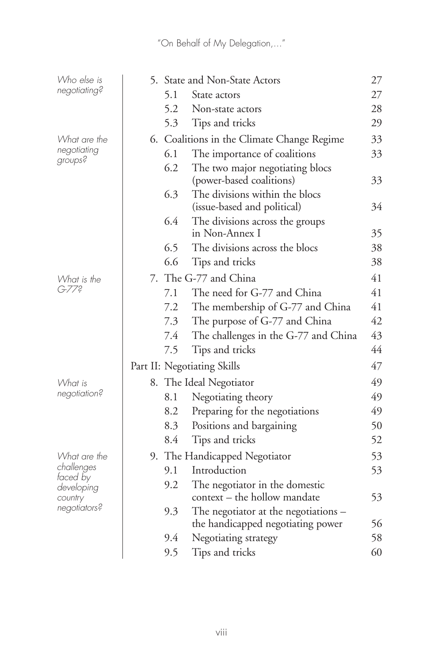"On Behalf of My Delegation,..."

| Who else is                                                                     |                               | 5. State and Non-State Actors                                               | 27 |
|---------------------------------------------------------------------------------|-------------------------------|-----------------------------------------------------------------------------|----|
| negotiating?                                                                    | 5.1                           | State actors                                                                | 27 |
|                                                                                 | 5.2                           | Non-state actors                                                            | 28 |
|                                                                                 | 5.3                           | Tips and tricks                                                             | 29 |
| What are the<br>negotiating<br>groups?                                          |                               | 6. Coalitions in the Climate Change Regime                                  | 33 |
|                                                                                 | 6.1                           | The importance of coalitions                                                | 33 |
|                                                                                 | 6.2                           | The two major negotiating blocs<br>(power-based coalitions)                 | 33 |
|                                                                                 | 6.3                           | The divisions within the blocs<br>(issue-based and political)               | 34 |
|                                                                                 | 6.4                           | The divisions across the groups<br>in Non-Annex I                           | 35 |
|                                                                                 | 6.5                           | The divisions across the blocs                                              | 38 |
|                                                                                 | 6.6                           | Tips and tricks                                                             | 38 |
| What is the                                                                     |                               | 7. The G-77 and China                                                       | 41 |
| G-77?                                                                           | 7.1                           | The need for G-77 and China                                                 | 41 |
|                                                                                 | 7.2                           | The membership of G-77 and China                                            | 41 |
|                                                                                 | 7.3                           | The purpose of G-77 and China                                               | 42 |
|                                                                                 | 7.4                           | The challenges in the G-77 and China                                        | 43 |
|                                                                                 | 7.5                           | Tips and tricks                                                             | 44 |
|                                                                                 | Part II: Negotiating Skills   |                                                                             | 47 |
| What is                                                                         | 8. The Ideal Negotiator       |                                                                             |    |
| negotiation?                                                                    | 8.1                           | Negotiating theory                                                          | 49 |
|                                                                                 | 8.2                           | Preparing for the negotiations                                              | 49 |
|                                                                                 | 8.3                           | Positions and bargaining                                                    | 50 |
|                                                                                 | 8.4                           | Tips and tricks                                                             | 52 |
| What are the<br>challenges<br>faced by<br>developing<br>country<br>negotiators? | 9. The Handicapped Negotiator |                                                                             |    |
|                                                                                 | 9.1                           | Introduction                                                                | 53 |
|                                                                                 | 9.2                           | The negotiator in the domestic<br>context – the hollow mandate              | 53 |
|                                                                                 | 9.3                           | The negotiator at the negotiations $-$<br>the handicapped negotiating power | 56 |
|                                                                                 | 9.4                           | Negotiating strategy                                                        | 58 |
|                                                                                 | 9.5                           | Tips and tricks                                                             | 60 |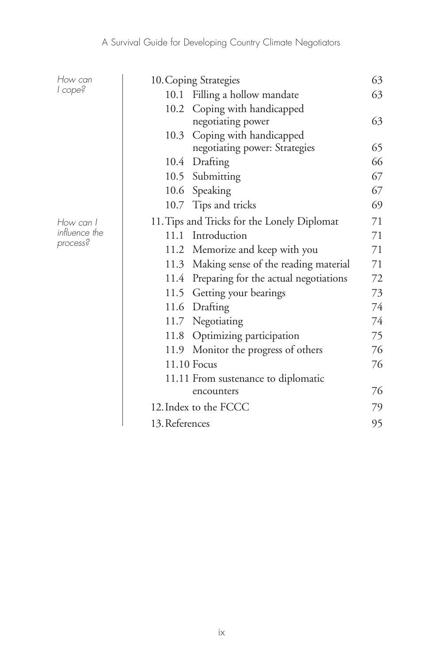| How can       | 10. Coping Strategies                       | 63 |
|---------------|---------------------------------------------|----|
| l cope?       | Filling a hollow mandate<br>10.1            | 63 |
|               | Coping with handicapped<br>10.2             |    |
|               | negotiating power                           | 63 |
|               | 10.3 Coping with handicapped                |    |
|               | negotiating power: Strategies               | 65 |
|               | 10.4 Drafting                               | 66 |
|               | 10.5 Submitting                             | 67 |
|               | 10.6 Speaking                               | 67 |
|               | 10.7 Tips and tricks                        | 69 |
| How can I     | 11. Tips and Tricks for the Lonely Diplomat | 71 |
| influence the | 11.1 Introduction                           | 71 |
| process?      | 11.2 Memorize and keep with you             | 71 |
|               | 11.3 Making sense of the reading material   | 71 |
|               | 11.4 Preparing for the actual negotiations  | 72 |
|               | 11.5 Getting your bearings                  | 73 |
|               | 11.6 Drafting                               | 74 |
|               | 11.7 Negotiating                            | 74 |
|               | 11.8 Optimizing participation               | 75 |
|               | 11.9 Monitor the progress of others         | 76 |
|               | 11.10 Focus                                 | 76 |
|               | 11.11 From sustenance to diplomatic         |    |
|               | encounters                                  | 76 |
|               | 12. Index to the FCCC                       | 79 |
|               | 13. References                              | 95 |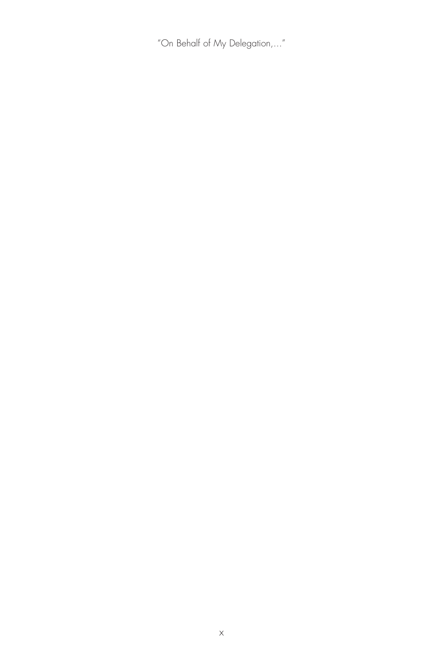"On Behalf of My Delegation,..."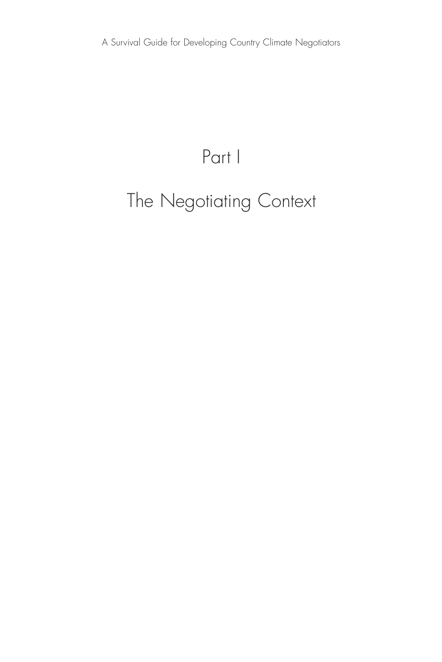# Part I

# The Negotiating Context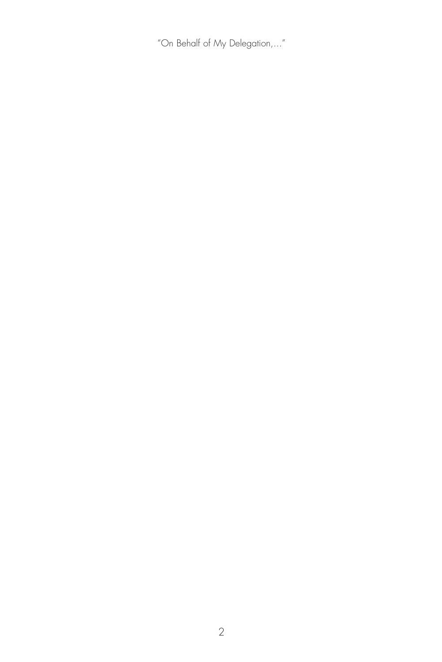"On Behalf of My Delegation,..."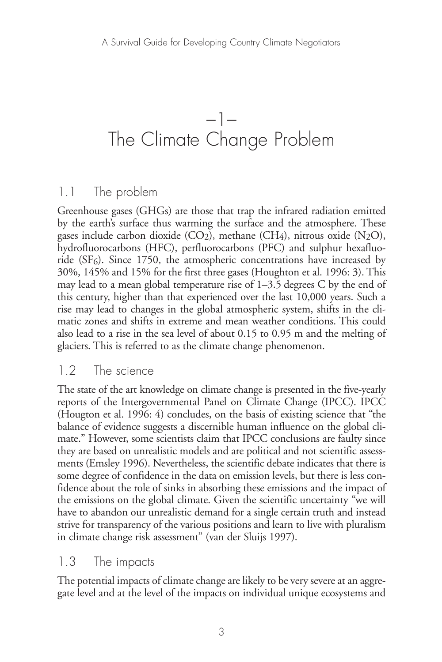## –1– The Climate Change Problem

#### 1.1 The problem

Greenhouse gases (GHGs) are those that trap the infrared radiation emitted by the earth's surface thus warming the surface and the atmosphere. These gases include carbon dioxide (CO2), methane (CH4), nitrous oxide (N2O), hydrofluorocarbons (HFC), perfluorocarbons (PFC) and sulphur hexafluoride (SF6). Since 1750, the atmospheric concentrations have increased by 30%, 145% and 15% for the first three gases (Houghton et al. 1996: 3). This may lead to a mean global temperature rise of 1–3.5 degrees C by the end of this century, higher than that experienced over the last 10,000 years. Such a rise may lead to changes in the global atmospheric system, shifts in the climatic zones and shifts in extreme and mean weather conditions. This could also lead to a rise in the sea level of about 0.15 to 0.95 m and the melting of glaciers. This is referred to as the climate change phenomenon.

#### 1.2 The science

The state of the art knowledge on climate change is presented in the five-yearly reports of the Intergovernmental Panel on Climate Change (IPCC). IPCC (Hougton et al. 1996: 4) concludes, on the basis of existing science that "the balance of evidence suggests a discernible human influence on the global climate." However, some scientists claim that IPCC conclusions are faulty since they are based on unrealistic models and are political and not scientific assessments (Emsley 1996). Nevertheless, the scientific debate indicates that there is some degree of confidence in the data on emission levels, but there is less confidence about the role of sinks in absorbing these emissions and the impact of the emissions on the global climate. Given the scientific uncertainty "we will have to abandon our unrealistic demand for a single certain truth and instead strive for transparency of the various positions and learn to live with pluralism in climate change risk assessment" (van der Sluijs 1997).

#### 1.3 The impacts

The potential impacts of climate change are likely to be very severe at an aggregate level and at the level of the impacts on individual unique ecosystems and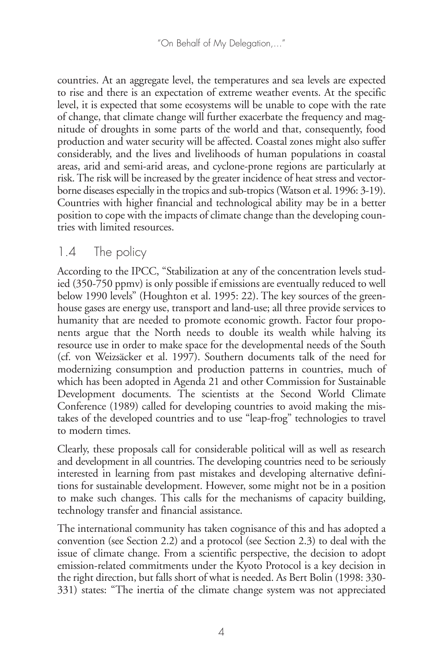countries. At an aggregate level, the temperatures and sea levels are expected to rise and there is an expectation of extreme weather events. At the specific level, it is expected that some ecosystems will be unable to cope with the rate of change, that climate change will further exacerbate the frequency and magnitude of droughts in some parts of the world and that, consequently, food production and water security will be affected. Coastal zones might also suffer considerably, and the lives and livelihoods of human populations in coastal areas, arid and semi-arid areas, and cyclone-prone regions are particularly at risk. The risk will be increased by the greater incidence of heat stress and vectorborne diseases especially in the tropics and sub-tropics (Watson et al. 1996: 3-19). Countries with higher financial and technological ability may be in a better position to cope with the impacts of climate change than the developing countries with limited resources.

#### 1.4 The policy

According to the IPCC, "Stabilization at any of the concentration levels studied (350-750 ppmv) is only possible if emissions are eventually reduced to well below 1990 levels" (Houghton et al. 1995: 22). The key sources of the greenhouse gases are energy use, transport and land-use; all three provide services to humanity that are needed to promote economic growth. Factor four proponents argue that the North needs to double its wealth while halving its resource use in order to make space for the developmental needs of the South (cf. von Weizsäcker et al. 1997). Southern documents talk of the need for modernizing consumption and production patterns in countries, much of which has been adopted in Agenda 21 and other Commission for Sustainable Development documents. The scientists at the Second World Climate Conference (1989) called for developing countries to avoid making the mistakes of the developed countries and to use "leap-frog" technologies to travel to modern times.

Clearly, these proposals call for considerable political will as well as research and development in all countries. The developing countries need to be seriously interested in learning from past mistakes and developing alternative definitions for sustainable development. However, some might not be in a position to make such changes. This calls for the mechanisms of capacity building, technology transfer and financial assistance.

The international community has taken cognisance of this and has adopted a convention (see Section 2.2) and a protocol (see Section 2.3) to deal with the issue of climate change. From a scientific perspective, the decision to adopt emission-related commitments under the Kyoto Protocol is a key decision in the right direction, but falls short of what is needed. As Bert Bolin (1998: 330- 331) states: "The inertia of the climate change system was not appreciated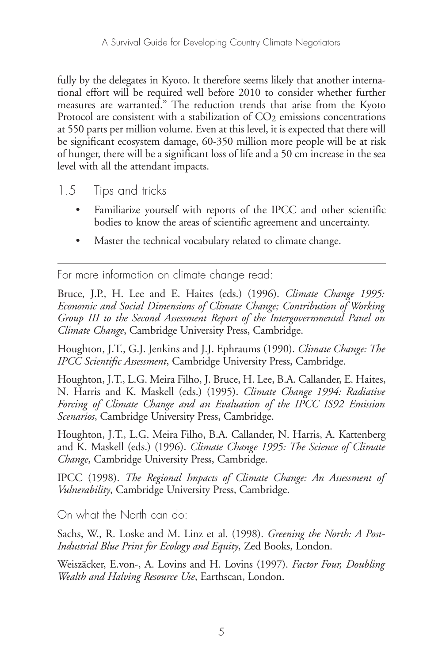fully by the delegates in Kyoto. It therefore seems likely that another international effort will be required well before 2010 to consider whether further measures are warranted." The reduction trends that arise from the Kyoto Protocol are consistent with a stabilization of  $CO<sub>2</sub>$  emissions concentrations at 550 parts per million volume. Even at this level, it is expected that there will be significant ecosystem damage, 60-350 million more people will be at risk of hunger, there will be a significant loss of life and a 50 cm increase in the sea level with all the attendant impacts.

1.5 Tips and tricks

- Familiarize yourself with reports of the IPCC and other scientific bodies to know the areas of scientific agreement and uncertainty.
- Master the technical vocabulary related to climate change.

For more information on climate change read:

Bruce, J.P., H. Lee and E. Haites (eds.) (1996). *Climate Change 1995: Economic and Social Dimensions of Climate Change; Contribution of Working Group III to the Second Assessment Report of the Intergovernmental Panel on Climate Change*, Cambridge University Press, Cambridge.

Houghton, J.T., G.J. Jenkins and J.J. Ephraums (1990). *Climate Change: The IPCC Scientific Assessment*, Cambridge University Press, Cambridge.

Houghton, J.T., L.G. Meira Filho, J. Bruce, H. Lee, B.A. Callander, E. Haites, N. Harris and K. Maskell (eds.) (1995). *Climate Change 1994: Radiative Forcing of Climate Change and an Evaluation of the IPCC IS92 Emission Scenarios*, Cambridge University Press, Cambridge.

Houghton, J.T., L.G. Meira Filho, B.A. Callander, N. Harris, A. Kattenberg and K. Maskell (eds.) (1996). *Climate Change 1995: The Science of Climate Change*, Cambridge University Press, Cambridge.

IPCC (1998). *The Regional Impacts of Climate Change: An Assessment of Vulnerability*, Cambridge University Press, Cambridge.

On what the North can do:

Sachs, W., R. Loske and M. Linz et al. (1998). *Greening the North: A Post-Industrial Blue Print for Ecology and Equity*, Zed Books, London.

Weiszäcker, E.von-, A. Lovins and H. Lovins (1997). *Factor Four, Doubling Wealth and Halving Resource Use*, Earthscan, London.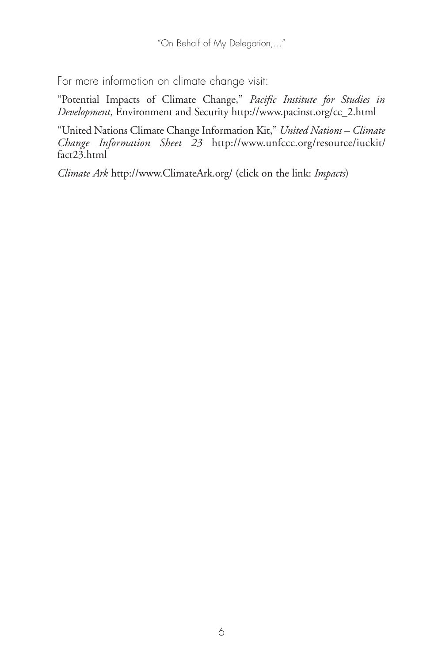For more information on climate change visit:

"Potential Impacts of Climate Change," *Pacific Institute for Studies in Development*, Environment and Security http://www.pacinst.org/cc\_2.html

"United Nations Climate Change Information Kit," *United Nations – Climate Change Information Sheet 23* http://www.unfccc.org/resource/iuckit/ fact23.html

*Climate Ark* http://www.ClimateArk.org/ (click on the link: *Impacts*)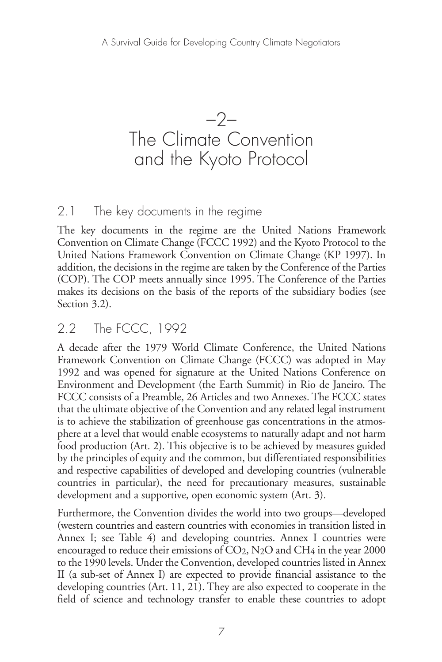

#### 2.1 The key documents in the regime

The key documents in the regime are the United Nations Framework Convention on Climate Change (FCCC 1992) and the Kyoto Protocol to the United Nations Framework Convention on Climate Change (KP 1997). In addition, the decisions in the regime are taken by the Conference of the Parties (COP). The COP meets annually since 1995. The Conference of the Parties makes its decisions on the basis of the reports of the subsidiary bodies (see Section 3.2).

#### 2.2 The FCCC, 1992

A decade after the 1979 World Climate Conference, the United Nations Framework Convention on Climate Change (FCCC) was adopted in May 1992 and was opened for signature at the United Nations Conference on Environment and Development (the Earth Summit) in Rio de Janeiro. The FCCC consists of a Preamble, 26 Articles and two Annexes. The FCCC states that the ultimate objective of the Convention and any related legal instrument is to achieve the stabilization of greenhouse gas concentrations in the atmosphere at a level that would enable ecosystems to naturally adapt and not harm food production (Art. 2). This objective is to be achieved by measures guided by the principles of equity and the common, but differentiated responsibilities and respective capabilities of developed and developing countries (vulnerable countries in particular), the need for precautionary measures, sustainable development and a supportive, open economic system (Art. 3).

Furthermore, the Convention divides the world into two groups—developed (western countries and eastern countries with economies in transition listed in Annex I; see Table 4) and developing countries. Annex I countries were encouraged to reduce their emissions of  $CO<sub>2</sub>$ , N<sub>2</sub>O and CH<sub>4</sub> in the year 2000 to the 1990 levels. Under the Convention, developed countries listed in Annex II (a sub-set of Annex I) are expected to provide financial assistance to the developing countries (Art. 11, 21). They are also expected to cooperate in the field of science and technology transfer to enable these countries to adopt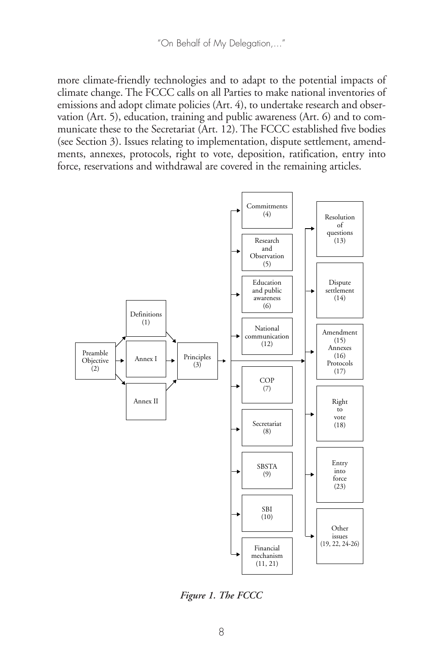more climate-friendly technologies and to adapt to the potential impacts of climate change. The FCCC calls on all Parties to make national inventories of emissions and adopt climate policies (Art. 4), to undertake research and observation (Art. 5), education, training and public awareness (Art. 6) and to communicate these to the Secretariat (Art. 12). The FCCC established five bodies (see Section 3). Issues relating to implementation, dispute settlement, amendments, annexes, protocols, right to vote, deposition, ratification, entry into force, reservations and withdrawal are covered in the remaining articles.



*Figure 1. The FCCC*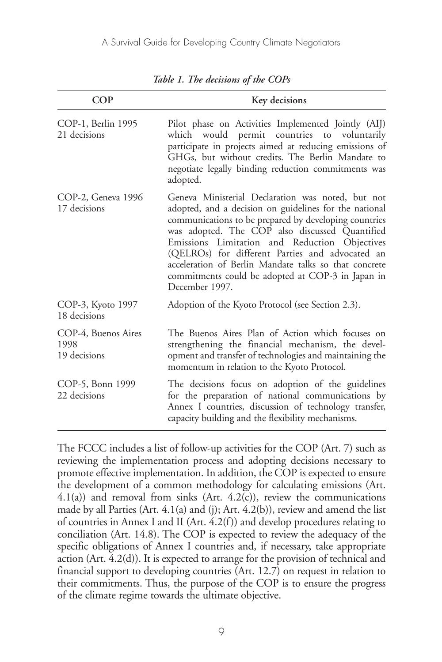| <b>COP</b>                                  | Key decisions                                                                                                                                                                                                                                                                                                                                                                                                                                              |  |  |
|---------------------------------------------|------------------------------------------------------------------------------------------------------------------------------------------------------------------------------------------------------------------------------------------------------------------------------------------------------------------------------------------------------------------------------------------------------------------------------------------------------------|--|--|
| COP-1, Berlin 1995<br>21 decisions          | Pilot phase on Activities Implemented Jointly (AIJ)<br>which would permit countries to voluntarily<br>participate in projects aimed at reducing emissions of<br>GHGs, but without credits. The Berlin Mandate to<br>negotiate legally binding reduction commitments was<br>adopted.                                                                                                                                                                        |  |  |
| COP-2, Geneva 1996<br>17 decisions          | Geneva Ministerial Declaration was noted, but not<br>adopted, and a decision on guidelines for the national<br>communications to be prepared by developing countries<br>was adopted. The COP also discussed Quantified<br>Emissions Limitation and Reduction Objectives<br>(QELROs) for different Parties and advocated an<br>acceleration of Berlin Mandate talks so that concrete<br>commitments could be adopted at COP-3 in Japan in<br>December 1997. |  |  |
| COP-3, Kyoto 1997<br>18 decisions           | Adoption of the Kyoto Protocol (see Section 2.3).                                                                                                                                                                                                                                                                                                                                                                                                          |  |  |
| COP-4, Buenos Aires<br>1998<br>19 decisions | The Buenos Aires Plan of Action which focuses on<br>strengthening the financial mechanism, the devel-<br>opment and transfer of technologies and maintaining the<br>momentum in relation to the Kyoto Protocol.                                                                                                                                                                                                                                            |  |  |
| COP-5, Bonn 1999<br>22 decisions            | The decisions focus on adoption of the guidelines<br>for the preparation of national communications by<br>Annex I countries, discussion of technology transfer,<br>capacity building and the flexibility mechanisms.                                                                                                                                                                                                                                       |  |  |

*Table 1. The decisions of the COPs*

The FCCC includes a list of follow-up activities for the COP (Art. 7) such as reviewing the implementation process and adopting decisions necessary to promote effective implementation. In addition, the COP is expected to ensure the development of a common methodology for calculating emissions (Art.  $(4.1(a))$  and removal from sinks (Art.  $(4.2(c))$ , review the communications made by all Parties (Art. 4.1(a) and (j); Art. 4.2(b)), review and amend the list of countries in Annex I and II (Art. 4.2(f)) and develop procedures relating to conciliation (Art. 14.8). The COP is expected to review the adequacy of the specific obligations of Annex I countries and, if necessary, take appropriate action (Art. 4.2(d)). It is expected to arrange for the provision of technical and financial support to developing countries (Art. 12.7) on request in relation to their commitments. Thus, the purpose of the COP is to ensure the progress of the climate regime towards the ultimate objective.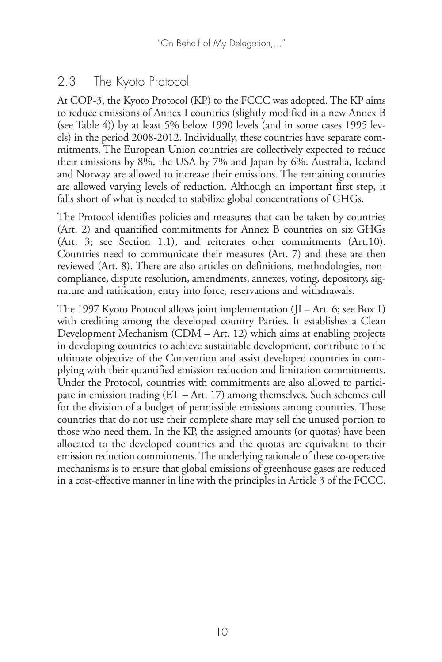#### 2.3 The Kyoto Protocol

At COP-3, the Kyoto Protocol (KP) to the FCCC was adopted. The KP aims to reduce emissions of Annex I countries (slightly modified in a new Annex B (see Table 4)) by at least 5% below 1990 levels (and in some cases 1995 levels) in the period 2008-2012. Individually, these countries have separate commitments. The European Union countries are collectively expected to reduce their emissions by 8%, the USA by 7% and Japan by 6%. Australia, Iceland and Norway are allowed to increase their emissions. The remaining countries are allowed varying levels of reduction. Although an important first step, it falls short of what is needed to stabilize global concentrations of GHGs.

The Protocol identifies policies and measures that can be taken by countries (Art. 2) and quantified commitments for Annex B countries on six GHGs (Art. 3; see Section 1.1), and reiterates other commitments (Art.10). Countries need to communicate their measures (Art. 7) and these are then reviewed (Art. 8). There are also articles on definitions, methodologies, noncompliance, dispute resolution, amendments, annexes, voting, depository, signature and ratification, entry into force, reservations and withdrawals.

The 1997 Kyoto Protocol allows joint implementation (JI – Art. 6; see Box 1) with crediting among the developed country Parties. It establishes a Clean Development Mechanism (CDM – Art. 12) which aims at enabling projects in developing countries to achieve sustainable development, contribute to the ultimate objective of the Convention and assist developed countries in complying with their quantified emission reduction and limitation commitments. Under the Protocol, countries with commitments are also allowed to participate in emission trading (ET – Art. 17) among themselves. Such schemes call for the division of a budget of permissible emissions among countries. Those countries that do not use their complete share may sell the unused portion to those who need them. In the KP, the assigned amounts (or quotas) have been allocated to the developed countries and the quotas are equivalent to their emission reduction commitments. The underlying rationale of these co-operative mechanisms is to ensure that global emissions of greenhouse gases are reduced in a cost-effective manner in line with the principles in Article 3 of the FCCC.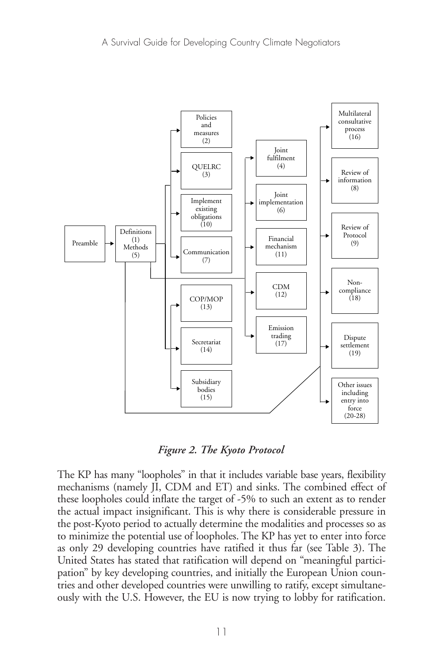

*Figure 2. The Kyoto Protocol*

The KP has many "loopholes" in that it includes variable base years, flexibility mechanisms (namely JI, CDM and ET) and sinks. The combined effect of these loopholes could inflate the target of -5% to such an extent as to render the actual impact insignificant. This is why there is considerable pressure in the post-Kyoto period to actually determine the modalities and processes so as to minimize the potential use of loopholes. The KP has yet to enter into force as only 29 developing countries have ratified it thus far (see Table 3). The United States has stated that ratification will depend on "meaningful participation" by key developing countries, and initially the European Union countries and other developed countries were unwilling to ratify, except simultaneously with the U.S. However, the EU is now trying to lobby for ratification.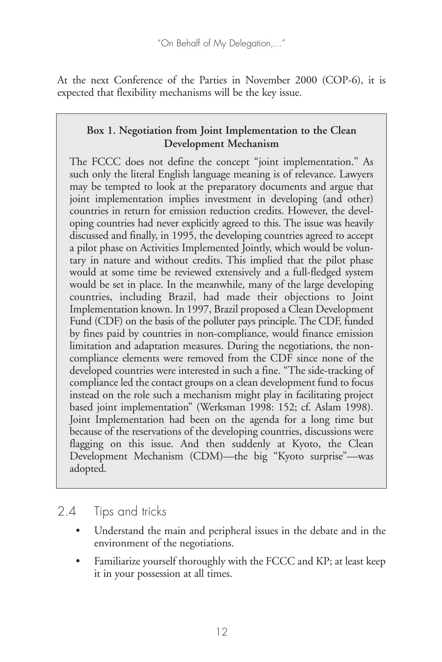At the next Conference of the Parties in November 2000 (COP-6), it is expected that flexibility mechanisms will be the key issue.

#### **Box 1. Negotiation from Joint Implementation to the Clean Development Mechanism**

The FCCC does not define the concept "joint implementation." As such only the literal English language meaning is of relevance. Lawyers may be tempted to look at the preparatory documents and argue that joint implementation implies investment in developing (and other) countries in return for emission reduction credits. However, the developing countries had never explicitly agreed to this. The issue was heavily discussed and finally, in 1995, the developing countries agreed to accept a pilot phase on Activities Implemented Jointly, which would be voluntary in nature and without credits. This implied that the pilot phase would at some time be reviewed extensively and a full-fledged system would be set in place. In the meanwhile, many of the large developing countries, including Brazil, had made their objections to Joint Implementation known. In 1997, Brazil proposed a Clean Development Fund (CDF) on the basis of the polluter pays principle. The CDF, funded by fines paid by countries in non-compliance, would finance emission limitation and adaptation measures. During the negotiations, the noncompliance elements were removed from the CDF since none of the developed countries were interested in such a fine. "The side-tracking of compliance led the contact groups on a clean development fund to focus instead on the role such a mechanism might play in facilitating project based joint implementation" (Werksman 1998: 152; cf. Aslam 1998). Joint Implementation had been on the agenda for a long time but because of the reservations of the developing countries, discussions were flagging on this issue. And then suddenly at Kyoto, the Clean Development Mechanism (CDM)—the big "Kyoto surprise"—was adopted.

#### 2.4 Tips and tricks

- Understand the main and peripheral issues in the debate and in the environment of the negotiations.
- Familiarize yourself thoroughly with the FCCC and KP; at least keep it in your possession at all times.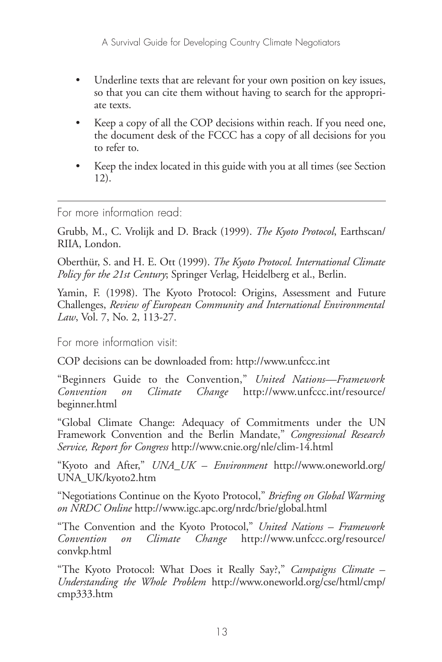- Underline texts that are relevant for your own position on key issues, so that you can cite them without having to search for the appropriate texts.
- Keep a copy of all the COP decisions within reach. If you need one, the document desk of the FCCC has a copy of all decisions for you to refer to.
- Keep the index located in this guide with you at all times (see Section 12).

For more information read:

Grubb, M., C. Vrolijk and D. Brack (1999). *The Kyoto Protocol*, Earthscan/ RIIA, London.

Oberthür, S. and H. E. Ott (1999). *The Kyoto Protocol. International Climate Policy for the 21st Century*; Springer Verlag, Heidelberg et al., Berlin.

Yamin, F. (1998). The Kyoto Protocol: Origins, Assessment and Future Challenges, *Review of European Community and International Environmental Law*, Vol. 7, No. 2, 113-27.

For more information visit:

COP decisions can be downloaded from: http://www.unfccc.int

"Beginners Guide to the Convention," *United Nations—Framework Convention on Climate Change* http://www.unfccc.int/resource/ beginner.html

"Global Climate Change: Adequacy of Commitments under the UN Framework Convention and the Berlin Mandate," *Congressional Research Service, Report for Congress* http://www.cnie.org/nle/clim-14.html

"Kyoto and After," *UNA\_UK – Environment* http://www.oneworld.org/ UNA\_UK/kyoto2.htm

"Negotiations Continue on the Kyoto Protocol," *Briefing on Global Warming on NRDC Online* http://www.igc.apc.org/nrdc/brie/global.html

"The Convention and the Kyoto Protocol," *United Nations – Framework Convention on Climate Change* http://www.unfccc.org/resource/ convkp.html

"The Kyoto Protocol: What Does it Really Say?," *Campaigns Climate – Understanding the Whole Problem* http://www.oneworld.org/cse/html/cmp/ cmp333.htm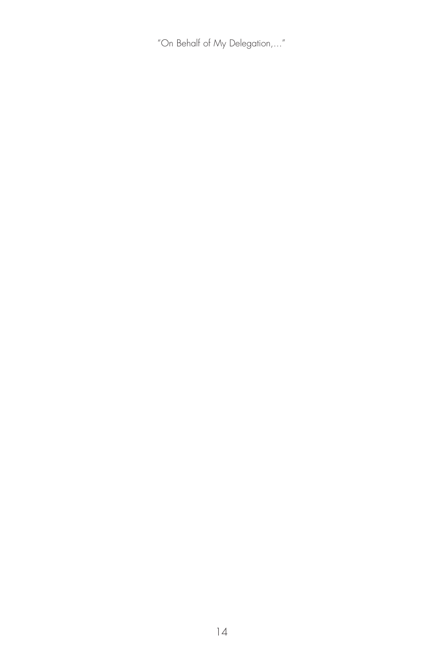"On Behalf of My Delegation,..."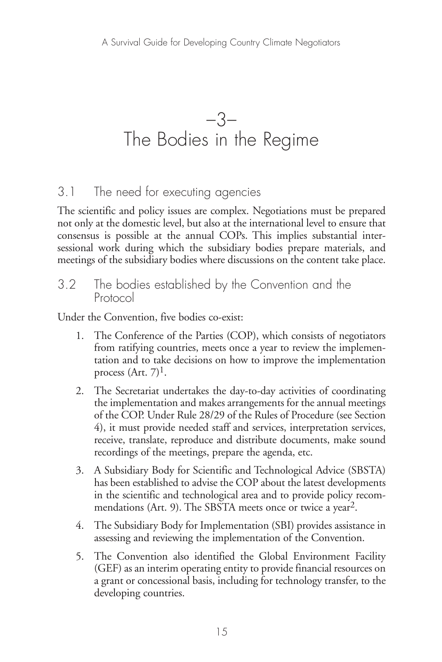## –3– The Bodies in the Regime

#### 3.1 The need for executing agencies

The scientific and policy issues are complex. Negotiations must be prepared not only at the domestic level, but also at the international level to ensure that consensus is possible at the annual COPs. This implies substantial intersessional work during which the subsidiary bodies prepare materials, and meetings of the subsidiary bodies where discussions on the content take place.

3.2 The bodies established by the Convention and the Protocol

Under the Convention, five bodies co-exist:

- 1. The Conference of the Parties (COP), which consists of negotiators from ratifying countries, meets once a year to review the implementation and to take decisions on how to improve the implementation process (Art.  $7)^1$ .
- 2. The Secretariat undertakes the day-to-day activities of coordinating the implementation and makes arrangements for the annual meetings of the COP. Under Rule 28/29 of the Rules of Procedure (see Section 4), it must provide needed staff and services, interpretation services, receive, translate, reproduce and distribute documents, make sound recordings of the meetings, prepare the agenda, etc.
- 3. A Subsidiary Body for Scientific and Technological Advice (SBSTA) has been established to advise the COP about the latest developments in the scientific and technological area and to provide policy recommendations (Art. 9). The SBSTA meets once or twice a year<sup>2</sup>.
- 4. The Subsidiary Body for Implementation (SBI) provides assistance in assessing and reviewing the implementation of the Convention.
- 5. The Convention also identified the Global Environment Facility (GEF) as an interim operating entity to provide financial resources on a grant or concessional basis, including for technology transfer, to the developing countries.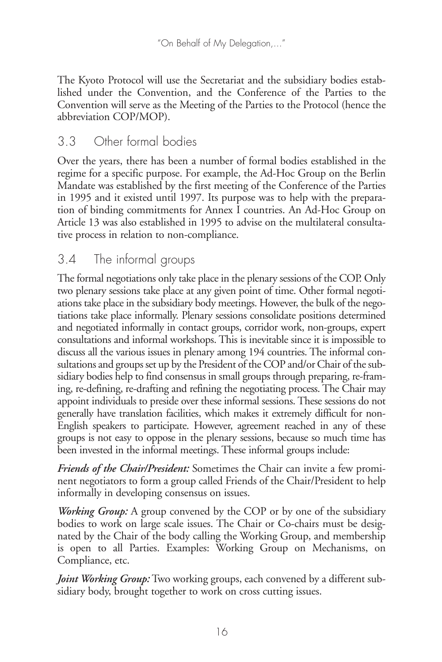The Kyoto Protocol will use the Secretariat and the subsidiary bodies established under the Convention, and the Conference of the Parties to the Convention will serve as the Meeting of the Parties to the Protocol (hence the abbreviation COP/MOP).

#### 3.3 Other formal bodies

Over the years, there has been a number of formal bodies established in the regime for a specific purpose. For example, the Ad-Hoc Group on the Berlin Mandate was established by the first meeting of the Conference of the Parties in 1995 and it existed until 1997. Its purpose was to help with the preparation of binding commitments for Annex I countries. An Ad-Hoc Group on Article 13 was also established in 1995 to advise on the multilateral consultative process in relation to non-compliance.

#### 3.4 The informal groups

The formal negotiations only take place in the plenary sessions of the COP. Only two plenary sessions take place at any given point of time. Other formal negotiations take place in the subsidiary body meetings. However, the bulk of the negotiations take place informally. Plenary sessions consolidate positions determined and negotiated informally in contact groups, corridor work, non-groups, expert consultations and informal workshops. This is inevitable since it is impossible to discuss all the various issues in plenary among 194 countries. The informal consultations and groups set up by the President of the COP and/or Chair of the subsidiary bodies help to find consensus in small groups through preparing, re-framing, re-defining, re-drafting and refining the negotiating process. The Chair may appoint individuals to preside over these informal sessions. These sessions do not generally have translation facilities, which makes it extremely difficult for non-English speakers to participate. However, agreement reached in any of these groups is not easy to oppose in the plenary sessions, because so much time has been invested in the informal meetings. These informal groups include:

*Friends of the Chair/President:* Sometimes the Chair can invite a few prominent negotiators to form a group called Friends of the Chair/President to help informally in developing consensus on issues.

*Working Group:* A group convened by the COP or by one of the subsidiary bodies to work on large scale issues. The Chair or Co-chairs must be designated by the Chair of the body calling the Working Group, and membership is open to all Parties. Examples: Working Group on Mechanisms, on Compliance, etc.

*Joint Working Group:* Two working groups, each convened by a different subsidiary body, brought together to work on cross cutting issues.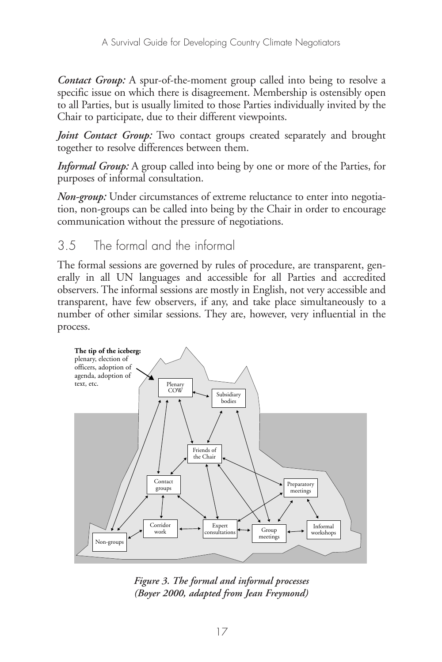*Contact Group:* A spur-of-the-moment group called into being to resolve a specific issue on which there is disagreement. Membership is ostensibly open to all Parties, but is usually limited to those Parties individually invited by the Chair to participate, due to their different viewpoints.

*Joint Contact Group:* Two contact groups created separately and brought together to resolve differences between them.

*Informal Group:* A group called into being by one or more of the Parties, for purposes of informal consultation.

*Non-group*: Under circumstances of extreme reluctance to enter into negotiation, non-groups can be called into being by the Chair in order to encourage communication without the pressure of negotiations.

#### 3.5 The formal and the informal

The formal sessions are governed by rules of procedure, are transparent, generally in all UN languages and accessible for all Parties and accredited observers. The informal sessions are mostly in English, not very accessible and transparent, have few observers, if any, and take place simultaneously to a number of other similar sessions. They are, however, very influential in the process.



*Figure 3. The formal and informal processes (Boyer 2000, adapted from Jean Freymond)*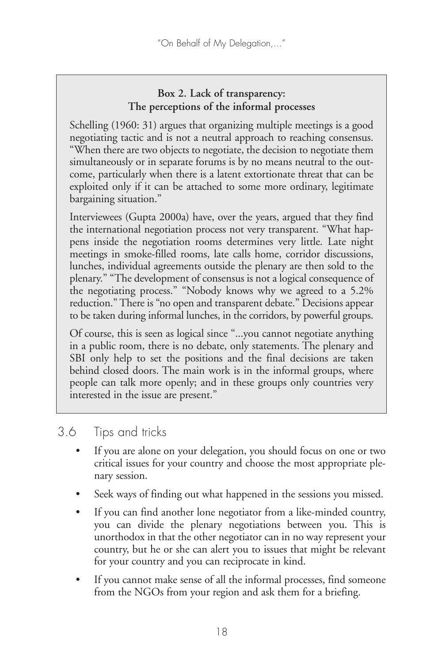#### **Box 2. Lack of transparency: The perceptions of the informal processes**

Schelling (1960: 31) argues that organizing multiple meetings is a good negotiating tactic and is not a neutral approach to reaching consensus. "When there are two objects to negotiate, the decision to negotiate them simultaneously or in separate forums is by no means neutral to the outcome, particularly when there is a latent extortionate threat that can be exploited only if it can be attached to some more ordinary, legitimate bargaining situation."

Interviewees (Gupta 2000a) have, over the years, argued that they find the international negotiation process not very transparent. "What happens inside the negotiation rooms determines very little. Late night meetings in smoke-filled rooms, late calls home, corridor discussions, lunches, individual agreements outside the plenary are then sold to the plenary." "The development of consensus is not a logical consequence of the negotiating process." "Nobody knows why we agreed to a 5.2% reduction." There is "no open and transparent debate." Decisions appear to be taken during informal lunches, in the corridors, by powerful groups.

Of course, this is seen as logical since "...you cannot negotiate anything in a public room, there is no debate, only statements. The plenary and SBI only help to set the positions and the final decisions are taken behind closed doors. The main work is in the informal groups, where people can talk more openly; and in these groups only countries very interested in the issue are present."

#### 3.6 Tips and tricks

- If you are alone on your delegation, you should focus on one or two critical issues for your country and choose the most appropriate plenary session.
- Seek ways of finding out what happened in the sessions you missed.
- If you can find another lone negotiator from a like-minded country, you can divide the plenary negotiations between you. This is unorthodox in that the other negotiator can in no way represent your country, but he or she can alert you to issues that might be relevant for your country and you can reciprocate in kind.
- If you cannot make sense of all the informal processes, find someone from the NGOs from your region and ask them for a briefing.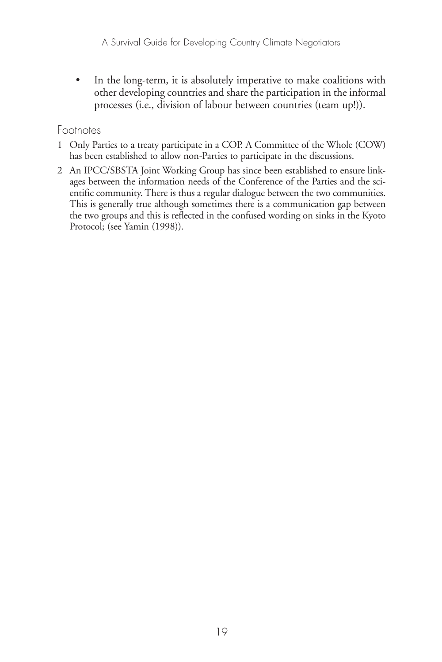In the long-term, it is absolutely imperative to make coalitions with other developing countries and share the participation in the informal processes (i.e., division of labour between countries (team up!)).

#### Footnotes

- 1 Only Parties to a treaty participate in a COP. A Committee of the Whole (COW) has been established to allow non-Parties to participate in the discussions.
- 2 An IPCC/SBSTA Joint Working Group has since been established to ensure linkages between the information needs of the Conference of the Parties and the scientific community. There is thus a regular dialogue between the two communities. This is generally true although sometimes there is a communication gap between the two groups and this is reflected in the confused wording on sinks in the Kyoto Protocol; (see Yamin (1998)).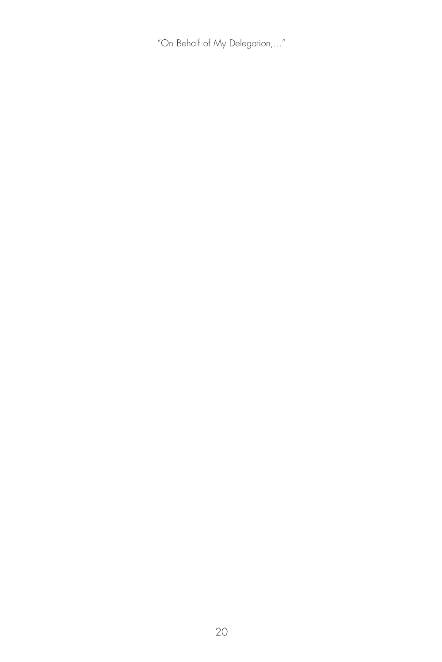"On Behalf of My Delegation,..."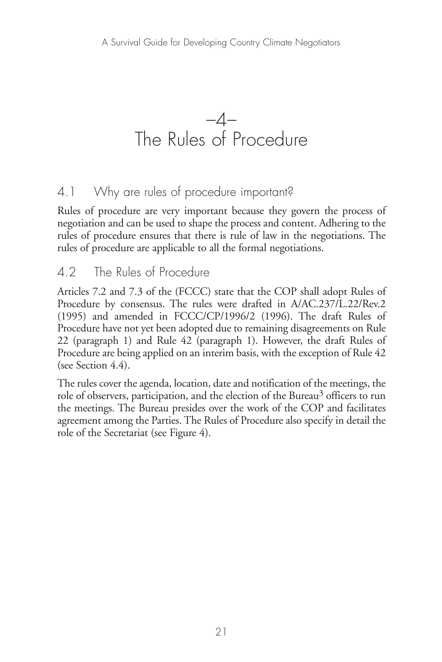### –4– The Rules of Procedure

#### 4.1 Why are rules of procedure important?

Rules of procedure are very important because they govern the process of negotiation and can be used to shape the process and content. Adhering to the rules of procedure ensures that there is rule of law in the negotiations. The rules of procedure are applicable to all the formal negotiations.

#### 4.2 The Rules of Procedure

Articles 7.2 and 7.3 of the (FCCC) state that the COP shall adopt Rules of Procedure by consensus. The rules were drafted in A/AC.237/L.22/Rev.2 (1995) and amended in FCCC/CP/1996/2 (1996). The draft Rules of Procedure have not yet been adopted due to remaining disagreements on Rule 22 (paragraph 1) and Rule 42 (paragraph 1). However, the draft Rules of Procedure are being applied on an interim basis, with the exception of Rule 42 (see Section 4.4).

The rules cover the agenda, location, date and notification of the meetings, the role of observers, participation, and the election of the Bureau<sup>3</sup> officers to run the meetings. The Bureau presides over the work of the COP and facilitates agreement among the Parties. The Rules of Procedure also specify in detail the role of the Secretariat (see Figure 4).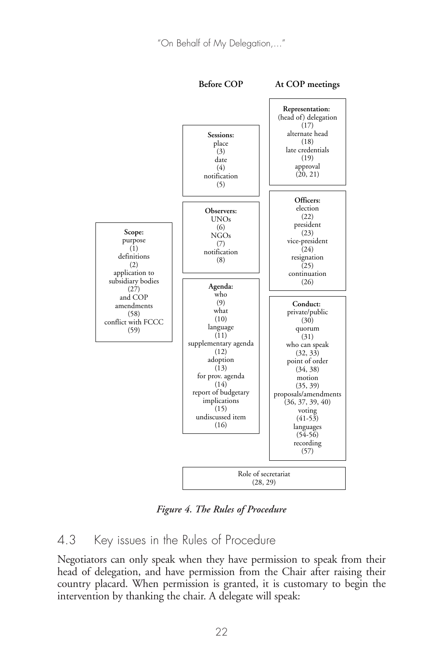

*Figure 4. The Rules of Procedure*

#### 4.3 Key issues in the Rules of Procedure

Negotiators can only speak when they have permission to speak from their head of delegation, and have permission from the Chair after raising their country placard. When permission is granted, it is customary to begin the intervention by thanking the chair. A delegate will speak: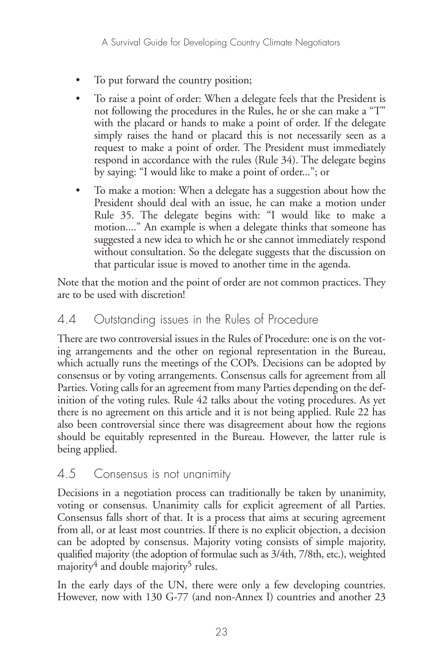- To put forward the country position;
- To raise a point of order: When a delegate feels that the President is not following the procedures in the Rules, he or she can make a "T" with the placard or hands to make a point of order. If the delegate simply raises the hand or placard this is not necessarily seen as a request to make a point of order. The President must immediately respond in accordance with the rules (Rule 34). The delegate begins by saying: "I would like to make a point of order..."; or
- To make a motion: When a delegate has a suggestion about how the President should deal with an issue, he can make a motion under Rule 35. The delegate begins with: "I would like to make a motion...." An example is when a delegate thinks that someone has suggested a new idea to which he or she cannot immediately respond without consultation. So the delegate suggests that the discussion on that particular issue is moved to another time in the agenda.

Note that the motion and the point of order are not common practices. They are to be used with discretion!

#### 4.4 Outstanding issues in the Rules of Procedure

There are two controversial issues in the Rules of Procedure: one is on the voting arrangements and the other on regional representation in the Bureau, which actually runs the meetings of the COPs. Decisions can be adopted by consensus or by voting arrangements. Consensus calls for agreement from all Parties. Voting calls for an agreement from many Parties depending on the definition of the voting rules. Rule 42 talks about the voting procedures. As yet there is no agreement on this article and it is not being applied. Rule 22 has also been controversial since there was disagreement about how the regions should be equitably represented in the Bureau. However, the latter rule is being applied.

#### 4.5 Consensus is not unanimity

Decisions in a negotiation process can traditionally be taken by unanimity, voting or consensus. Unanimity calls for explicit agreement of all Parties. Consensus falls short of that. It is a process that aims at securing agreement from all, or at least most countries. If there is no explicit objection, a decision can be adopted by consensus. Majority voting consists of simple majority, qualified majority (the adoption of formulae such as 3/4th, 7/8th, etc.), weighted majority<sup>4</sup> and double majority<sup>5</sup> rules.

In the early days of the UN, there were only a few developing countries. However, now with 130 G-77 (and non-Annex I) countries and another 23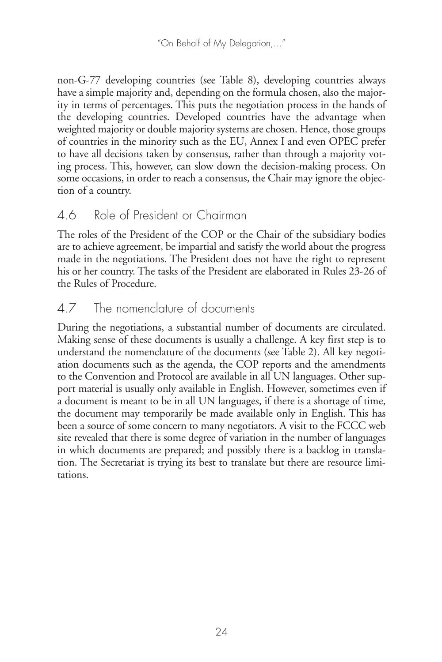non-G-77 developing countries (see Table 8), developing countries always have a simple majority and, depending on the formula chosen, also the majority in terms of percentages. This puts the negotiation process in the hands of the developing countries. Developed countries have the advantage when weighted majority or double majority systems are chosen. Hence, those groups of countries in the minority such as the EU, Annex I and even OPEC prefer to have all decisions taken by consensus, rather than through a majority voting process. This, however, can slow down the decision-making process. On some occasions, in order to reach a consensus, the Chair may ignore the objection of a country.

#### 4.6 Role of President or Chairman

The roles of the President of the COP or the Chair of the subsidiary bodies are to achieve agreement, be impartial and satisfy the world about the progress made in the negotiations. The President does not have the right to represent his or her country. The tasks of the President are elaborated in Rules 23-26 of the Rules of Procedure.

#### 4.7 The nomenclature of documents

During the negotiations, a substantial number of documents are circulated. Making sense of these documents is usually a challenge. A key first step is to understand the nomenclature of the documents (see Table 2). All key negotiation documents such as the agenda, the COP reports and the amendments to the Convention and Protocol are available in all UN languages. Other support material is usually only available in English. However, sometimes even if a document is meant to be in all UN languages, if there is a shortage of time, the document may temporarily be made available only in English. This has been a source of some concern to many negotiators. A visit to the FCCC web site revealed that there is some degree of variation in the number of languages in which documents are prepared; and possibly there is a backlog in translation. The Secretariat is trying its best to translate but there are resource limitations.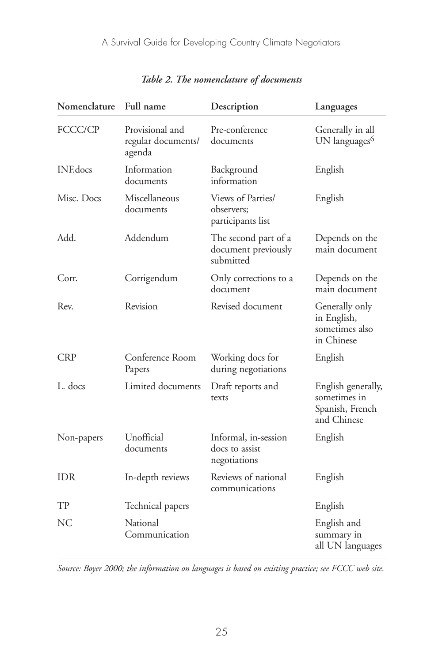| Nomenclature    | Full name                                       | Description                                              | Languages                                                            |
|-----------------|-------------------------------------------------|----------------------------------------------------------|----------------------------------------------------------------------|
| FCCC/CP         | Provisional and<br>regular documents/<br>agenda | Pre-conference<br>documents                              | Generally in all<br>UN languages <sup>6</sup>                        |
| <b>INF.docs</b> | Information<br>documents                        | Background<br>information                                | English                                                              |
| Misc. Docs      | Miscellaneous<br>documents                      | Views of Parties/<br>observers;<br>participants list     | English                                                              |
| Add.            | Addendum                                        | The second part of a<br>document previously<br>submitted | Depends on the<br>main document                                      |
| Corr.           | Corrigendum                                     | Only corrections to a<br>document                        | Depends on the<br>main document                                      |
| Rev.            | Revision                                        | Revised document                                         | Generally only<br>in English,<br>sometimes also<br>in Chinese        |
| <b>CRP</b>      | Conference Room<br>Papers                       | Working docs for<br>during negotiations                  | English                                                              |
| L. docs         | Limited documents                               | Draft reports and<br>texts                               | English generally,<br>sometimes in<br>Spanish, French<br>and Chinese |
| Non-papers      | Unofficial<br>documents                         | Informal, in-session<br>docs to assist<br>negotiations   | English                                                              |
| IDR             | In-depth reviews                                | Reviews of national<br>communications                    | English                                                              |
| TР              | Technical papers                                |                                                          | English                                                              |
| NС              | National<br>Communication                       |                                                          | English and<br>summary in<br>all UN languages                        |

|  |  | Table 2. The nomenclature of documents |  |  |
|--|--|----------------------------------------|--|--|
|--|--|----------------------------------------|--|--|

*Source: Boyer 2000; the information on languages is based on existing practice; see FCCC web site.*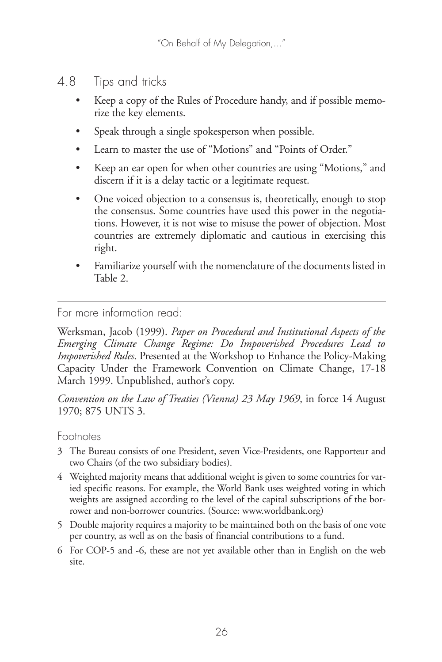- 4.8 Tips and tricks
	- Keep a copy of the Rules of Procedure handy, and if possible memorize the key elements.
	- Speak through a single spokesperson when possible.
	- Learn to master the use of "Motions" and "Points of Order."
	- Keep an ear open for when other countries are using "Motions," and discern if it is a delay tactic or a legitimate request.
	- One voiced objection to a consensus is, theoretically, enough to stop the consensus. Some countries have used this power in the negotiations. However, it is not wise to misuse the power of objection. Most countries are extremely diplomatic and cautious in exercising this right.
	- Familiarize yourself with the nomenclature of the documents listed in Table 2.

For more information read:

Werksman, Jacob (1999). *Paper on Procedural and Institutional Aspects of the Emerging Climate Change Regime: Do Impoverished Procedures Lead to Impoverished Rules*. Presented at the Workshop to Enhance the Policy-Making Capacity Under the Framework Convention on Climate Change, 17-18 March 1999. Unpublished, author's copy.

*Convention on the Law of Treaties (Vienna) 23 May 1969*, in force 14 August 1970; 875 UNTS 3.

Footnotes

- 3 The Bureau consists of one President, seven Vice-Presidents, one Rapporteur and two Chairs (of the two subsidiary bodies).
- 4 Weighted majority means that additional weight is given to some countries for varied specific reasons. For example, the World Bank uses weighted voting in which weights are assigned according to the level of the capital subscriptions of the borrower and non-borrower countries. (Source: www.worldbank.org)
- 5 Double majority requires a majority to be maintained both on the basis of one vote per country, as well as on the basis of financial contributions to a fund.
- 6 For COP-5 and -6, these are not yet available other than in English on the web site.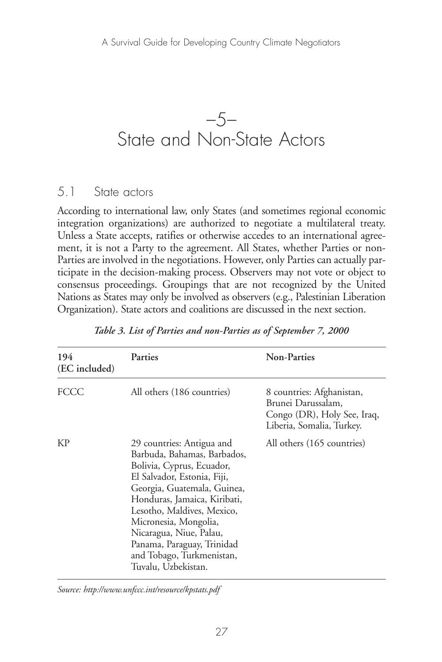# –5– State and Non-State Actors

### 5.1 State actors

According to international law, only States (and sometimes regional economic integration organizations) are authorized to negotiate a multilateral treaty. Unless a State accepts, ratifies or otherwise accedes to an international agreement, it is not a Party to the agreement. All States, whether Parties or non-Parties are involved in the negotiations. However, only Parties can actually participate in the decision-making process. Observers may not vote or object to consensus proceedings. Groupings that are not recognized by the United Nations as States may only be involved as observers (e.g., Palestinian Liberation Organization). State actors and coalitions are discussed in the next section.

| 194<br>(EC included) | <b>Parties</b>                                                                                                                                                                                                                                                                                                                                          | <b>Non-Parties</b>                                                                                          |
|----------------------|---------------------------------------------------------------------------------------------------------------------------------------------------------------------------------------------------------------------------------------------------------------------------------------------------------------------------------------------------------|-------------------------------------------------------------------------------------------------------------|
| <b>FCCC</b>          | All others (186 countries)                                                                                                                                                                                                                                                                                                                              | 8 countries: Afghanistan,<br>Brunei Darussalam.<br>Congo (DR), Holy See, Iraq,<br>Liberia, Somalia, Turkey. |
| KP                   | 29 countries: Antigua and<br>Barbuda, Bahamas, Barbados,<br>Bolivia, Cyprus, Ecuador,<br>El Salvador, Estonia, Fiji,<br>Georgia, Guatemala, Guinea,<br>Honduras, Jamaica, Kiribati,<br>Lesotho, Maldives, Mexico,<br>Micronesia, Mongolia,<br>Nicaragua, Niue, Palau,<br>Panama, Paraguay, Trinidad<br>and Tobago, Turkmenistan,<br>Tuvalu, Uzbekistan. | All others (165 countries)                                                                                  |

*Table 3. List of Parties and non-Parties as of September 7, 2000*

*Source: http://www.unfccc.int/resource/kpstats.pdf*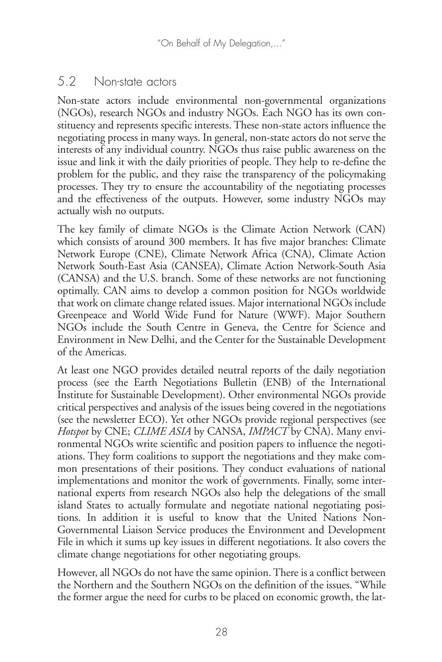### 5.2 Non-state actors

Non-state actors include environmental non-governmental organizations (NGOs), research NGOs and industry NGOs. Each NGO has its own constituency and represents specific interests. These non-state actors influence the negotiating process in many ways. In general, non-state actors do not serve the interests of any individual country. NGOs thus raise public awareness on the issue and link it with the daily priorities of people. They help to re-define the problem for the public, and they raise the transparency of the policymaking processes. They try to ensure the accountability of the negotiating processes and the effectiveness of the outputs. However, some industry NGOs may actually wish no outputs.

The key family of climate NGOs is the Climate Action Network (CAN) which consists of around 300 members. It has five major branches: Climate Network Europe (CNE), Climate Network Africa (CNA), Climate Action Network South-East Asia (CANSEA), Climate Action Network-South Asia (CANSA) and the U.S. branch. Some of these networks are not functioning optimally. CAN aims to develop a common position for NGOs worldwide that work on climate change related issues. Major international NGOs include Greenpeace and World Wide Fund for Nature (WWF). Major Southern NGOs include the South Centre in Geneva, the Centre for Science and Environment in New Delhi, and the Center for the Sustainable Development of the Americas.

At least one NGO provides detailed neutral reports of the daily negotiation process (see the Earth Negotiations Bulletin (ENB) of the International Institute for Sustainable Development). Other environmental NGOs provide critical perspectives and analysis of the issues being covered in the negotiations (see the newsletter ECO). Yet other NGOs provide regional perspectives (see *Hotspot* by CNE; *CLIME ASIA* by CANSA, *IMPACT* by CNA). Many environmental NGOs write scientific and position papers to influence the negotiations. They form coalitions to support the negotiations and they make common presentations of their positions. They conduct evaluations of national implementations and monitor the work of governments. Finally, some international experts from research NGOs also help the delegations of the small island States to actually formulate and negotiate national negotiating positions. In addition it is useful to know that the United Nations Non-Governmental Liaison Service produces the Environment and Development File in which it sums up key issues in different negotiations. It also covers the climate change negotiations for other negotiating groups.

However, all NGOs do not have the same opinion. There is a conflict between the Northern and the Southern NGOs on the definition of the issues. "While the former argue the need for curbs to be placed on economic growth, the lat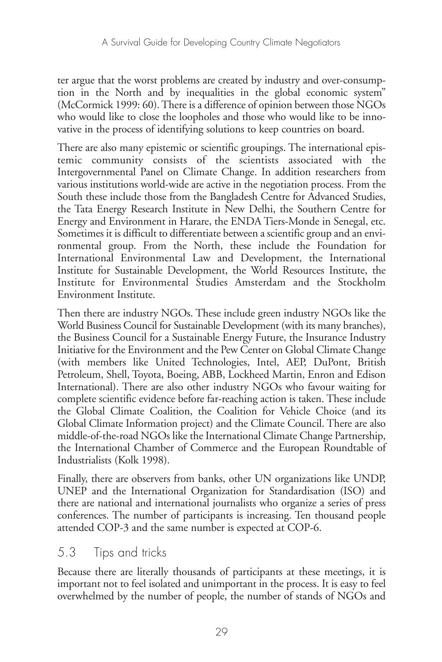ter argue that the worst problems are created by industry and over-consumption in the North and by inequalities in the global economic system" (McCormick 1999: 60). There is a difference of opinion between those NGOs who would like to close the loopholes and those who would like to be innovative in the process of identifying solutions to keep countries on board.

There are also many epistemic or scientific groupings. The international epistemic community consists of the scientists associated with the Intergovernmental Panel on Climate Change. In addition researchers from various institutions world-wide are active in the negotiation process. From the South these include those from the Bangladesh Centre for Advanced Studies, the Tata Energy Research Institute in New Delhi, the Southern Centre for Energy and Environment in Harare, the ENDA Tiers-Monde in Senegal, etc. Sometimes it is difficult to differentiate between a scientific group and an environmental group. From the North, these include the Foundation for International Environmental Law and Development, the International Institute for Sustainable Development, the World Resources Institute, the Institute for Environmental Studies Amsterdam and the Stockholm Environment Institute.

Then there are industry NGOs. These include green industry NGOs like the World Business Council for Sustainable Development (with its many branches), the Business Council for a Sustainable Energy Future, the Insurance Industry Initiative for the Environment and the Pew Center on Global Climate Change (with members like United Technologies, Intel, AEP, DuPont, British Petroleum, Shell, Toyota, Boeing, ABB, Lockheed Martin, Enron and Edison International). There are also other industry NGOs who favour waiting for complete scientific evidence before far-reaching action is taken. These include the Global Climate Coalition, the Coalition for Vehicle Choice (and its Global Climate Information project) and the Climate Council. There are also middle-of-the-road NGOs like the International Climate Change Partnership, the International Chamber of Commerce and the European Roundtable of Industrialists (Kolk 1998).

Finally, there are observers from banks, other UN organizations like UNDP, UNEP and the International Organization for Standardisation (ISO) and there are national and international journalists who organize a series of press conferences. The number of participants is increasing. Ten thousand people attended COP-3 and the same number is expected at COP-6.

### 5.3 Tips and tricks

Because there are literally thousands of participants at these meetings, it is important not to feel isolated and unimportant in the process. It is easy to feel overwhelmed by the number of people, the number of stands of NGOs and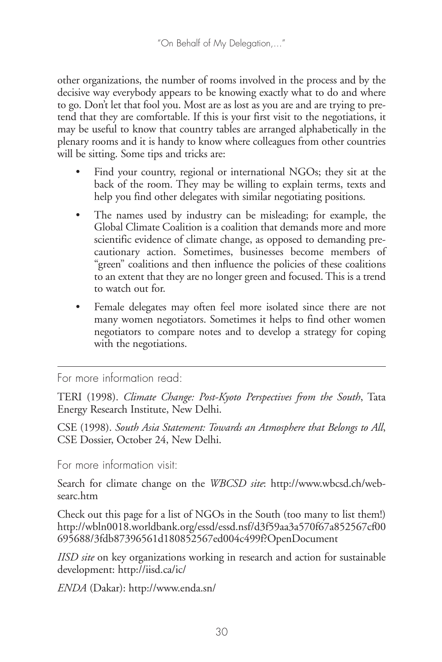other organizations, the number of rooms involved in the process and by the decisive way everybody appears to be knowing exactly what to do and where to go. Don't let that fool you. Most are as lost as you are and are trying to pretend that they are comfortable. If this is your first visit to the negotiations, it may be useful to know that country tables are arranged alphabetically in the plenary rooms and it is handy to know where colleagues from other countries will be sitting. Some tips and tricks are:

- Find your country, regional or international NGOs; they sit at the back of the room. They may be willing to explain terms, texts and help you find other delegates with similar negotiating positions.
- The names used by industry can be misleading; for example, the Global Climate Coalition is a coalition that demands more and more scientific evidence of climate change, as opposed to demanding precautionary action. Sometimes, businesses become members of "green" coalitions and then influence the policies of these coalitions to an extent that they are no longer green and focused. This is a trend to watch out for.
- Female delegates may often feel more isolated since there are not many women negotiators. Sometimes it helps to find other women negotiators to compare notes and to develop a strategy for coping with the negotiations.

For more information read:

TERI (1998). *Climate Change: Post-Kyoto Perspectives from the South*, Tata Energy Research Institute, New Delhi.

CSE (1998). *South Asia Statement: Towards an Atmosphere that Belongs to All*, CSE Dossier, October 24, New Delhi.

For more information visit:

Search for climate change on the *WBCSD site*: http://www.wbcsd.ch/websearc.htm

Check out this page for a list of NGOs in the South (too many to list them!) http://wbln0018.worldbank.org/essd/essd.nsf/d3f59aa3a570f67a852567cf00 695688/3fdb87396561d180852567ed004c499f?OpenDocument

*IISD site* on key organizations working in research and action for sustainable development: http://iisd.ca/ic/

*ENDA* (Dakar): http://www.enda.sn/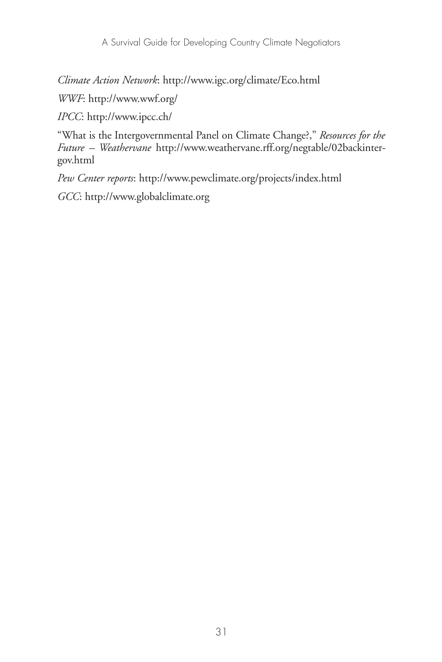A Survival Guide for Developing Country Climate Negotiators

*Climate Action Network*: http://www.igc.org/climate/Eco.html

*WWF*: http://www.wwf.org/

*IPCC*: http://www.ipcc.ch/

"What is the Intergovernmental Panel on Climate Change?," *Resources for the Future – Weathervane* http://www.weathervane.rff.org/negtable/02backintergov.html

*Pew Center reports*: http://www.pewclimate.org/projects/index.html

*GCC*: http://www.globalclimate.org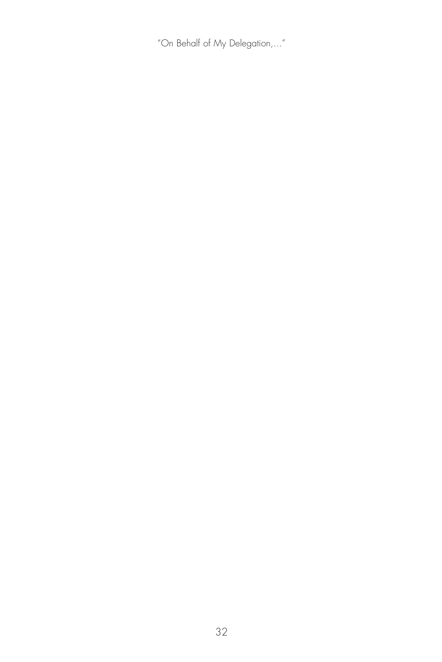"On Behalf of My Delegation,..."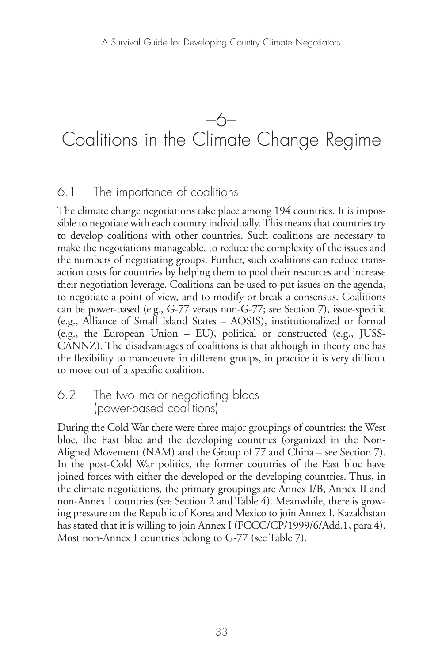# –6– Coalitions in the Climate Change Regime

# 6.1 The importance of coalitions

The climate change negotiations take place among 194 countries. It is impossible to negotiate with each country individually. This means that countries try to develop coalitions with other countries. Such coalitions are necessary to make the negotiations manageable, to reduce the complexity of the issues and the numbers of negotiating groups. Further, such coalitions can reduce transaction costs for countries by helping them to pool their resources and increase their negotiation leverage. Coalitions can be used to put issues on the agenda, to negotiate a point of view, and to modify or break a consensus. Coalitions can be power-based (e.g., G-77 versus non-G-77; see Section 7), issue-specific (e.g., Alliance of Small Island States – AOSIS), institutionalized or formal (e.g., the European Union – EU), political or constructed (e.g., JUSS-CANNZ). The disadvantages of coalitions is that although in theory one has the flexibility to manoeuvre in different groups, in practice it is very difficult to move out of a specific coalition.

6.2 The two major negotiating blocs (power-based coalitions)

During the Cold War there were three major groupings of countries: the West bloc, the East bloc and the developing countries (organized in the Non-Aligned Movement (NAM) and the Group of 77 and China – see Section 7). In the post-Cold War politics, the former countries of the East bloc have joined forces with either the developed or the developing countries. Thus, in the climate negotiations, the primary groupings are Annex I/B, Annex II and non-Annex I countries (see Section 2 and Table 4). Meanwhile, there is growing pressure on the Republic of Korea and Mexico to join Annex I. Kazakhstan has stated that it is willing to join Annex I (FCCC/CP/1999/6/Add.1, para 4). Most non-Annex I countries belong to G-77 (see Table 7).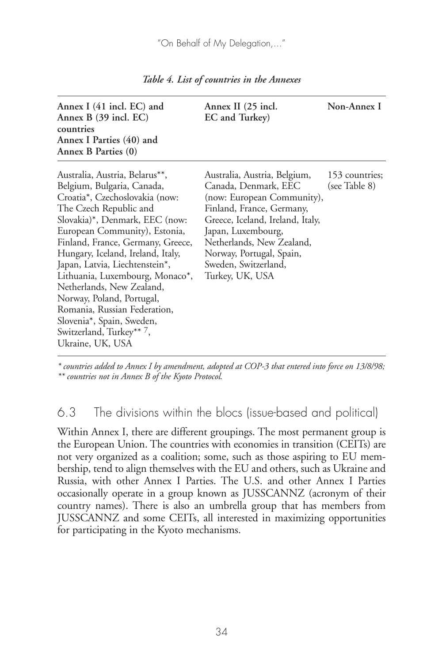| Annex I $(41$ incl. EC) and<br>Annex $B(39 \text{ incl. EC})$<br>countries<br>Annex I Parties (40) and<br>Annex B Parties (0)                                                                                                                                                                                                                                                                                                                                                                                                  | Annex II (25 incl.<br>EC and Turkey)                                                                                                                                                                                                                                          | Non-Annex I                     |
|--------------------------------------------------------------------------------------------------------------------------------------------------------------------------------------------------------------------------------------------------------------------------------------------------------------------------------------------------------------------------------------------------------------------------------------------------------------------------------------------------------------------------------|-------------------------------------------------------------------------------------------------------------------------------------------------------------------------------------------------------------------------------------------------------------------------------|---------------------------------|
| Australia, Austria, Belarus**,<br>Belgium, Bulgaria, Canada,<br>Croatia*, Czechoslovakia (now:<br>The Czech Republic and<br>Slovakia)*, Denmark, EEC (now:<br>European Community), Estonia,<br>Finland, France, Germany, Greece,<br>Hungary, Iceland, Ireland, Italy,<br>Japan, Latvia, Liechtenstein*,<br>Lithuania, Luxembourg, Monaco <sup>*</sup> ,<br>Netherlands, New Zealand,<br>Norway, Poland, Portugal,<br>Romania, Russian Federation,<br>Slovenia*, Spain, Sweden,<br>Switzerland, Turkey** 7,<br>Ukraine, UK, USA | Australia, Austria, Belgium,<br>Canada, Denmark, EEC<br>(now: European Community),<br>Finland, France, Germany,<br>Greece, Iceland, Ireland, Italy,<br>Japan, Luxembourg,<br>Netherlands, New Zealand,<br>Norway, Portugal, Spain,<br>Sweden, Switzerland,<br>Turkey, UK, USA | 153 countries;<br>(see Table 8) |

*Table 4. List of countries in the Annexes*

*\* countries added to Annex I by amendment, adopted at COP-3 that entered into force on 13/8/98; \*\* countries not in Annex B of the Kyoto Protocol.*

### 6.3 The divisions within the blocs (issue-based and political)

Within Annex I, there are different groupings. The most permanent group is the European Union. The countries with economies in transition (CEITs) are not very organized as a coalition; some, such as those aspiring to EU membership, tend to align themselves with the EU and others, such as Ukraine and Russia, with other Annex I Parties. The U.S. and other Annex I Parties occasionally operate in a group known as JUSSCANNZ (acronym of their country names). There is also an umbrella group that has members from JUSSCANNZ and some CEITs, all interested in maximizing opportunities for participating in the Kyoto mechanisms.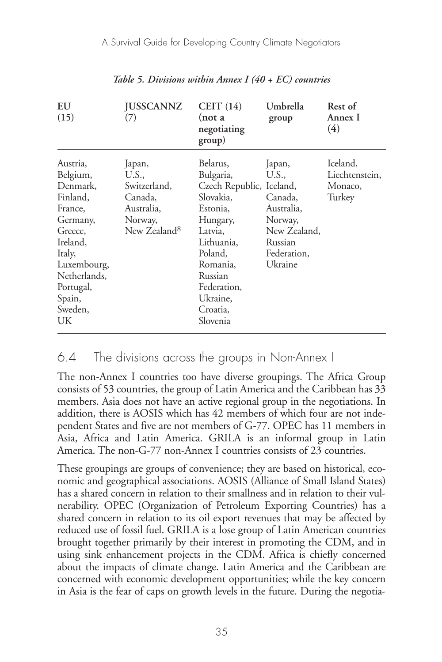| EU<br>(15)                                                                                                                                                                  | <b>JUSSCANNZ</b><br>(7)                                                                         | CEIT $(14)$<br>(not a)<br>negotiating<br>group)                                                                                                                                                      | Umbrella<br>group                                                                                        | Rest of<br>Annex I<br>(4)                       |
|-----------------------------------------------------------------------------------------------------------------------------------------------------------------------------|-------------------------------------------------------------------------------------------------|------------------------------------------------------------------------------------------------------------------------------------------------------------------------------------------------------|----------------------------------------------------------------------------------------------------------|-------------------------------------------------|
| Austria,<br>Belgium,<br>Denmark,<br>Finland,<br>France,<br>Germany,<br>Greece,<br>Ireland,<br>Italy,<br>Luxembourg,<br>Netherlands,<br>Portugal,<br>Spain,<br>Sweden,<br>UK | Japan,<br>U.S.,<br>Switzerland,<br>Canada,<br>Australia,<br>Norway,<br>New Zealand <sup>8</sup> | Belarus,<br>Bulgaria,<br>Czech Republic, Iceland,<br>Slovakia.<br>Estonia,<br>Hungary,<br>Latvia,<br>Lithuania,<br>Poland.<br>Romania,<br>Russian<br>Federation,<br>Ukraine,<br>Croatia,<br>Slovenia | Japan,<br>U.S.,<br>Canada,<br>Australia,<br>Norway,<br>New Zealand,<br>Russian<br>Federation,<br>Ukraine | Iceland,<br>Liechtenstein,<br>Monaco,<br>Turkey |

#### *Table 5. Divisions within Annex I (40 + EC) countries*

### 6.4 The divisions across the groups in Non-Annex I

The non-Annex I countries too have diverse groupings. The Africa Group consists of 53 countries, the group of Latin America and the Caribbean has 33 members. Asia does not have an active regional group in the negotiations. In addition, there is AOSIS which has 42 members of which four are not independent States and five are not members of G-77. OPEC has 11 members in Asia, Africa and Latin America. GRILA is an informal group in Latin America. The non-G-77 non-Annex I countries consists of 23 countries.

These groupings are groups of convenience; they are based on historical, economic and geographical associations. AOSIS (Alliance of Small Island States) has a shared concern in relation to their smallness and in relation to their vulnerability. OPEC (Organization of Petroleum Exporting Countries) has a shared concern in relation to its oil export revenues that may be affected by reduced use of fossil fuel. GRILA is a lose group of Latin American countries brought together primarily by their interest in promoting the CDM, and in using sink enhancement projects in the CDM. Africa is chiefly concerned about the impacts of climate change. Latin America and the Caribbean are concerned with economic development opportunities; while the key concern in Asia is the fear of caps on growth levels in the future. During the negotia-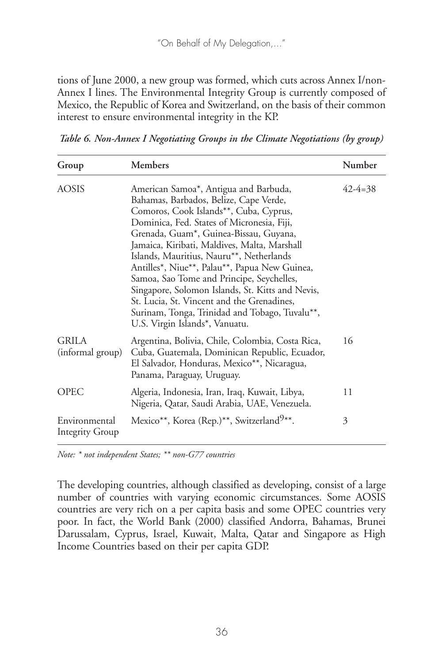tions of June 2000, a new group was formed, which cuts across Annex I/non-Annex I lines. The Environmental Integrity Group is currently composed of Mexico, the Republic of Korea and Switzerland, on the basis of their common interest to ensure environmental integrity in the KP.

**Group Members Number** AOSIS American Samoa\*, Antigua and Barbuda,  $42-4=38$ Bahamas, Barbados, Belize, Cape Verde, Comoros, Cook Islands\*\*, Cuba, Cyprus, Dominica, Fed. States of Micronesia, Fiji, Grenada, Guam\*, Guinea-Bissau, Guyana, Jamaica, Kiribati, Maldives, Malta, Marshall Islands, Mauritius, Nauru\*\*, Netherlands Antilles\*, Niue\*\*, Palau\*\*, Papua New Guinea, Samoa, Sao Tome and Principe, Seychelles, Singapore, Solomon Islands, St. Kitts and Nevis, St. Lucia, St. Vincent and the Grenadines, Surinam, Tonga, Trinidad and Tobago, Tuvalu\*\*, U.S. Virgin Islands\*, Vanuatu. GRILA Argentina, Bolivia, Chile, Colombia, Costa Rica, 16 (informal group) Cuba, Guatemala, Dominican Republic, Ecuador, El Salvador, Honduras, Mexico\*\*, Nicaragua, Panama, Paraguay, Uruguay. OPEC Algeria, Indonesia, Iran, Iraq, Kuwait, Libya, 11 Nigeria, Qatar, Saudi Arabia, UAE, Venezuela. Environmental Mexico<sup>\*\*</sup>, Korea (Rep.)<sup>\*\*</sup>, Switzerland<sup>9\*\*</sup>. 3 Integrity Group

*Table 6. Non-Annex I Negotiating Groups in the Climate Negotiations (by group)*

*Note: \* not independent States; \*\* non-G77 countries*

The developing countries, although classified as developing, consist of a large number of countries with varying economic circumstances. Some AOSIS countries are very rich on a per capita basis and some OPEC countries very poor. In fact, the World Bank (2000) classified Andorra, Bahamas, Brunei Darussalam, Cyprus, Israel, Kuwait, Malta, Qatar and Singapore as High Income Countries based on their per capita GDP.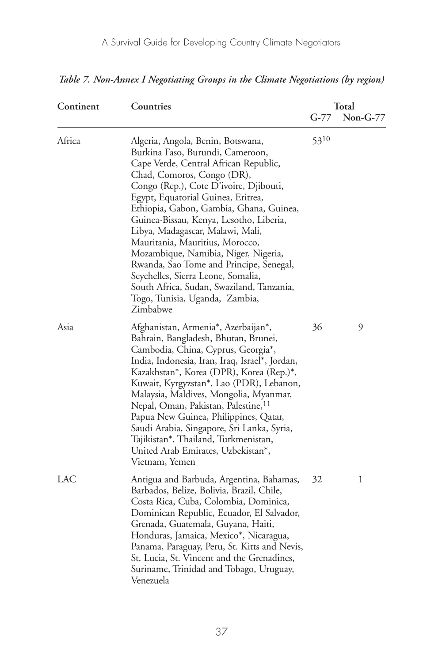| Continent | Countries                                                                                                                                                                                                                                                                                                                                                                                                                                                                                                                                                                                                     | Total  |            |
|-----------|---------------------------------------------------------------------------------------------------------------------------------------------------------------------------------------------------------------------------------------------------------------------------------------------------------------------------------------------------------------------------------------------------------------------------------------------------------------------------------------------------------------------------------------------------------------------------------------------------------------|--------|------------|
|           |                                                                                                                                                                                                                                                                                                                                                                                                                                                                                                                                                                                                               | $G-77$ | $Non-G-77$ |
| Africa    | Algeria, Angola, Benin, Botswana,<br>Burkina Faso, Burundi, Cameroon,<br>Cape Verde, Central African Republic,<br>Chad, Comoros, Congo (DR),<br>Congo (Rep.), Cote D'ivoire, Djibouti,<br>Egypt, Equatorial Guinea, Eritrea,<br>Ethiopia, Gabon, Gambia, Ghana, Guinea,<br>Guinea-Bissau, Kenya, Lesotho, Liberia,<br>Libya, Madagascar, Malawi, Mali,<br>Mauritania, Mauritius, Morocco,<br>Mozambique, Namibia, Niger, Nigeria,<br>Rwanda, Sao Tome and Principe, Senegal,<br>Seychelles, Sierra Leone, Somalia,<br>South Africa, Sudan, Swaziland, Tanzania,<br>Togo, Tunisia, Uganda, Zambia,<br>Zimbabwe | 5310   |            |
| Asia      | Afghanistan, Armenia*, Azerbaijan*,<br>Bahrain, Bangladesh, Bhutan, Brunei,<br>Cambodia, China, Cyprus, Georgia*,<br>India, Indonesia, Iran, Iraq, Israel*, Jordan,<br>Kazakhstan*, Korea (DPR), Korea (Rep.)*,<br>Kuwait, Kyrgyzstan*, Lao (PDR), Lebanon,<br>Malaysia, Maldives, Mongolia, Myanmar,<br>Nepal, Oman, Pakistan, Palestine, 11<br>Papua New Guinea, Philippines, Qatar,<br>Saudi Arabia, Singapore, Sri Lanka, Syria,<br>Tajikistan*, Thailand, Turkmenistan,<br>United Arab Emirates, Uzbekistan*,<br>Vietnam, Yemen                                                                          | 36     | 9          |
| LAC       | Antigua and Barbuda, Argentina, Bahamas,<br>Barbados, Belize, Bolivia, Brazil, Chile,<br>Costa Rica, Cuba, Colombia, Dominica,<br>Dominican Republic, Ecuador, El Salvador,<br>Grenada, Guatemala, Guyana, Haiti,<br>Honduras, Jamaica, Mexico*, Nicaragua,<br>Panama, Paraguay, Peru, St. Kitts and Nevis,<br>St. Lucia, St. Vincent and the Grenadines,<br>Suriname, Trinidad and Tobago, Uruguay,<br>Venezuela                                                                                                                                                                                             | 32     | 1          |

*Table 7. Non-Annex I Negotiating Groups in the Climate Negotiations (by region)*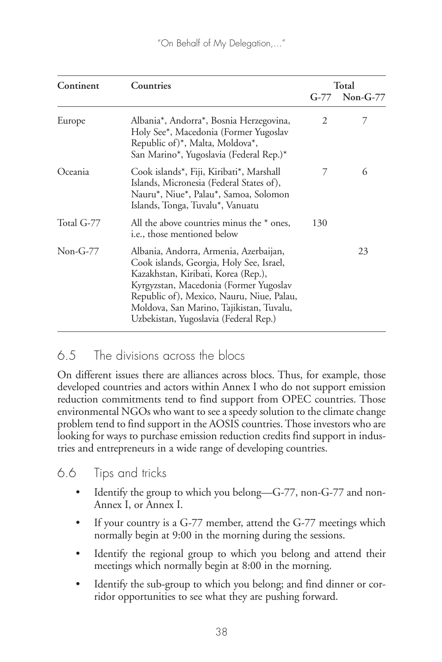| Continent  | Countries                                                                                                                                                                                                                                                                                             | Total |               |
|------------|-------------------------------------------------------------------------------------------------------------------------------------------------------------------------------------------------------------------------------------------------------------------------------------------------------|-------|---------------|
|            |                                                                                                                                                                                                                                                                                                       |       | G-77 Non-G-77 |
| Europe     | Albania*, Andorra*, Bosnia Herzegovina,<br>Holy See*, Macedonia (Former Yugoslav<br>Republic of)*, Malta, Moldova*,<br>San Marino*, Yugoslavia (Federal Rep.)*                                                                                                                                        | 2     | 7             |
| Oceania    | Cook islands*, Fiji, Kiribati*, Marshall<br>Islands, Micronesia (Federal States of),<br>Nauru*, Niue*, Palau*, Samoa, Solomon<br>Islands, Tonga, Tuvalu*, Vanuatu                                                                                                                                     |       | 6             |
| Total G-77 | All the above countries minus the * ones,<br><i>i.e.</i> , those mentioned below                                                                                                                                                                                                                      | 130   |               |
| $Non-G-77$ | Albania, Andorra, Armenia, Azerbaijan,<br>Cook islands, Georgia, Holy See, Israel,<br>Kazakhstan, Kiribati, Korea (Rep.),<br>Kyrgyzstan, Macedonia (Former Yugoslav<br>Republic of), Mexico, Nauru, Niue, Palau,<br>Moldova, San Marino, Tajikistan, Tuvalu,<br>Uzbekistan, Yugoslavia (Federal Rep.) |       | 23            |

## 6.5 The divisions across the blocs

On different issues there are alliances across blocs. Thus, for example, those developed countries and actors within Annex I who do not support emission reduction commitments tend to find support from OPEC countries. Those environmental NGOs who want to see a speedy solution to the climate change problem tend to find support in the AOSIS countries. Those investors who are looking for ways to purchase emission reduction credits find support in industries and entrepreneurs in a wide range of developing countries.

6.6 Tips and tricks

- Identify the group to which you belong—G-77, non-G-77 and non-Annex I, or Annex I.
- If your country is a  $G-77$  member, attend the  $G-77$  meetings which normally begin at 9:00 in the morning during the sessions.
- Identify the regional group to which you belong and attend their meetings which normally begin at 8:00 in the morning.
- Identify the sub-group to which you belong; and find dinner or corridor opportunities to see what they are pushing forward.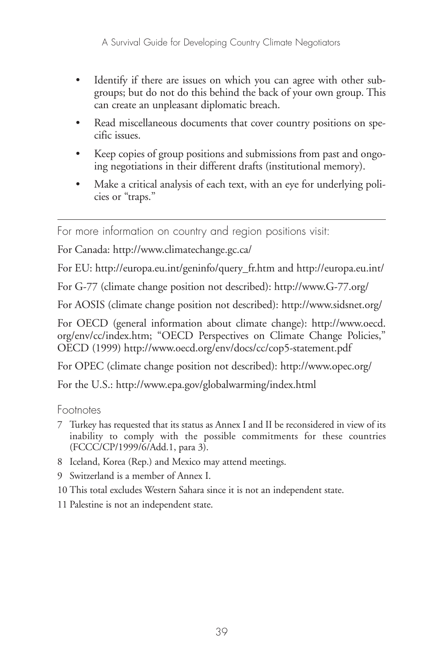- Identify if there are issues on which you can agree with other subgroups; but do not do this behind the back of your own group. This can create an unpleasant diplomatic breach.
- Read miscellaneous documents that cover country positions on specific issues.
- Keep copies of group positions and submissions from past and ongoing negotiations in their different drafts (institutional memory).
- Make a critical analysis of each text, with an eye for underlying policies or "traps."

For more information on country and region positions visit:

For Canada: http://www.climatechange.gc.ca/

For EU: http://europa.eu.int/geninfo/query\_fr.htm and http://europa.eu.int/

For G-77 (climate change position not described): http://www.G-77.org/

For AOSIS (climate change position not described): http://www.sidsnet.org/

For OECD (general information about climate change): http://www.oecd. org/env/cc/index.htm; "OECD Perspectives on Climate Change Policies," OECD (1999) http://www.oecd.org/env/docs/cc/cop5-statement.pdf

For OPEC (climate change position not described): http://www.opec.org/

For the U.S.: http://www.epa.gov/globalwarming/index.html

Footnotes

- 7 Turkey has requested that its status as Annex I and II be reconsidered in view of its inability to comply with the possible commitments for these countries (FCCC/CP/1999/6/Add.1, para 3).
- 8 Iceland, Korea (Rep.) and Mexico may attend meetings.
- 9 Switzerland is a member of Annex I.
- 10 This total excludes Western Sahara since it is not an independent state.
- 11 Palestine is not an independent state.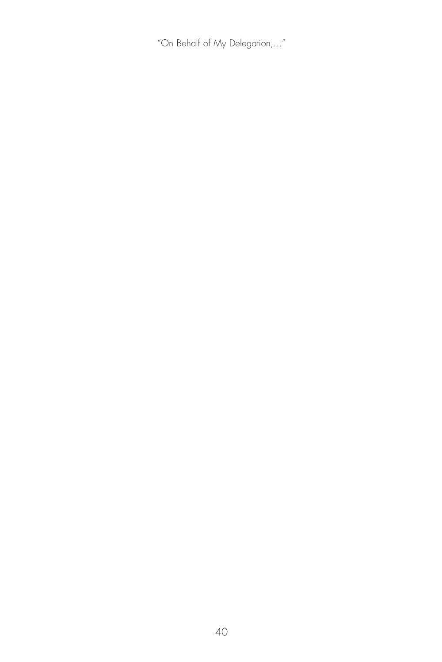"On Behalf of My Delegation,..."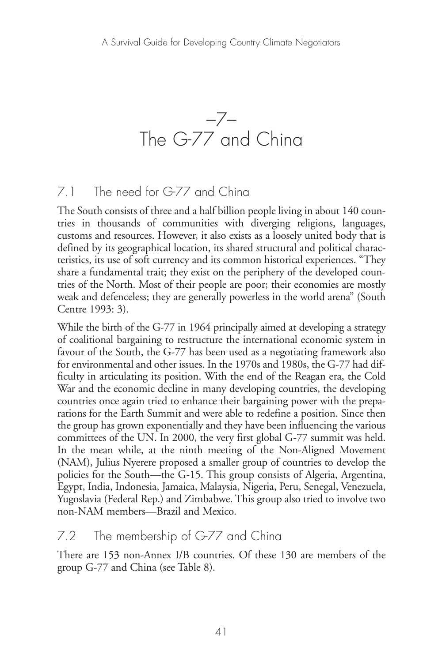

## 7.1 The need for G-77 and China

The South consists of three and a half billion people living in about 140 countries in thousands of communities with diverging religions, languages, customs and resources. However, it also exists as a loosely united body that is defined by its geographical location, its shared structural and political characteristics, its use of soft currency and its common historical experiences. "They share a fundamental trait; they exist on the periphery of the developed countries of the North. Most of their people are poor; their economies are mostly weak and defenceless; they are generally powerless in the world arena" (South Centre 1993: 3).

While the birth of the G-77 in 1964 principally aimed at developing a strategy of coalitional bargaining to restructure the international economic system in favour of the South, the G-77 has been used as a negotiating framework also for environmental and other issues. In the 1970s and 1980s, the G-77 had difficulty in articulating its position. With the end of the Reagan era, the Cold War and the economic decline in many developing countries, the developing countries once again tried to enhance their bargaining power with the preparations for the Earth Summit and were able to redefine a position. Since then the group has grown exponentially and they have been influencing the various committees of the UN. In 2000, the very first global G-77 summit was held. In the mean while, at the ninth meeting of the Non-Aligned Movement (NAM), Julius Nyerere proposed a smaller group of countries to develop the policies for the South—the G-15. This group consists of Algeria, Argentina, Egypt, India, Indonesia, Jamaica, Malaysia, Nigeria, Peru, Senegal, Venezuela, Yugoslavia (Federal Rep.) and Zimbabwe. This group also tried to involve two non-NAM members—Brazil and Mexico.

### 7.2 The membership of G-77 and China

There are 153 non-Annex I/B countries. Of these 130 are members of the group G-77 and China (see Table 8).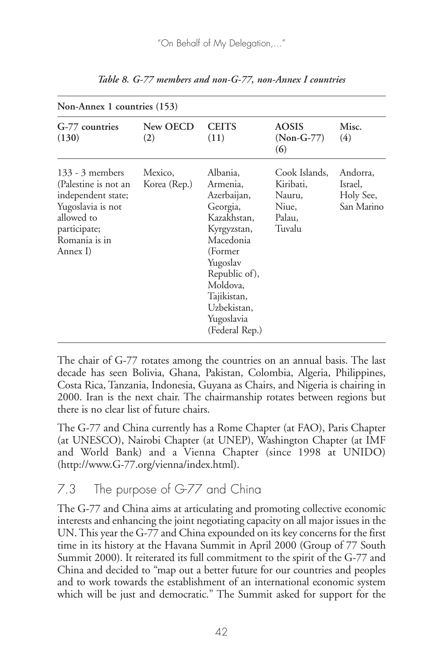| Non-Annex 1 countries (153)                                                                                                                     |                         |                                                                                                                                                                                                               |                                                                   |                                                |
|-------------------------------------------------------------------------------------------------------------------------------------------------|-------------------------|---------------------------------------------------------------------------------------------------------------------------------------------------------------------------------------------------------------|-------------------------------------------------------------------|------------------------------------------------|
| G-77 countries<br>(130)                                                                                                                         | New OECD<br>(2)         | <b>CEITS</b><br>(11)                                                                                                                                                                                          | <b>AOSIS</b><br>(Non-G-77)<br>(6)                                 | Misc.<br>(4)                                   |
| $133 - 3$ members<br>(Palestine is not an<br>independent state;<br>Yugoslavia is not<br>allowed to<br>participate;<br>Romania is in<br>Annex I) | Mexico,<br>Korea (Rep.) | Albania,<br>Armenia,<br>Azerbaijan,<br>Georgia,<br>Kazakhstan,<br>Kyrgyzstan,<br>Macedonia<br>(Former)<br>Yugoslav<br>Republic of),<br>Moldova,<br>Tajikistan,<br>Uzbekistan,<br>Yugoslavia<br>(Federal Rep.) | Cook Islands,<br>Kiribati,<br>Nauru,<br>Niue,<br>Palau,<br>Tuvalu | Andorra,<br>Israel,<br>Holy See,<br>San Marino |

*Table 8. G-77 members and non-G-77, non-Annex I countries*

The chair of G-77 rotates among the countries on an annual basis. The last decade has seen Bolivia, Ghana, Pakistan, Colombia, Algeria, Philippines, Costa Rica, Tanzania, Indonesia, Guyana as Chairs, and Nigeria is chairing in 2000. Iran is the next chair. The chairmanship rotates between regions but there is no clear list of future chairs.

The G-77 and China currently has a Rome Chapter (at FAO), Paris Chapter (at UNESCO), Nairobi Chapter (at UNEP), Washington Chapter (at IMF and World Bank) and a Vienna Chapter (since 1998 at UNIDO) (http://www.G-77.org/vienna/index.html).

# 7.3 The purpose of G-77 and China

The G-77 and China aims at articulating and promoting collective economic interests and enhancing the joint negotiating capacity on all major issues in the UN. This year the G-77 and China expounded on its key concerns for the first time in its history at the Havana Summit in April 2000 (Group of 77 South Summit 2000). It reiterated its full commitment to the spirit of the G-77 and China and decided to "map out a better future for our countries and peoples and to work towards the establishment of an international economic system which will be just and democratic." The Summit asked for support for the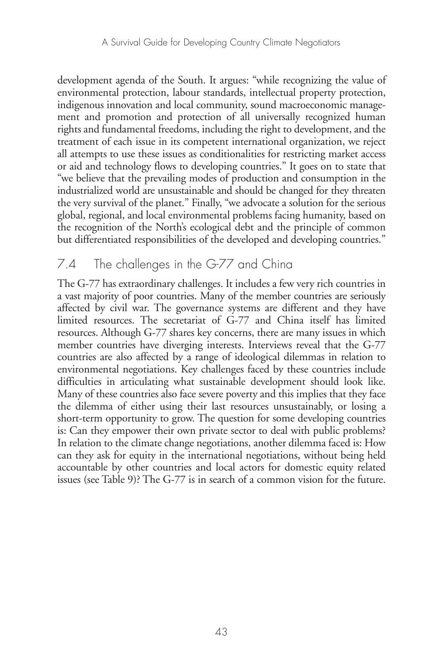development agenda of the South. It argues: "while recognizing the value of environmental protection, labour standards, intellectual property protection, indigenous innovation and local community, sound macroeconomic management and promotion and protection of all universally recognized human rights and fundamental freedoms, including the right to development, and the treatment of each issue in its competent international organization, we reject all attempts to use these issues as conditionalities for restricting market access or aid and technology flows to developing countries." It goes on to state that "we believe that the prevailing modes of production and consumption in the industrialized world are unsustainable and should be changed for they threaten the very survival of the planet." Finally, "we advocate a solution for the serious global, regional, and local environmental problems facing humanity, based on the recognition of the North's ecological debt and the principle of common but differentiated responsibilities of the developed and developing countries."

## 7.4 The challenges in the G-77 and China

The G-77 has extraordinary challenges. It includes a few very rich countries in a vast majority of poor countries. Many of the member countries are seriously affected by civil war. The governance systems are different and they have limited resources. The secretariat of G-77 and China itself has limited resources. Although G-77 shares key concerns, there are many issues in which member countries have diverging interests. Interviews reveal that the G-77 countries are also affected by a range of ideological dilemmas in relation to environmental negotiations. Key challenges faced by these countries include difficulties in articulating what sustainable development should look like. Many of these countries also face severe poverty and this implies that they face the dilemma of either using their last resources unsustainably, or losing a short-term opportunity to grow. The question for some developing countries is: Can they empower their own private sector to deal with public problems? In relation to the climate change negotiations, another dilemma faced is: How can they ask for equity in the international negotiations, without being held accountable by other countries and local actors for domestic equity related issues (see Table 9)? The G-77 is in search of a common vision for the future.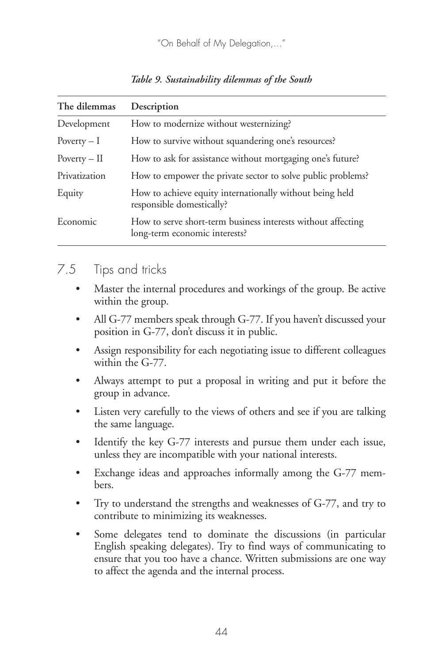| The dilemmas   | Description                                                                                   |
|----------------|-----------------------------------------------------------------------------------------------|
| Development    | How to modernize without westernizing?                                                        |
| Poverty $-1$   | How to survive without squandering one's resources?                                           |
| Poverty $-$ II | How to ask for assistance without mortgaging one's future?                                    |
| Privatization  | How to empower the private sector to solve public problems?                                   |
| Equity         | How to achieve equity internationally without being held<br>responsible domestically?         |
| Economic       | How to serve short-term business interests without affecting<br>long-term economic interests? |

*Table 9. Sustainability dilemmas of the South*

### 7.5 Tips and tricks

- Master the internal procedures and workings of the group. Be active within the group.
- All G-77 members speak through G-77. If you haven't discussed your position in G-77, don't discuss it in public.
- Assign responsibility for each negotiating issue to different colleagues within the G-77.
- Always attempt to put a proposal in writing and put it before the group in advance.
- Listen very carefully to the views of others and see if you are talking the same language.
- Identify the key G-77 interests and pursue them under each issue, unless they are incompatible with your national interests.
- Exchange ideas and approaches informally among the G-77 members.
- Try to understand the strengths and weaknesses of G-77, and try to contribute to minimizing its weaknesses.
- Some delegates tend to dominate the discussions (in particular English speaking delegates). Try to find ways of communicating to ensure that you too have a chance. Written submissions are one way to affect the agenda and the internal process.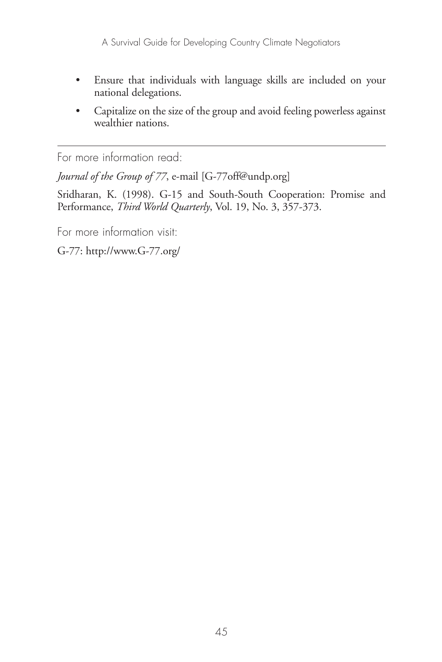- Ensure that individuals with language skills are included on your national delegations.
- Capitalize on the size of the group and avoid feeling powerless against wealthier nations.

For more information read:

*Journal of the Group of 77*, e-mail [G-77off@undp.org]

Sridharan, K. (1998). G-15 and South-South Cooperation: Promise and Performance, *Third World Quarterly*, Vol. 19, No. 3, 357-373.

For more information visit:

G-77: http://www.G-77.org/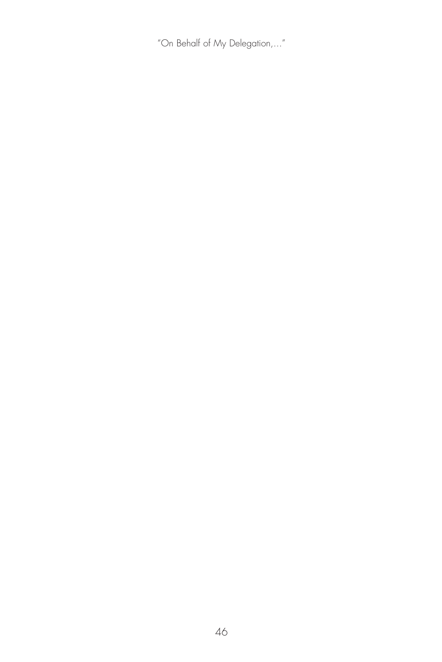"On Behalf of My Delegation,..."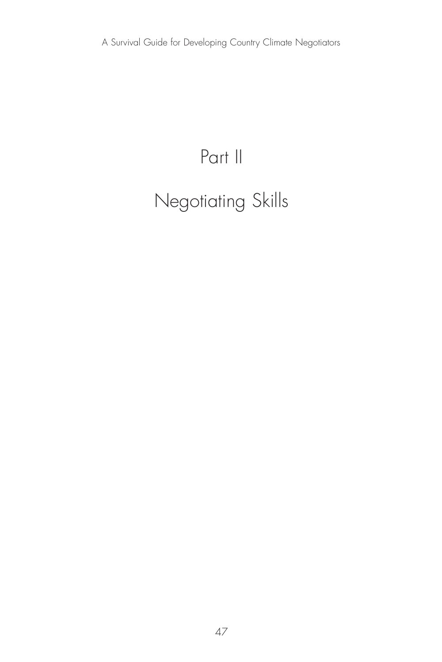# Part II

# Negotiating Skills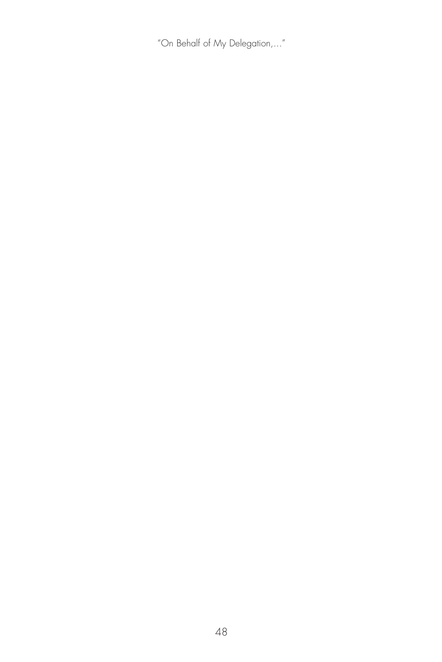"On Behalf of My Delegation,..."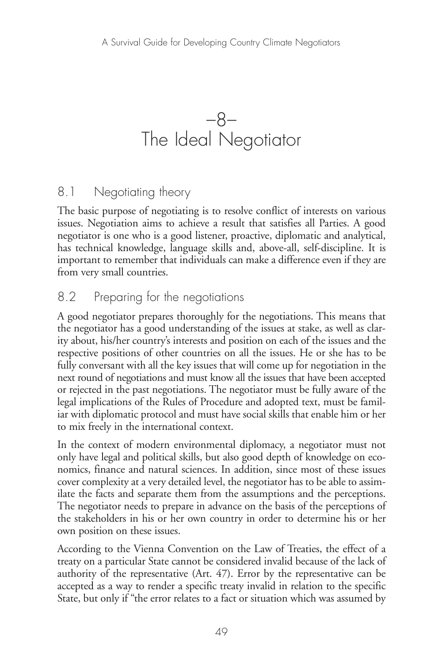# –8– The Ideal Negotiator

### 8.1 Negotiating theory

The basic purpose of negotiating is to resolve conflict of interests on various issues. Negotiation aims to achieve a result that satisfies all Parties. A good negotiator is one who is a good listener, proactive, diplomatic and analytical, has technical knowledge, language skills and, above-all, self-discipline. It is important to remember that individuals can make a difference even if they are from very small countries.

# 8.2 Preparing for the negotiations

A good negotiator prepares thoroughly for the negotiations. This means that the negotiator has a good understanding of the issues at stake, as well as clarity about, his/her country's interests and position on each of the issues and the respective positions of other countries on all the issues. He or she has to be fully conversant with all the key issues that will come up for negotiation in the next round of negotiations and must know all the issues that have been accepted or rejected in the past negotiations. The negotiator must be fully aware of the legal implications of the Rules of Procedure and adopted text, must be familiar with diplomatic protocol and must have social skills that enable him or her to mix freely in the international context.

In the context of modern environmental diplomacy, a negotiator must not only have legal and political skills, but also good depth of knowledge on economics, finance and natural sciences. In addition, since most of these issues cover complexity at a very detailed level, the negotiator has to be able to assimilate the facts and separate them from the assumptions and the perceptions. The negotiator needs to prepare in advance on the basis of the perceptions of the stakeholders in his or her own country in order to determine his or her own position on these issues.

According to the Vienna Convention on the Law of Treaties, the effect of a treaty on a particular State cannot be considered invalid because of the lack of authority of the representative (Art. 47). Error by the representative can be accepted as a way to render a specific treaty invalid in relation to the specific State, but only if "the error relates to a fact or situation which was assumed by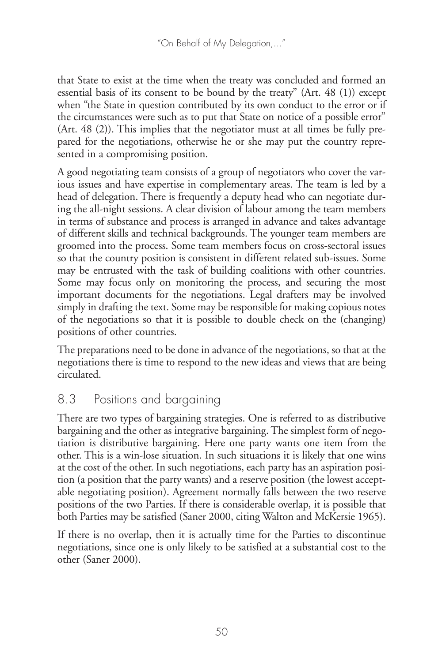that State to exist at the time when the treaty was concluded and formed an essential basis of its consent to be bound by the treaty" (Art. 48 (1)) except when "the State in question contributed by its own conduct to the error or if the circumstances were such as to put that State on notice of a possible error" (Art. 48 (2)). This implies that the negotiator must at all times be fully prepared for the negotiations, otherwise he or she may put the country represented in a compromising position.

A good negotiating team consists of a group of negotiators who cover the various issues and have expertise in complementary areas. The team is led by a head of delegation. There is frequently a deputy head who can negotiate during the all-night sessions. A clear division of labour among the team members in terms of substance and process is arranged in advance and takes advantage of different skills and technical backgrounds. The younger team members are groomed into the process. Some team members focus on cross-sectoral issues so that the country position is consistent in different related sub-issues. Some may be entrusted with the task of building coalitions with other countries. Some may focus only on monitoring the process, and securing the most important documents for the negotiations. Legal drafters may be involved simply in drafting the text. Some may be responsible for making copious notes of the negotiations so that it is possible to double check on the (changing) positions of other countries.

The preparations need to be done in advance of the negotiations, so that at the negotiations there is time to respond to the new ideas and views that are being circulated.

## 8.3 Positions and bargaining

There are two types of bargaining strategies. One is referred to as distributive bargaining and the other as integrative bargaining. The simplest form of negotiation is distributive bargaining. Here one party wants one item from the other. This is a win-lose situation. In such situations it is likely that one wins at the cost of the other. In such negotiations, each party has an aspiration position (a position that the party wants) and a reserve position (the lowest acceptable negotiating position). Agreement normally falls between the two reserve positions of the two Parties. If there is considerable overlap, it is possible that both Parties may be satisfied (Saner 2000, citing Walton and McKersie 1965).

If there is no overlap, then it is actually time for the Parties to discontinue negotiations, since one is only likely to be satisfied at a substantial cost to the other (Saner 2000).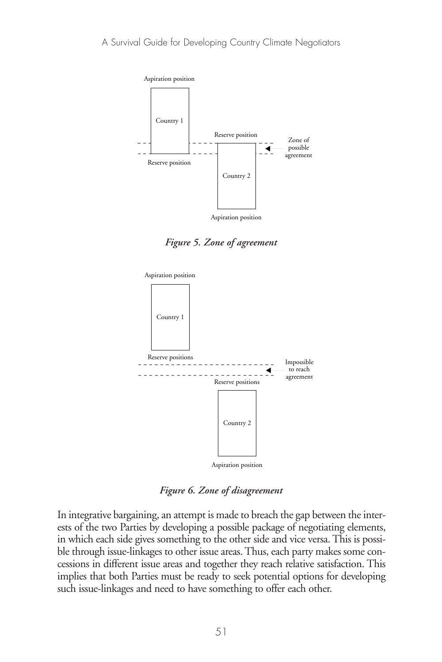

*Figure 5. Zone of agreement* 



*Figure 6. Zone of disagreement*

In integrative bargaining, an attempt is made to breach the gap between the interests of the two Parties by developing a possible package of negotiating elements, in which each side gives something to the other side and vice versa. This is possible through issue-linkages to other issue areas. Thus, each party makes some concessions in different issue areas and together they reach relative satisfaction. This implies that both Parties must be ready to seek potential options for developing such issue-linkages and need to have something to offer each other.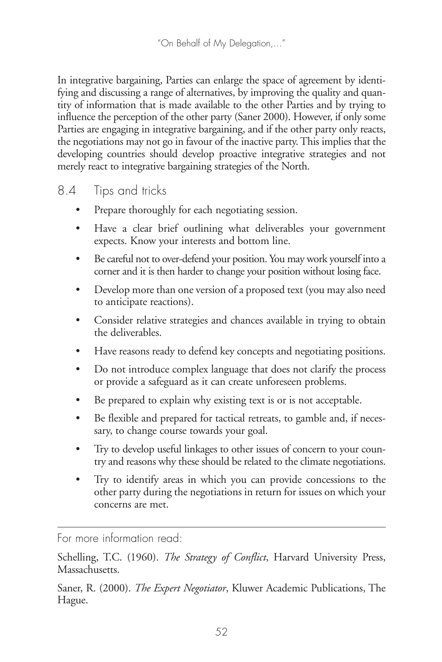In integrative bargaining, Parties can enlarge the space of agreement by identifying and discussing a range of alternatives, by improving the quality and quantity of information that is made available to the other Parties and by trying to influence the perception of the other party (Saner 2000). However, if only some Parties are engaging in integrative bargaining, and if the other party only reacts, the negotiations may not go in favour of the inactive party. This implies that the developing countries should develop proactive integrative strategies and not merely react to integrative bargaining strategies of the North.

8.4 Tips and tricks

- Prepare thoroughly for each negotiating session.
- Have a clear brief outlining what deliverables your government expects. Know your interests and bottom line.
- Be careful not to over-defend your position. You may work yourself into a corner and it is then harder to change your position without losing face.
- Develop more than one version of a proposed text (you may also need to anticipate reactions).
- Consider relative strategies and chances available in trying to obtain the deliverables.
- Have reasons ready to defend key concepts and negotiating positions.
- Do not introduce complex language that does not clarify the process or provide a safeguard as it can create unforeseen problems.
- Be prepared to explain why existing text is or is not acceptable.
- Be flexible and prepared for tactical retreats, to gamble and, if necessary, to change course towards your goal.
- Try to develop useful linkages to other issues of concern to your country and reasons why these should be related to the climate negotiations.
- Try to identify areas in which you can provide concessions to the other party during the negotiations in return for issues on which your concerns are met.

For more information read:

Schelling, T.C. (1960). *The Strategy of Conflict*, Harvard University Press, Massachusetts.

Saner, R. (2000). *The Expert Negotiator*, Kluwer Academic Publications, The Hague.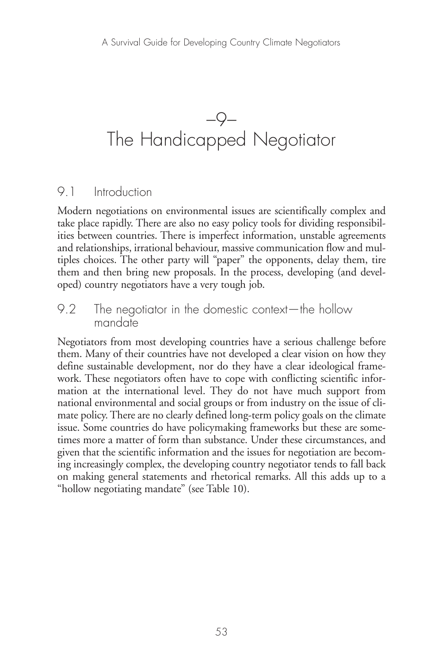# –9– The Handicapped Negotiator

### 9.1 Introduction

Modern negotiations on environmental issues are scientifically complex and take place rapidly. There are also no easy policy tools for dividing responsibilities between countries. There is imperfect information, unstable agreements and relationships, irrational behaviour, massive communication flow and multiples choices. The other party will "paper" the opponents, delay them, tire them and then bring new proposals. In the process, developing (and developed) country negotiators have a very tough job.

9.2 The negotiator in the domestic context—the hollow mandate

Negotiators from most developing countries have a serious challenge before them. Many of their countries have not developed a clear vision on how they define sustainable development, nor do they have a clear ideological framework. These negotiators often have to cope with conflicting scientific information at the international level. They do not have much support from national environmental and social groups or from industry on the issue of climate policy. There are no clearly defined long-term policy goals on the climate issue. Some countries do have policymaking frameworks but these are sometimes more a matter of form than substance. Under these circumstances, and given that the scientific information and the issues for negotiation are becoming increasingly complex, the developing country negotiator tends to fall back on making general statements and rhetorical remarks. All this adds up to a "hollow negotiating mandate" (see Table 10).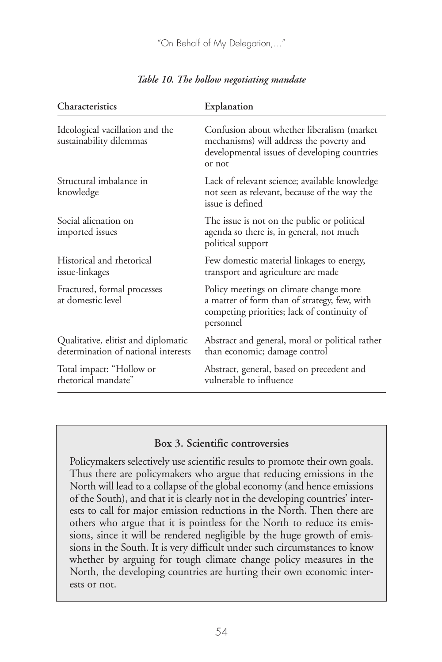| Characteristics                                                            | Explanation                                                                                                                                        |  |
|----------------------------------------------------------------------------|----------------------------------------------------------------------------------------------------------------------------------------------------|--|
| Ideological vacillation and the<br>sustainability dilemmas                 | Confusion about whether liberalism (market<br>mechanisms) will address the poverty and<br>developmental issues of developing countries<br>or not   |  |
| Structural imbalance in<br>knowledge                                       | Lack of relevant science; available knowledge<br>not seen as relevant, because of the way the<br>issue is defined                                  |  |
| Social alienation on<br>imported issues                                    | The issue is not on the public or political<br>agenda so there is, in general, not much<br>political support                                       |  |
| Historical and rhetorical<br>issue-linkages                                | Few domestic material linkages to energy,<br>transport and agriculture are made                                                                    |  |
| Fractured, formal processes<br>at domestic level                           | Policy meetings on climate change more<br>a matter of form than of strategy, few, with<br>competing priorities; lack of continuity of<br>personnel |  |
| Qualitative, elitist and diplomatic<br>determination of national interests | Abstract and general, moral or political rather<br>than economic; damage control                                                                   |  |
| Total impact: "Hollow or<br>rhetorical mandate"                            | Abstract, general, based on precedent and<br>vulnerable to influence                                                                               |  |

*Table 10. The hollow negotiating mandate*

### **Box 3. Scientific controversies**

Policymakers selectively use scientific results to promote their own goals. Thus there are policymakers who argue that reducing emissions in the North will lead to a collapse of the global economy (and hence emissions of the South), and that it is clearly not in the developing countries' interests to call for major emission reductions in the North. Then there are others who argue that it is pointless for the North to reduce its emissions, since it will be rendered negligible by the huge growth of emissions in the South. It is very difficult under such circumstances to know whether by arguing for tough climate change policy measures in the North, the developing countries are hurting their own economic interests or not.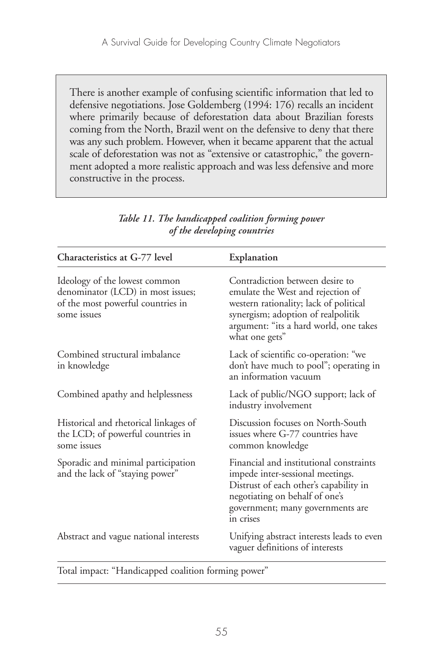There is another example of confusing scientific information that led to defensive negotiations. Jose Goldemberg (1994: 176) recalls an incident where primarily because of deforestation data about Brazilian forests coming from the North, Brazil went on the defensive to deny that there was any such problem. However, when it became apparent that the actual scale of deforestation was not as "extensive or catastrophic," the government adopted a more realistic approach and was less defensive and more constructive in the process.

| Characteristics at G-77 level                                                                                          | Explanation                                                                                                                                                                                                      |
|------------------------------------------------------------------------------------------------------------------------|------------------------------------------------------------------------------------------------------------------------------------------------------------------------------------------------------------------|
| Ideology of the lowest common<br>denominator (LCD) in most issues;<br>of the most powerful countries in<br>some issues | Contradiction between desire to<br>emulate the West and rejection of<br>western rationality; lack of political<br>synergism; adoption of realpolitik<br>argument: "its a hard world, one takes<br>what one gets" |
| Combined structural imbalance<br>in knowledge                                                                          | Lack of scientific co-operation: "we<br>don't have much to pool"; operating in<br>an information vacuum                                                                                                          |
| Combined apathy and helplessness                                                                                       | Lack of public/NGO support; lack of<br>industry involvement                                                                                                                                                      |
| Historical and rhetorical linkages of<br>the LCD; of powerful countries in<br>some issues                              | Discussion focuses on North-South<br>issues where G-77 countries have<br>common knowledge                                                                                                                        |
| Sporadic and minimal participation<br>and the lack of "staying power"                                                  | Financial and institutional constraints<br>impede inter-sessional meetings.<br>Distrust of each other's capability in<br>negotiating on behalf of one's<br>government; many governments are<br>in crises         |
| Abstract and vague national interests                                                                                  | Unifying abstract interests leads to even<br>vaguer definitions of interests                                                                                                                                     |

### *Table 11. The handicapped coalition forming power of the developing countries*

Total impact: "Handicapped coalition forming power"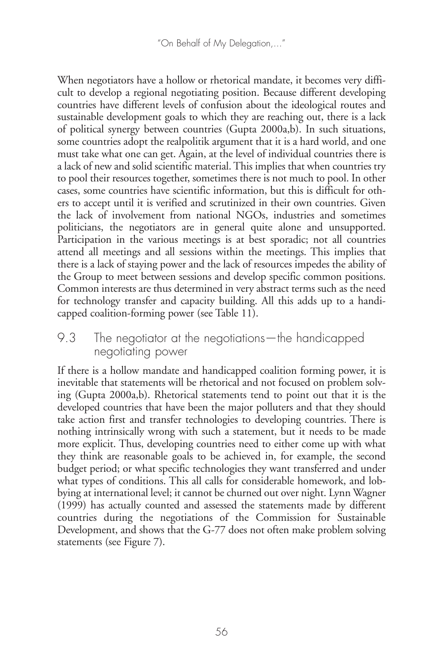When negotiators have a hollow or rhetorical mandate, it becomes very difficult to develop a regional negotiating position. Because different developing countries have different levels of confusion about the ideological routes and sustainable development goals to which they are reaching out, there is a lack of political synergy between countries (Gupta 2000a,b). In such situations, some countries adopt the realpolitik argument that it is a hard world, and one must take what one can get. Again, at the level of individual countries there is a lack of new and solid scientific material. This implies that when countries try to pool their resources together, sometimes there is not much to pool. In other cases, some countries have scientific information, but this is difficult for others to accept until it is verified and scrutinized in their own countries. Given the lack of involvement from national NGOs, industries and sometimes politicians, the negotiators are in general quite alone and unsupported. Participation in the various meetings is at best sporadic; not all countries attend all meetings and all sessions within the meetings. This implies that there is a lack of staying power and the lack of resources impedes the ability of the Group to meet between sessions and develop specific common positions. Common interests are thus determined in very abstract terms such as the need for technology transfer and capacity building. All this adds up to a handicapped coalition-forming power (see Table 11).

### 9.3 The negotiator at the negotiations—the handicapped negotiating power

If there is a hollow mandate and handicapped coalition forming power, it is inevitable that statements will be rhetorical and not focused on problem solving (Gupta 2000a,b). Rhetorical statements tend to point out that it is the developed countries that have been the major polluters and that they should take action first and transfer technologies to developing countries. There is nothing intrinsically wrong with such a statement, but it needs to be made more explicit. Thus, developing countries need to either come up with what they think are reasonable goals to be achieved in, for example, the second budget period; or what specific technologies they want transferred and under what types of conditions. This all calls for considerable homework, and lobbying at international level; it cannot be churned out over night. Lynn Wagner (1999) has actually counted and assessed the statements made by different countries during the negotiations of the Commission for Sustainable Development, and shows that the G-77 does not often make problem solving statements (see Figure 7).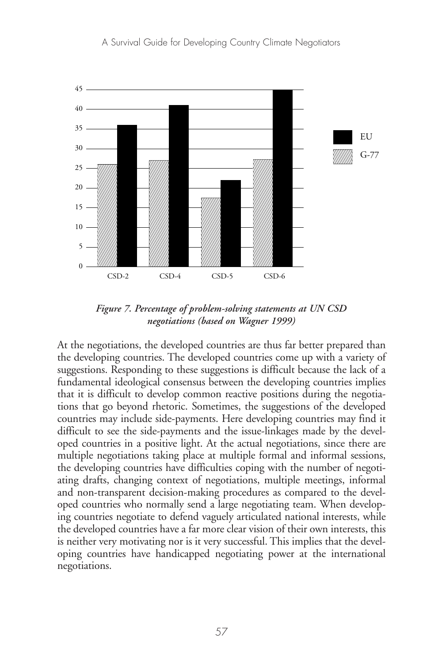

*Figure 7. Percentage of problem-solving statements at UN CSD negotiations (based on Wagner 1999)*

At the negotiations, the developed countries are thus far better prepared than the developing countries. The developed countries come up with a variety of suggestions. Responding to these suggestions is difficult because the lack of a fundamental ideological consensus between the developing countries implies that it is difficult to develop common reactive positions during the negotiations that go beyond rhetoric. Sometimes, the suggestions of the developed countries may include side-payments. Here developing countries may find it difficult to see the side-payments and the issue-linkages made by the developed countries in a positive light. At the actual negotiations, since there are multiple negotiations taking place at multiple formal and informal sessions, the developing countries have difficulties coping with the number of negotiating drafts, changing context of negotiations, multiple meetings, informal and non-transparent decision-making procedures as compared to the developed countries who normally send a large negotiating team. When developing countries negotiate to defend vaguely articulated national interests, while the developed countries have a far more clear vision of their own interests, this is neither very motivating nor is it very successful. This implies that the developing countries have handicapped negotiating power at the international negotiations.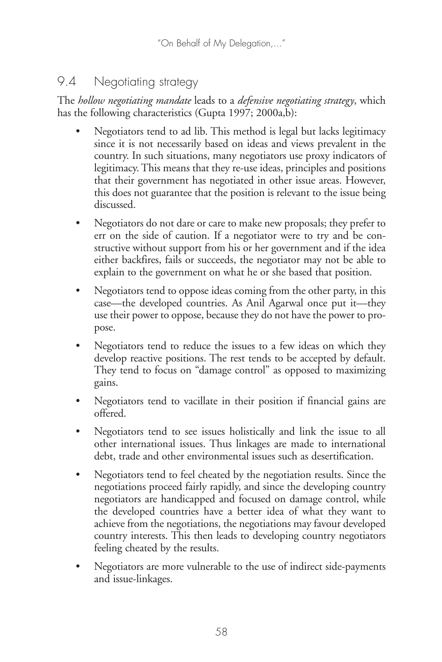# 9.4 Negotiating strategy

The *hollow negotiating mandate* leads to a *defensive negotiating strategy*, which has the following characteristics (Gupta 1997; 2000a,b):

- Negotiators tend to ad lib. This method is legal but lacks legitimacy since it is not necessarily based on ideas and views prevalent in the country. In such situations, many negotiators use proxy indicators of legitimacy. This means that they re-use ideas, principles and positions that their government has negotiated in other issue areas. However, this does not guarantee that the position is relevant to the issue being discussed.
- Negotiators do not dare or care to make new proposals; they prefer to err on the side of caution. If a negotiator were to try and be constructive without support from his or her government and if the idea either backfires, fails or succeeds, the negotiator may not be able to explain to the government on what he or she based that position.
- Negotiators tend to oppose ideas coming from the other party, in this case—the developed countries. As Anil Agarwal once put it—they use their power to oppose, because they do not have the power to propose.
- Negotiators tend to reduce the issues to a few ideas on which they develop reactive positions. The rest tends to be accepted by default. They tend to focus on "damage control" as opposed to maximizing gains.
- Negotiators tend to vacillate in their position if financial gains are offered.
- Negotiators tend to see issues holistically and link the issue to all other international issues. Thus linkages are made to international debt, trade and other environmental issues such as desertification.
- Negotiators tend to feel cheated by the negotiation results. Since the negotiations proceed fairly rapidly, and since the developing country negotiators are handicapped and focused on damage control, while the developed countries have a better idea of what they want to achieve from the negotiations, the negotiations may favour developed country interests. This then leads to developing country negotiators feeling cheated by the results.
- Negotiators are more vulnerable to the use of indirect side-payments and issue-linkages.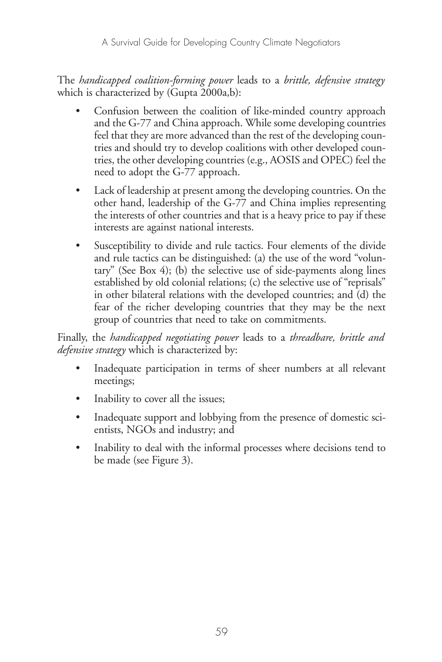The *handicapped coalition-forming power* leads to a *brittle, defensive strategy* which is characterized by (Gupta 2000a,b):

- Confusion between the coalition of like-minded country approach and the G-77 and China approach. While some developing countries feel that they are more advanced than the rest of the developing countries and should try to develop coalitions with other developed countries, the other developing countries (e.g., AOSIS and OPEC) feel the need to adopt the G-77 approach.
- Lack of leadership at present among the developing countries. On the other hand, leadership of the G-77 and China implies representing the interests of other countries and that is a heavy price to pay if these interests are against national interests.
- Susceptibility to divide and rule tactics. Four elements of the divide and rule tactics can be distinguished: (a) the use of the word "voluntary" (See Box 4); (b) the selective use of side-payments along lines established by old colonial relations; (c) the selective use of "reprisals" in other bilateral relations with the developed countries; and (d) the fear of the richer developing countries that they may be the next group of countries that need to take on commitments.

Finally, the *handicapped negotiating power* leads to a *threadbare, brittle and defensive strategy* which is characterized by:

- Inadequate participation in terms of sheer numbers at all relevant meetings;
- Inability to cover all the issues;
- Inadequate support and lobbying from the presence of domestic scientists, NGOs and industry; and
- Inability to deal with the informal processes where decisions tend to be made (see Figure 3).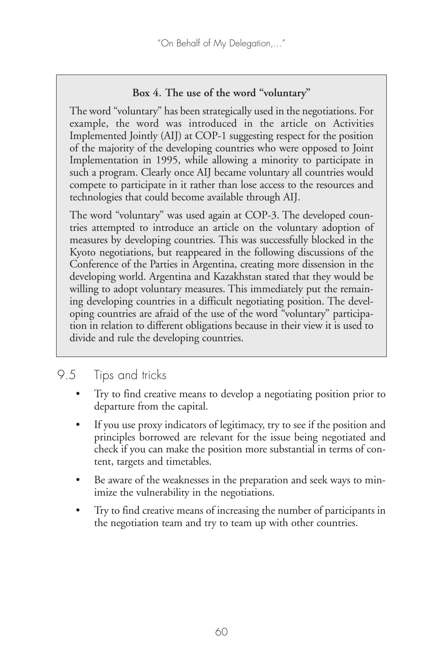### **Box 4. The use of the word "voluntary"**

The word "voluntary" has been strategically used in the negotiations. For example, the word was introduced in the article on Activities Implemented Jointly (AIJ) at COP-1 suggesting respect for the position of the majority of the developing countries who were opposed to Joint Implementation in 1995, while allowing a minority to participate in such a program. Clearly once AIJ became voluntary all countries would compete to participate in it rather than lose access to the resources and technologies that could become available through AIJ.

The word "voluntary" was used again at COP-3. The developed countries attempted to introduce an article on the voluntary adoption of measures by developing countries. This was successfully blocked in the Kyoto negotiations, but reappeared in the following discussions of the Conference of the Parties in Argentina, creating more dissension in the developing world. Argentina and Kazakhstan stated that they would be willing to adopt voluntary measures. This immediately put the remaining developing countries in a difficult negotiating position. The developing countries are afraid of the use of the word "voluntary" participation in relation to different obligations because in their view it is used to divide and rule the developing countries.

## 9.5 Tips and tricks

- Try to find creative means to develop a negotiating position prior to departure from the capital.
- If you use proxy indicators of legitimacy, try to see if the position and principles borrowed are relevant for the issue being negotiated and check if you can make the position more substantial in terms of content, targets and timetables.
- Be aware of the weaknesses in the preparation and seek ways to minimize the vulnerability in the negotiations.
- Try to find creative means of increasing the number of participants in the negotiation team and try to team up with other countries.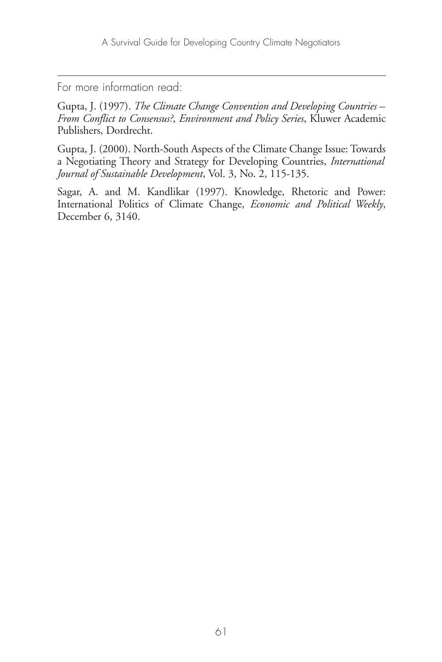For more information read:

Gupta, J. (1997). *The Climate Change Convention and Developing Countries – From Conflict to Consensus?*, *Environment and Policy Series*, Kluwer Academic Publishers, Dordrecht.

Gupta, J. (2000). North-South Aspects of the Climate Change Issue: Towards a Negotiating Theory and Strategy for Developing Countries, *International Journal of Sustainable Development*, Vol. 3, No. 2, 115-135.

Sagar, A. and M. Kandlikar (1997). Knowledge, Rhetoric and Power: International Politics of Climate Change, *Economic and Political Weekly*, December 6, 3140.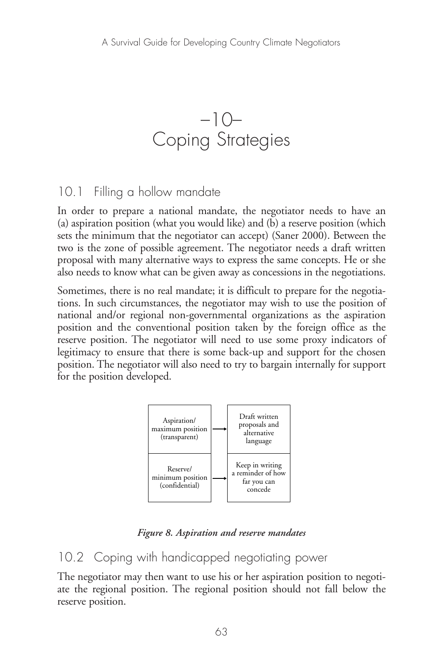# –10– Coping Strategies

## 10.1 Filling a hollow mandate

In order to prepare a national mandate, the negotiator needs to have an (a) aspiration position (what you would like) and (b) a reserve position (which sets the minimum that the negotiator can accept) (Saner 2000). Between the two is the zone of possible agreement. The negotiator needs a draft written proposal with many alternative ways to express the same concepts. He or she also needs to know what can be given away as concessions in the negotiations.

Sometimes, there is no real mandate; it is difficult to prepare for the negotiations. In such circumstances, the negotiator may wish to use the position of national and/or regional non-governmental organizations as the aspiration position and the conventional position taken by the foreign office as the reserve position. The negotiator will need to use some proxy indicators of legitimacy to ensure that there is some back-up and support for the chosen position. The negotiator will also need to try to bargain internally for support for the position developed.



#### *Figure 8. Aspiration and reserve mandates*

### 10.2 Coping with handicapped negotiating power

The negotiator may then want to use his or her aspiration position to negotiate the regional position. The regional position should not fall below the reserve position.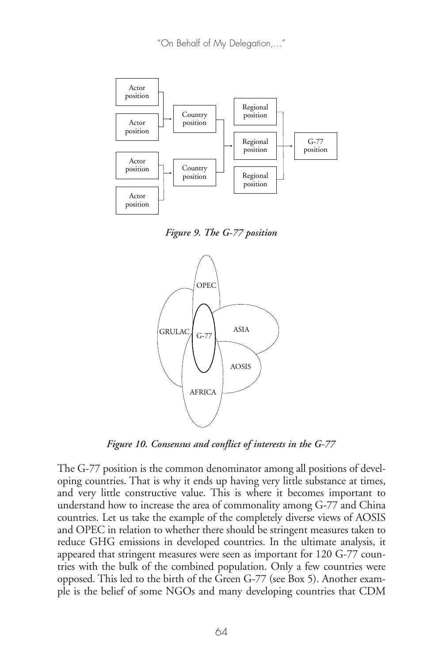

*Figure 9. The G-77 position*



*Figure 10. Consensus and conflict of interests in the G-77*

The G-77 position is the common denominator among all positions of developing countries. That is why it ends up having very little substance at times, and very little constructive value. This is where it becomes important to understand how to increase the area of commonality among G-77 and China countries. Let us take the example of the completely diverse views of AOSIS and OPEC in relation to whether there should be stringent measures taken to reduce GHG emissions in developed countries. In the ultimate analysis, it appeared that stringent measures were seen as important for 120 G-77 countries with the bulk of the combined population. Only a few countries were opposed. This led to the birth of the Green G-77 (see Box 5). Another example is the belief of some NGOs and many developing countries that CDM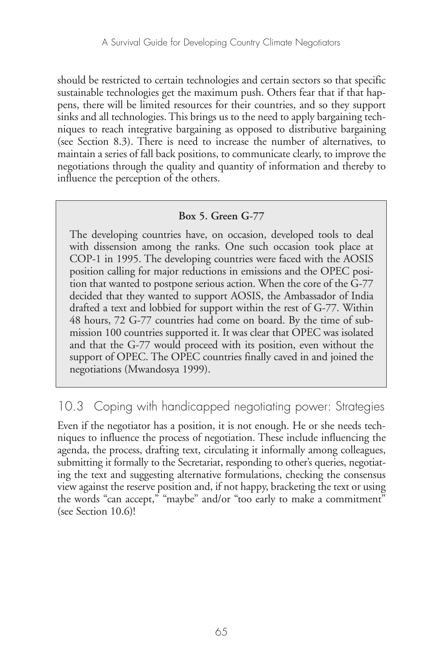should be restricted to certain technologies and certain sectors so that specific sustainable technologies get the maximum push. Others fear that if that happens, there will be limited resources for their countries, and so they support sinks and all technologies. This brings us to the need to apply bargaining techniques to reach integrative bargaining as opposed to distributive bargaining (see Section 8.3). There is need to increase the number of alternatives, to maintain a series of fall back positions, to communicate clearly, to improve the negotiations through the quality and quantity of information and thereby to influence the perception of the others.

#### **Box 5. Green G-77**

The developing countries have, on occasion, developed tools to deal with dissension among the ranks. One such occasion took place at COP-1 in 1995. The developing countries were faced with the AOSIS position calling for major reductions in emissions and the OPEC position that wanted to postpone serious action. When the core of the G-77 decided that they wanted to support AOSIS, the Ambassador of India drafted a text and lobbied for support within the rest of G-77. Within 48 hours, 72 G-77 countries had come on board. By the time of submission 100 countries supported it. It was clear that OPEC was isolated and that the G-77 would proceed with its position, even without the support of OPEC. The OPEC countries finally caved in and joined the negotiations (Mwandosya 1999).

### 10.3 Coping with handicapped negotiating power: Strategies

Even if the negotiator has a position, it is not enough. He or she needs techniques to influence the process of negotiation. These include influencing the agenda, the process, drafting text, circulating it informally among colleagues, submitting it formally to the Secretariat, responding to other's queries, negotiating the text and suggesting alternative formulations, checking the consensus view against the reserve position and, if not happy, bracketing the text or using the words "can accept," "maybe" and/or "too early to make a commitment" (see Section 10.6)!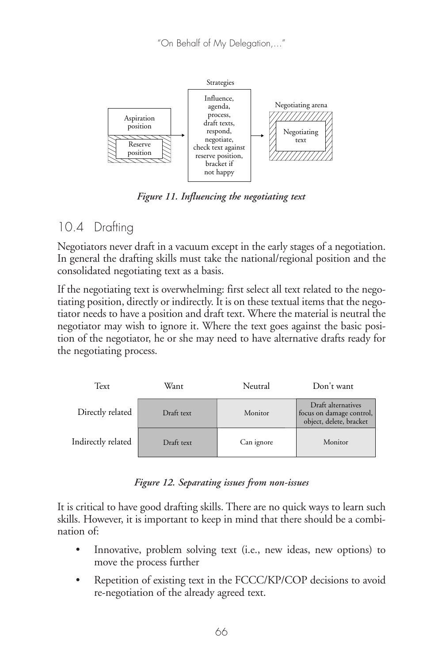

*Figure 11. Influencing the negotiating text*

## 10.4 Drafting

Negotiators never draft in a vacuum except in the early stages of a negotiation. In general the drafting skills must take the national/regional position and the consolidated negotiating text as a basis.

If the negotiating text is overwhelming: first select all text related to the negotiating position, directly or indirectly. It is on these textual items that the negotiator needs to have a position and draft text. Where the material is neutral the negotiator may wish to ignore it. Where the text goes against the basic position of the negotiator, he or she may need to have alternative drafts ready for the negotiating process.



*Figure 12. Separating issues from non-issues*

It is critical to have good drafting skills. There are no quick ways to learn such skills. However, it is important to keep in mind that there should be a combination of:

- Innovative, problem solving text (i.e., new ideas, new options) to move the process further
- Repetition of existing text in the FCCC/KP/COP decisions to avoid re-negotiation of the already agreed text.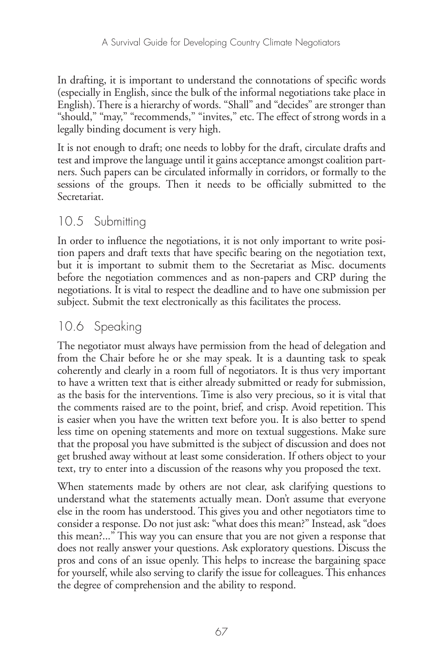In drafting, it is important to understand the connotations of specific words (especially in English, since the bulk of the informal negotiations take place in English). There is a hierarchy of words. "Shall" and "decides" are stronger than "should," "may," "recommends," "invites," etc. The effect of strong words in a legally binding document is very high.

It is not enough to draft; one needs to lobby for the draft, circulate drafts and test and improve the language until it gains acceptance amongst coalition partners. Such papers can be circulated informally in corridors, or formally to the sessions of the groups. Then it needs to be officially submitted to the Secretariat.

## 10.5 Submitting

In order to influence the negotiations, it is not only important to write position papers and draft texts that have specific bearing on the negotiation text, but it is important to submit them to the Secretariat as Misc. documents before the negotiation commences and as non-papers and CRP during the negotiations. It is vital to respect the deadline and to have one submission per subject. Submit the text electronically as this facilitates the process.

## 10.6 Speaking

The negotiator must always have permission from the head of delegation and from the Chair before he or she may speak. It is a daunting task to speak coherently and clearly in a room full of negotiators. It is thus very important to have a written text that is either already submitted or ready for submission, as the basis for the interventions. Time is also very precious, so it is vital that the comments raised are to the point, brief, and crisp. Avoid repetition. This is easier when you have the written text before you. It is also better to spend less time on opening statements and more on textual suggestions. Make sure that the proposal you have submitted is the subject of discussion and does not get brushed away without at least some consideration. If others object to your text, try to enter into a discussion of the reasons why you proposed the text.

When statements made by others are not clear, ask clarifying questions to understand what the statements actually mean. Don't assume that everyone else in the room has understood. This gives you and other negotiators time to consider a response. Do not just ask: "what does this mean?" Instead, ask "does this mean?..." This way you can ensure that you are not given a response that does not really answer your questions. Ask exploratory questions. Discuss the pros and cons of an issue openly. This helps to increase the bargaining space for yourself, while also serving to clarify the issue for colleagues. This enhances the degree of comprehension and the ability to respond.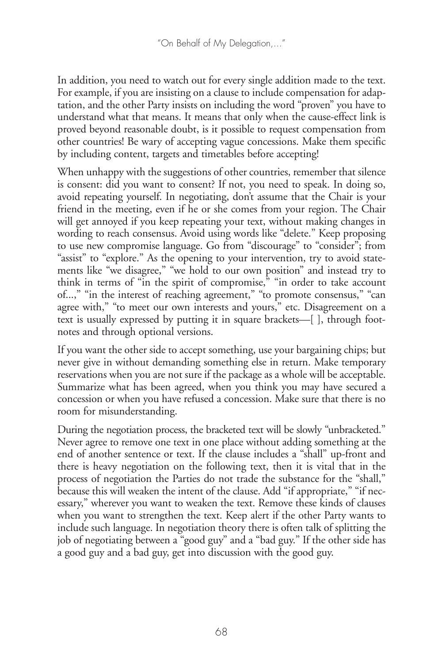In addition, you need to watch out for every single addition made to the text. For example, if you are insisting on a clause to include compensation for adaptation, and the other Party insists on including the word "proven" you have to understand what that means. It means that only when the cause-effect link is proved beyond reasonable doubt, is it possible to request compensation from other countries! Be wary of accepting vague concessions. Make them specific by including content, targets and timetables before accepting!

When unhappy with the suggestions of other countries, remember that silence is consent: did you want to consent? If not, you need to speak. In doing so, avoid repeating yourself. In negotiating, don't assume that the Chair is your friend in the meeting, even if he or she comes from your region. The Chair will get annoyed if you keep repeating your text, without making changes in wording to reach consensus. Avoid using words like "delete." Keep proposing to use new compromise language. Go from "discourage" to "consider"; from "assist" to "explore." As the opening to your intervention, try to avoid statements like "we disagree," "we hold to our own position" and instead try to think in terms of "in the spirit of compromise," "in order to take account of...," "in the interest of reaching agreement," "to promote consensus," "can agree with," "to meet our own interests and yours," etc. Disagreement on a text is usually expressed by putting it in square brackets—[ ], through footnotes and through optional versions.

If you want the other side to accept something, use your bargaining chips; but never give in without demanding something else in return. Make temporary reservations when you are not sure if the package as a whole will be acceptable. Summarize what has been agreed, when you think you may have secured a concession or when you have refused a concession. Make sure that there is no room for misunderstanding.

During the negotiation process, the bracketed text will be slowly "unbracketed." Never agree to remove one text in one place without adding something at the end of another sentence or text. If the clause includes a "shall" up-front and there is heavy negotiation on the following text, then it is vital that in the process of negotiation the Parties do not trade the substance for the "shall," because this will weaken the intent of the clause. Add "if appropriate," "if necessary," wherever you want to weaken the text. Remove these kinds of clauses when you want to strengthen the text. Keep alert if the other Party wants to include such language. In negotiation theory there is often talk of splitting the job of negotiating between a "good guy" and a "bad guy." If the other side has a good guy and a bad guy, get into discussion with the good guy.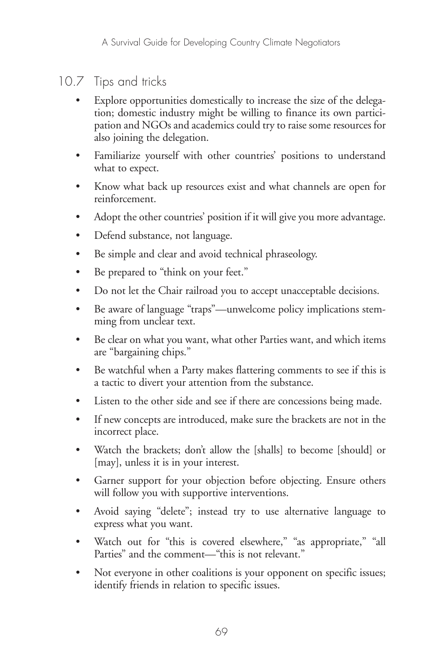### 10.7 Tips and tricks

- Explore opportunities domestically to increase the size of the delegation; domestic industry might be willing to finance its own participation and NGOs and academics could try to raise some resources for also joining the delegation.
- Familiarize yourself with other countries' positions to understand what to expect.
- Know what back up resources exist and what channels are open for reinforcement.
- Adopt the other countries' position if it will give you more advantage.
- Defend substance, not language.
- Be simple and clear and avoid technical phraseology.
- Be prepared to "think on your feet."
- Do not let the Chair railroad you to accept unacceptable decisions.
- Be aware of language "traps"—unwelcome policy implications stemming from unclear text.
- Be clear on what you want, what other Parties want, and which items are "bargaining chips."
- Be watchful when a Party makes flattering comments to see if this is a tactic to divert your attention from the substance.
- Listen to the other side and see if there are concessions being made.
- If new concepts are introduced, make sure the brackets are not in the incorrect place.
- Watch the brackets; don't allow the [shalls] to become [should] or [may], unless it is in your interest.
- Garner support for your objection before objecting. Ensure others will follow you with supportive interventions.
- Avoid saying "delete"; instead try to use alternative language to express what you want.
- Watch out for "this is covered elsewhere," "as appropriate," "all Parties" and the comment—"this is not relevant."
- Not everyone in other coalitions is your opponent on specific issues; identify friends in relation to specific issues.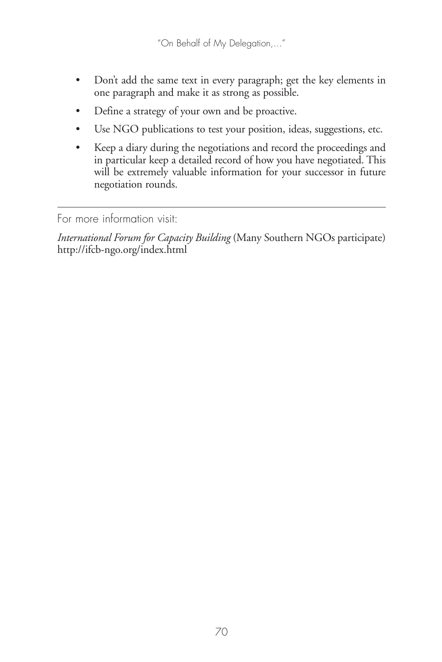- Don't add the same text in every paragraph; get the key elements in one paragraph and make it as strong as possible.
- Define a strategy of your own and be proactive.
- Use NGO publications to test your position, ideas, suggestions, etc.
- Keep a diary during the negotiations and record the proceedings and in particular keep a detailed record of how you have negotiated. This will be extremely valuable information for your successor in future negotiation rounds.

For more information visit:

*International Forum for Capacity Building* (Many Southern NGOs participate) http://ifcb-ngo.org/index.html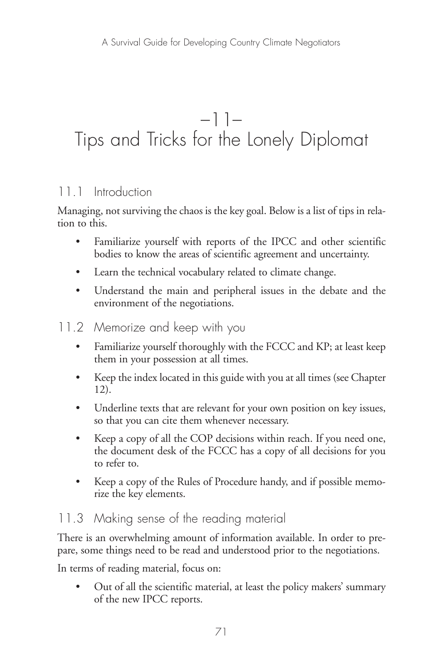# –11– Tips and Tricks for the Lonely Diplomat

### 11.1 Introduction

Managing, not surviving the chaos is the key goal. Below is a list of tips in relation to this.

- Familiarize yourself with reports of the IPCC and other scientific bodies to know the areas of scientific agreement and uncertainty.
- Learn the technical vocabulary related to climate change.
- Understand the main and peripheral issues in the debate and the environment of the negotiations.

### 11.2 Memorize and keep with you

- Familiarize yourself thoroughly with the FCCC and KP; at least keep them in your possession at all times.
- Keep the index located in this guide with you at all times (see Chapter 12).
- Underline texts that are relevant for your own position on key issues, so that you can cite them whenever necessary.
- Keep a copy of all the COP decisions within reach. If you need one, the document desk of the FCCC has a copy of all decisions for you to refer to.
- Keep a copy of the Rules of Procedure handy, and if possible memorize the key elements.

### 11.3 Making sense of the reading material

There is an overwhelming amount of information available. In order to prepare, some things need to be read and understood prior to the negotiations.

In terms of reading material, focus on:

• Out of all the scientific material, at least the policy makers' summary of the new IPCC reports.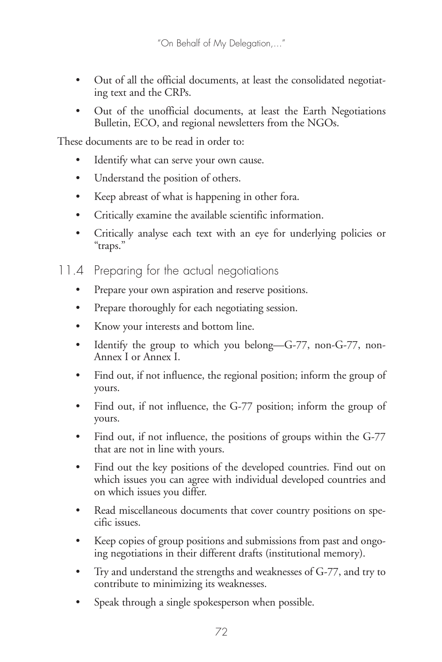- Out of all the official documents, at least the consolidated negotiating text and the CRPs.
- Out of the unofficial documents, at least the Earth Negotiations Bulletin, ECO, and regional newsletters from the NGOs.

These documents are to be read in order to:

- Identify what can serve your own cause.
- Understand the position of others.
- Keep abreast of what is happening in other fora.
- Critically examine the available scientific information.
- Critically analyse each text with an eye for underlying policies or "traps."
- 11.4 Preparing for the actual negotiations
	- Prepare your own aspiration and reserve positions.
	- Prepare thoroughly for each negotiating session.
	- Know your interests and bottom line.
	- Identify the group to which you belong—G-77, non-G-77, non-Annex I or Annex I.
	- Find out, if not influence, the regional position; inform the group of yours.
	- Find out, if not influence, the G-77 position; inform the group of yours.
	- Find out, if not influence, the positions of groups within the G-77 that are not in line with yours.
	- Find out the key positions of the developed countries. Find out on which issues you can agree with individual developed countries and on which issues you differ.
	- Read miscellaneous documents that cover country positions on specific issues.
	- Keep copies of group positions and submissions from past and ongoing negotiations in their different drafts (institutional memory).
	- Try and understand the strengths and weaknesses of G-77, and try to contribute to minimizing its weaknesses.
	- Speak through a single spokesperson when possible.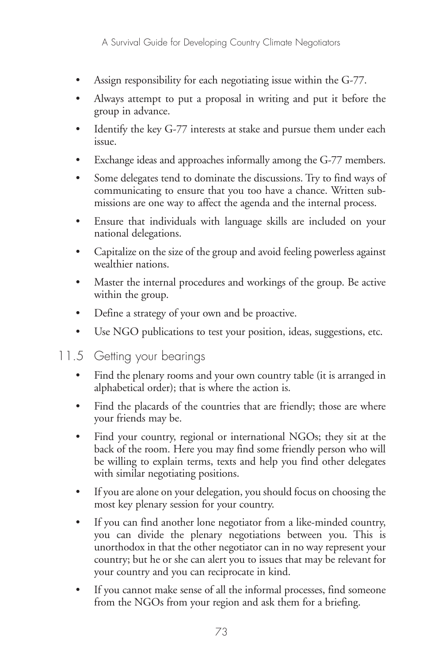- Assign responsibility for each negotiating issue within the G-77.
- Always attempt to put a proposal in writing and put it before the group in advance.
- Identify the key G-77 interests at stake and pursue them under each issue.
- Exchange ideas and approaches informally among the G-77 members.
- Some delegates tend to dominate the discussions. Try to find ways of communicating to ensure that you too have a chance. Written submissions are one way to affect the agenda and the internal process.
- Ensure that individuals with language skills are included on your national delegations.
- Capitalize on the size of the group and avoid feeling powerless against wealthier nations.
- Master the internal procedures and workings of the group. Be active within the group.
- Define a strategy of your own and be proactive.
- Use NGO publications to test your position, ideas, suggestions, etc.
- 11.5 Getting your bearings
	- Find the plenary rooms and your own country table (it is arranged in alphabetical order); that is where the action is.
	- Find the placards of the countries that are friendly; those are where your friends may be.
	- Find your country, regional or international NGOs; they sit at the back of the room. Here you may find some friendly person who will be willing to explain terms, texts and help you find other delegates with similar negotiating positions.
	- If you are alone on your delegation, you should focus on choosing the most key plenary session for your country.
	- If you can find another lone negotiator from a like-minded country, you can divide the plenary negotiations between you. This is unorthodox in that the other negotiator can in no way represent your country; but he or she can alert you to issues that may be relevant for your country and you can reciprocate in kind.
	- If you cannot make sense of all the informal processes, find someone from the NGOs from your region and ask them for a briefing.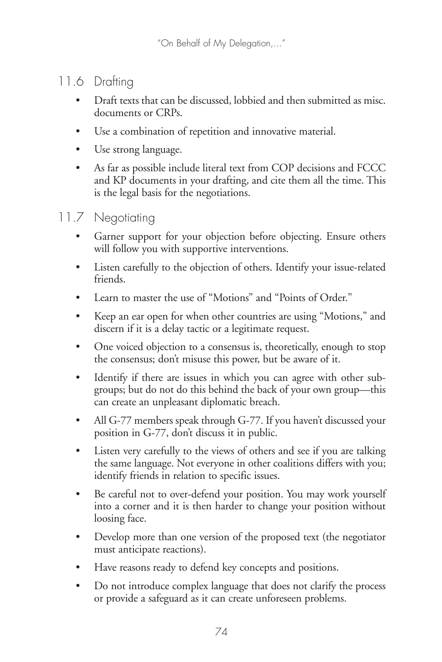- 11.6 Drafting
	- Draft texts that can be discussed, lobbied and then submitted as misc. documents or CRPs.
	- Use a combination of repetition and innovative material.
	- Use strong language.
	- As far as possible include literal text from COP decisions and FCCC and KP documents in your drafting, and cite them all the time. This is the legal basis for the negotiations.
- 11.7 Negotiating
	- Garner support for your objection before objecting. Ensure others will follow you with supportive interventions.
	- Listen carefully to the objection of others. Identify your issue-related friends.
	- Learn to master the use of "Motions" and "Points of Order."
	- Keep an ear open for when other countries are using "Motions," and discern if it is a delay tactic or a legitimate request.
	- One voiced objection to a consensus is, theoretically, enough to stop the consensus; don't misuse this power, but be aware of it.
	- Identify if there are issues in which you can agree with other subgroups; but do not do this behind the back of your own group—this can create an unpleasant diplomatic breach.
	- All G-77 members speak through G-77. If you haven't discussed your position in G-77, don't discuss it in public.
	- Listen very carefully to the views of others and see if you are talking the same language. Not everyone in other coalitions differs with you; identify friends in relation to specific issues.
	- Be careful not to over-defend your position. You may work yourself into a corner and it is then harder to change your position without loosing face.
	- Develop more than one version of the proposed text (the negotiator must anticipate reactions).
	- Have reasons ready to defend key concepts and positions.
	- Do not introduce complex language that does not clarify the process or provide a safeguard as it can create unforeseen problems.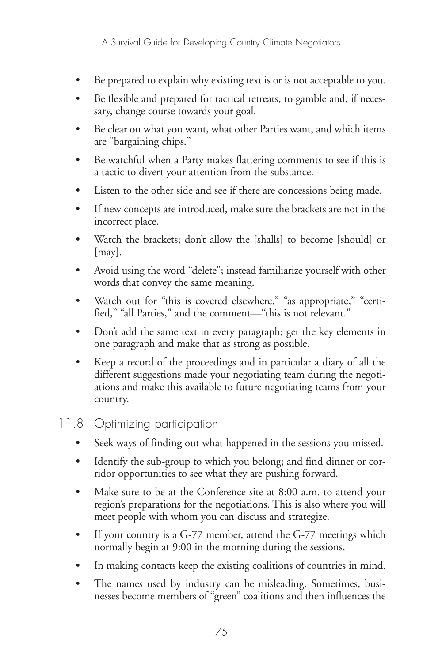- Be prepared to explain why existing text is or is not acceptable to you.
- Be flexible and prepared for tactical retreats, to gamble and, if necessary, change course towards your goal.
- Be clear on what you want, what other Parties want, and which items are "bargaining chips."
- Be watchful when a Party makes flattering comments to see if this is a tactic to divert your attention from the substance.
- Listen to the other side and see if there are concessions being made.
- If new concepts are introduced, make sure the brackets are not in the incorrect place.
- Watch the brackets; don't allow the [shalls] to become [should] or [may].
- Avoid using the word "delete"; instead familiarize yourself with other words that convey the same meaning.
- Watch out for "this is covered elsewhere," "as appropriate," "certified," "all Parties," and the comment—"this is not relevant."
- Don't add the same text in every paragraph; get the key elements in one paragraph and make that as strong as possible.
- Keep a record of the proceedings and in particular a diary of all the different suggestions made your negotiating team during the negotiations and make this available to future negotiating teams from your country.

### 11.8 Optimizing participation

- Seek ways of finding out what happened in the sessions you missed.
- Identify the sub-group to which you belong; and find dinner or corridor opportunities to see what they are pushing forward.
- Make sure to be at the Conference site at 8:00 a.m. to attend your region's preparations for the negotiations. This is also where you will meet people with whom you can discuss and strategize.
- If your country is a G-77 member, attend the G-77 meetings which normally begin at 9:00 in the morning during the sessions.
- In making contacts keep the existing coalitions of countries in mind.
- The names used by industry can be misleading. Sometimes, businesses become members of "green" coalitions and then influences the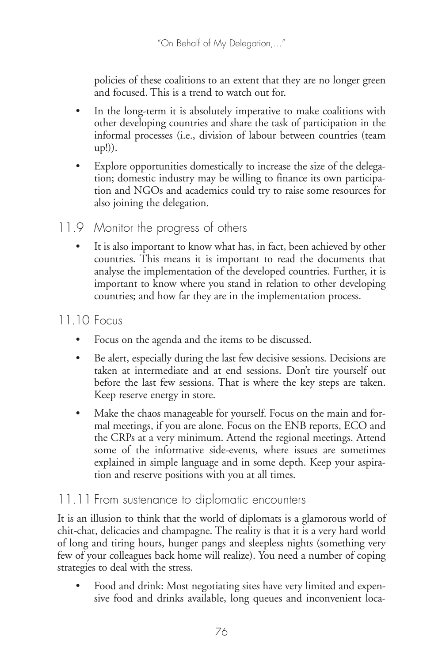policies of these coalitions to an extent that they are no longer green and focused. This is a trend to watch out for.

- In the long-term it is absolutely imperative to make coalitions with other developing countries and share the task of participation in the informal processes (i.e., division of labour between countries (team up!)).
- Explore opportunities domestically to increase the size of the delegation; domestic industry may be willing to finance its own participation and NGOs and academics could try to raise some resources for also joining the delegation.
- 11.9 Monitor the progress of others
	- It is also important to know what has, in fact, been achieved by other countries. This means it is important to read the documents that analyse the implementation of the developed countries. Further, it is important to know where you stand in relation to other developing countries; and how far they are in the implementation process.
- 11.10 Focus
	- Focus on the agenda and the items to be discussed.
	- Be alert, especially during the last few decisive sessions. Decisions are taken at intermediate and at end sessions. Don't tire yourself out before the last few sessions. That is where the key steps are taken. Keep reserve energy in store.
	- Make the chaos manageable for yourself. Focus on the main and formal meetings, if you are alone. Focus on the ENB reports, ECO and the CRPs at a very minimum. Attend the regional meetings. Attend some of the informative side-events, where issues are sometimes explained in simple language and in some depth. Keep your aspiration and reserve positions with you at all times.

### 11.11 From sustenance to diplomatic encounters

It is an illusion to think that the world of diplomats is a glamorous world of chit-chat, delicacies and champagne. The reality is that it is a very hard world of long and tiring hours, hunger pangs and sleepless nights (something very few of your colleagues back home will realize). You need a number of coping strategies to deal with the stress.

• Food and drink: Most negotiating sites have very limited and expensive food and drinks available, long queues and inconvenient loca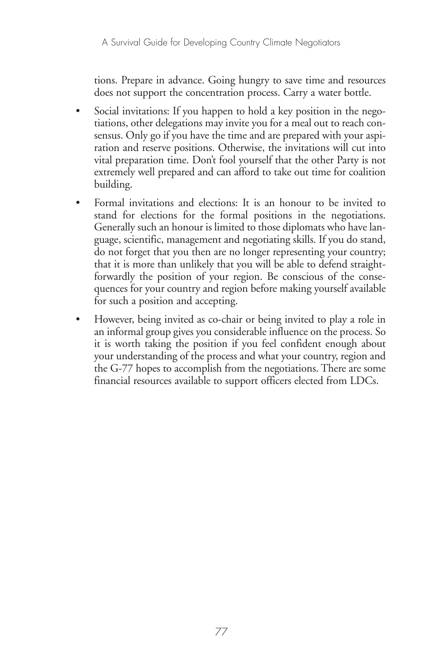tions. Prepare in advance. Going hungry to save time and resources does not support the concentration process. Carry a water bottle.

- Social invitations: If you happen to hold a key position in the negotiations, other delegations may invite you for a meal out to reach consensus. Only go if you have the time and are prepared with your aspiration and reserve positions. Otherwise, the invitations will cut into vital preparation time. Don't fool yourself that the other Party is not extremely well prepared and can afford to take out time for coalition building.
- Formal invitations and elections: It is an honour to be invited to stand for elections for the formal positions in the negotiations. Generally such an honour is limited to those diplomats who have language, scientific, management and negotiating skills. If you do stand, do not forget that you then are no longer representing your country; that it is more than unlikely that you will be able to defend straightforwardly the position of your region. Be conscious of the consequences for your country and region before making yourself available for such a position and accepting.
- However, being invited as co-chair or being invited to play a role in an informal group gives you considerable influence on the process. So it is worth taking the position if you feel confident enough about your understanding of the process and what your country, region and the G-77 hopes to accomplish from the negotiations. There are some financial resources available to support officers elected from LDCs.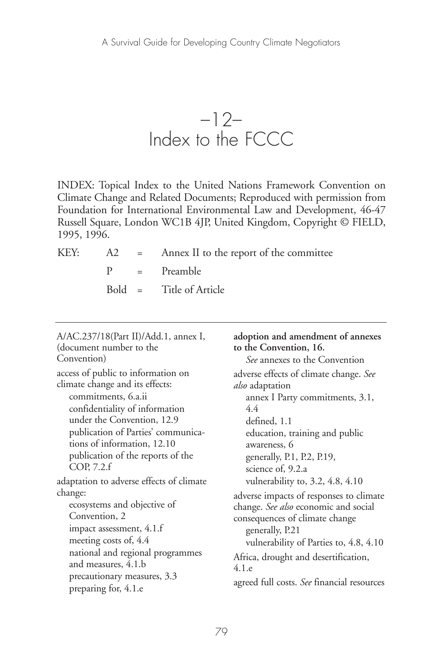# –12– Index to the FCCC

INDEX: Topical Index to the United Nations Framework Convention on Climate Change and Related Documents; Reproduced with permission from Foundation for International Environmental Law and Development, 46-47 Russell Square, London WC1B 4JP, United Kingdom, Copyright © FIELD, 1995, 1996.

|  |  | KEY: $A2 =$ Annex II to the report of the committee |
|--|--|-----------------------------------------------------|
|  |  | $P = Preamble$                                      |
|  |  | $Bold =$ Title of Article                           |

A/AC.237/18(Part II)/Add.1, annex I, (document number to the Convention) access of public to information on climate change and its effects: commitments, 6.a.ii confidentiality of information under the Convention, 12.9 publication of Parties' communications of information, 12.10 publication of the reports of the COP, 7.2.f adaptation to adverse effects of climate change: ecosystems and objective of Convention, 2 impact assessment, 4.1.f meeting costs of, 4.4 national and regional programmes and measures, 4.1.b precautionary measures, 3.3 preparing for, 4.1.e

**adoption and amendment of annexes to the Convention, 16.**  *See* annexes to the Convention adverse effects of climate change. *See also* adaptation annex I Party commitments, 3.1, 4.4 defined, 1.1 education, training and public awareness, 6 generally, P.1, P.2, P.19, science of, 9.2.a vulnerability to, 3.2, 4.8, 4.10 adverse impacts of responses to climate change. *See also* economic and social consequences of climate change generally, P.21 vulnerability of Parties to, 4.8, 4.10 Africa, drought and desertification, 4.1.e agreed full costs. *See* financial resources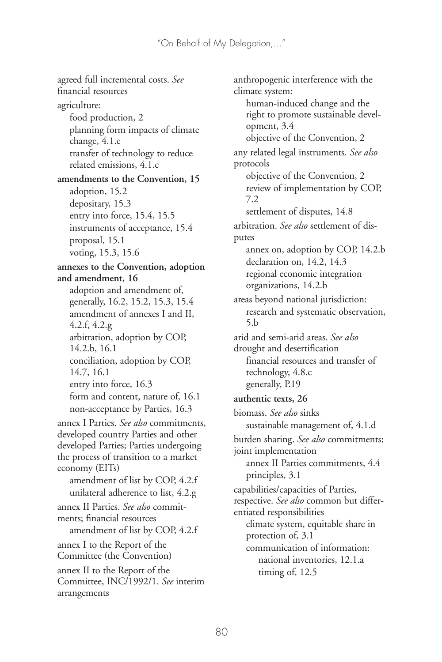agreed full incremental costs. *See* financial resources agriculture: food production, 2 planning form impacts of climate change, 4.1.e transfer of technology to reduce related emissions, 4.1.c **amendments to the Convention, 15** adoption, 15.2 depositary, 15.3 entry into force, 15.4, 15.5 instruments of acceptance, 15.4 proposal, 15.1 voting, 15.3, 15.6 **annexes to the Convention, adoption and amendment, 16** adoption and amendment of, generally, 16.2, 15.2, 15.3, 15.4 amendment of annexes I and II, 4.2.f, 4.2.g arbitration, adoption by COP, 14.2.b, 16.1 conciliation, adoption by COP, 14.7, 16.1 entry into force, 16.3 form and content, nature of, 16.1 non-acceptance by Parties, 16.3 annex I Parties. *See also* commitments, developed country Parties and other developed Parties; Parties undergoing the process of transition to a market economy (EITs) amendment of list by COP, 4.2.f unilateral adherence to list, 4.2.g annex II Parties. *See also* commitments; financial resources amendment of list by COP, 4.2.f annex I to the Report of the Committee (the Convention) annex II to the Report of the Committee, INC/1992/1. *See* interim arrangements

anthropogenic interference with the climate system: human-induced change and the right to promote sustainable development, 3.4 objective of the Convention, 2 any related legal instruments. *See also* protocols objective of the Convention, 2 review of implementation by COP, 7.2 settlement of disputes, 14.8 arbitration. *See also* settlement of disputes annex on, adoption by COP, 14.2.b declaration on, 14.2, 14.3 regional economic integration organizations, 14.2.b areas beyond national jurisdiction: research and systematic observation, 5.b arid and semi-arid areas. *See also* drought and desertification financial resources and transfer of technology, 4.8.c generally, P.19 **authentic texts, 26** biomass. *See also* sinks sustainable management of, 4.1.d burden sharing. *See also* commitments; joint implementation annex II Parties commitments, 4.4 principles, 3.1 capabilities/capacities of Parties, respective. *See also* common but differentiated responsibilities climate system, equitable share in protection of, 3.1 communication of information: national inventories, 12.1.a timing of, 12.5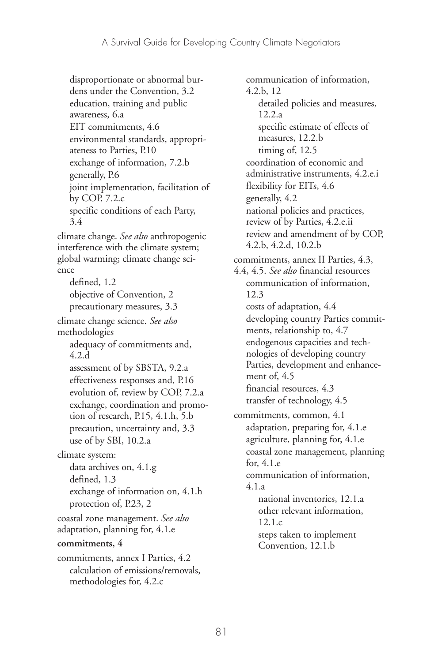disproportionate or abnormal burdens under the Convention, 3.2 education, training and public awareness, 6.a EIT commitments, 4.6 environmental standards, appropriateness to Parties, P.10 exchange of information, 7.2.b generally, P.6 joint implementation, facilitation of by COP, 7.2.c specific conditions of each Party, 3.4 climate change. *See also* anthropogenic interference with the climate system; global warming; climate change science defined, 1.2 objective of Convention, 2 precautionary measures, 3.3 climate change science. *See also* methodologies adequacy of commitments and, 4.2.d assessment of by SBSTA, 9.2.a effectiveness responses and, P.16 evolution of, review by COP, 7.2.a exchange, coordination and promotion of research, P.15, 4.1.h, 5.b precaution, uncertainty and, 3.3 use of by SBI, 10.2.a climate system: data archives on, 4.1.g defined, 1.3 exchange of information on, 4.1.h protection of, P.23, 2 coastal zone management. *See also* adaptation, planning for, 4.1.e **commitments, 4** commitments, annex I Parties, 4.2 calculation of emissions/removals, methodologies for, 4.2.c

communication of information, 4.2.b, 12 detailed policies and measures, 12.2.a specific estimate of effects of measures, 12.2.b timing of, 12.5 coordination of economic and administrative instruments, 4.2.e.i flexibility for EITs, 4.6 generally, 4.2 national policies and practices, review of by Parties, 4.2.e.ii review and amendment of by COP, 4.2.b, 4.2.d, 10.2.b commitments, annex II Parties, 4.3, 4.4, 4.5. *See also* financial resources communication of information, 12.3 costs of adaptation, 4.4 developing country Parties commitments, relationship to, 4.7 endogenous capacities and technologies of developing country Parties, development and enhancement of, 4.5 financial resources, 4.3 transfer of technology, 4.5 commitments, common, 4.1 adaptation, preparing for, 4.1.e agriculture, planning for, 4.1.e coastal zone management, planning for, 4.1.e communication of information, 4.1.a national inventories, 12.1.a other relevant information, 12.1.c steps taken to implement Convention, 12.1.b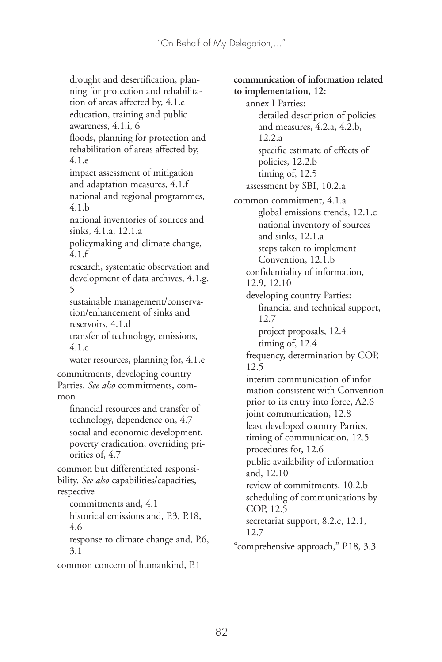drought and desertification, planning for protection and rehabilitation of areas affected by, 4.1.e education, training and public awareness, 4.1.i, 6 floods, planning for protection and rehabilitation of areas affected by, 4.1.e impact assessment of mitigation and adaptation measures, 4.1.f national and regional programmes, 4.1.b national inventories of sources and sinks, 4.1.a, 12.1.a policymaking and climate change, 4.1.f research, systematic observation and development of data archives, 4.1.g, 5 sustainable management/conservation/enhancement of sinks and reservoirs, 4.1.d transfer of technology, emissions, 4.1.c water resources, planning for, 4.1.e commitments, developing country Parties. *See also* commitments, common financial resources and transfer of technology, dependence on, 4.7 social and economic development, poverty eradication, overriding priorities of, 4.7 common but differentiated responsibility. *See also* capabilities/capacities, respective commitments and, 4.1 historical emissions and, P.3, P.18, 4.6 response to climate change and, P.6, 3.1

common concern of humankind, P.1

**communication of information related to implementation, 12:** annex I Parties: detailed description of policies and measures, 4.2.a, 4.2.b, 12.2.a specific estimate of effects of policies, 12.2.b timing of, 12.5 assessment by SBI, 10.2.a common commitment, 4.1.a global emissions trends, 12.1.c national inventory of sources and sinks, 12.1.a steps taken to implement Convention, 12.1.b confidentiality of information, 12.9, 12.10 developing country Parties: financial and technical support, 12.7 project proposals, 12.4 timing of, 12.4 frequency, determination by COP, 12.5 interim communication of information consistent with Convention prior to its entry into force, A2.6 joint communication, 12.8 least developed country Parties, timing of communication, 12.5 procedures for, 12.6 public availability of information and, 12.10 review of commitments, 10.2.b scheduling of communications by COP, 12.5 secretariat support, 8.2.c, 12.1, 12.7

"comprehensive approach," P.18, 3.3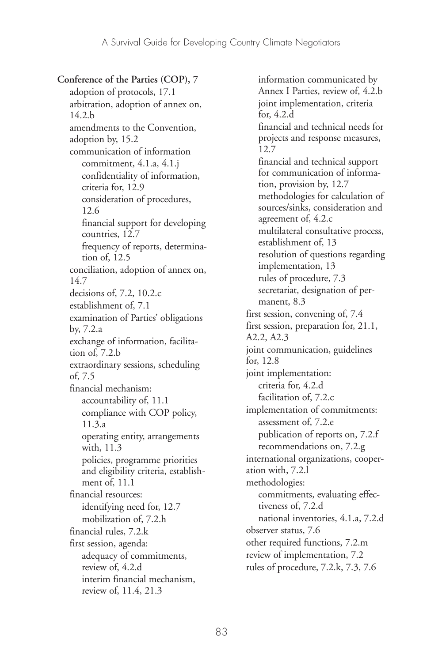#### **Conference of the Parties (COP), 7**

adoption of protocols, 17.1 arbitration, adoption of annex on, 14.2.b amendments to the Convention, adoption by, 15.2 communication of information commitment, 4.1.a, 4.1.j confidentiality of information, criteria for, 12.9 consideration of procedures, 12.6 financial support for developing countries, 12.7 frequency of reports, determination of, 12.5 conciliation, adoption of annex on, 14.7 decisions of, 7.2, 10.2.c establishment of, 7.1 examination of Parties' obligations by, 7.2.a exchange of information, facilitation of, 7.2.b extraordinary sessions, scheduling of, 7.5 financial mechanism: accountability of, 11.1 compliance with COP policy, 11.3.a operating entity, arrangements with, 11.3 policies, programme priorities and eligibility criteria, establishment of, 11.1 financial resources: identifying need for, 12.7 mobilization of, 7.2.h financial rules, 7.2.k first session, agenda: adequacy of commitments, review of, 4.2.d interim financial mechanism, review of, 11.4, 21.3

information communicated by Annex I Parties, review of, 4.2.b joint implementation, criteria for, 4.2.d financial and technical needs for projects and response measures, 12.7 financial and technical support for communication of information, provision by, 12.7 methodologies for calculation of sources/sinks, consideration and agreement of, 4.2.c multilateral consultative process, establishment of, 13 resolution of questions regarding implementation, 13 rules of procedure, 7.3 secretariat, designation of permanent, 8.3 first session, convening of, 7.4 first session, preparation for, 21.1, A2.2, A2.3 joint communication, guidelines for, 12.8 joint implementation: criteria for, 4.2.d facilitation of, 7.2.c implementation of commitments: assessment of, 7.2.e publication of reports on, 7.2.f recommendations on, 7.2.g international organizations, cooperation with, 7.2.l methodologies: commitments, evaluating effectiveness of, 7.2.d national inventories, 4.1.a, 7.2.d observer status, 7.6 other required functions, 7.2.m review of implementation, 7.2 rules of procedure, 7.2.k, 7.3, 7.6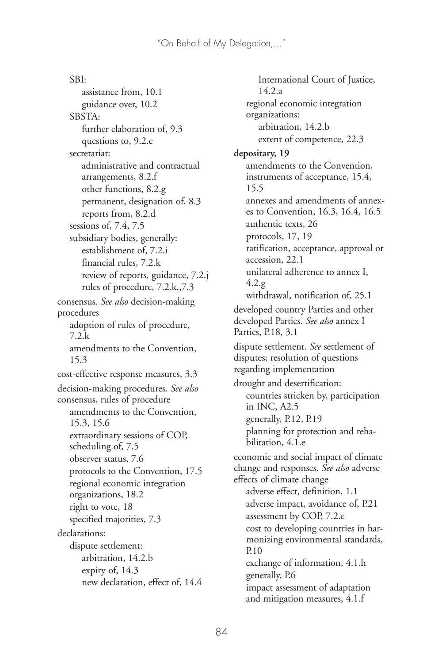SBI: assistance from, 10.1 guidance over, 10.2 SBSTA: further elaboration of, 9.3 questions to, 9.2.e secretariat: administrative and contractual arrangements, 8.2.f other functions, 8.2.g permanent, designation of, 8.3 reports from, 8.2.d sessions of, 7.4, 7.5 subsidiary bodies, generally: establishment of, 7.2.i financial rules, 7.2.k review of reports, guidance, 7.2.j rules of procedure, 7.2.k.,7.3 consensus. *See also* decision-making procedures adoption of rules of procedure, 7.2.k amendments to the Convention, 15.3 cost-effective response measures, 3.3 decision-making procedures. *See also* consensus, rules of procedure amendments to the Convention, 15.3, 15.6 extraordinary sessions of COP, scheduling of, 7.5 observer status, 7.6 protocols to the Convention, 17.5 regional economic integration organizations, 18.2 right to vote, 18 specified majorities, 7.3 declarations: dispute settlement: arbitration, 14.2.b expiry of, 14.3 new declaration, effect of, 14.4

International Court of Justice, 14.2.a regional economic integration organizations: arbitration, 14.2.b extent of competence, 22.3 **depositary, 19** amendments to the Convention, instruments of acceptance, 15.4, 15.5 annexes and amendments of annexes to Convention, 16.3, 16.4, 16.5 authentic texts, 26 protocols, 17, 19 ratification, acceptance, approval or accession, 22.1 unilateral adherence to annex I, 4.2.g withdrawal, notification of, 25.1 developed country Parties and other developed Parties. *See also* annex I Parties, P.18, 3.1 dispute settlement. *See* settlement of disputes; resolution of questions regarding implementation drought and desertification: countries stricken by, participation in INC, A2.5 generally, P.12, P.19 planning for protection and rehabilitation, 4.1.e economic and social impact of climate change and responses. *See also* adverse effects of climate change adverse effect, definition, 1.1 adverse impact, avoidance of, P.21 assessment by COP, 7.2.e cost to developing countries in harmonizing environmental standards, P.10 exchange of information, 4.1.h generally, P.6 impact assessment of adaptation and mitigation measures, 4.1.f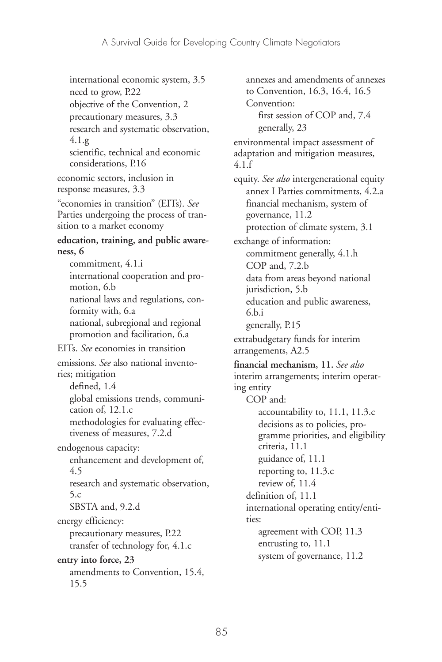international economic system, 3.5 need to grow, P.22 objective of the Convention, 2 precautionary measures, 3.3 research and systematic observation, 4.1.g scientific, technical and economic considerations, P.16 economic sectors, inclusion in response measures, 3.3 "economies in transition" (EITs). *See* Parties undergoing the process of transition to a market economy **education, training, and public awareness, 6** commitment, 4.1.i international cooperation and promotion, 6.b national laws and regulations, conformity with, 6.a national, subregional and regional promotion and facilitation, 6.a EITs. *See* economies in transition emissions. *See* also national inventories; mitigation defined, 1.4 global emissions trends, communication of, 12.1.c methodologies for evaluating effectiveness of measures, 7.2.d endogenous capacity: enhancement and development of, 4.5 research and systematic observation, 5.c SBSTA and, 9.2.d energy efficiency: precautionary measures, P.22 transfer of technology for, 4.1.c **entry into force, 23** amendments to Convention, 15.4, 15.5

annexes and amendments of annexes to Convention, 16.3, 16.4, 16.5 Convention: first session of COP and, 7.4 generally, 23 environmental impact assessment of adaptation and mitigation measures, 4.1.f equity. *See also* intergenerational equity annex I Parties commitments, 4.2.a financial mechanism, system of governance, 11.2 protection of climate system, 3.1 exchange of information: commitment generally, 4.1.h COP and, 7.2.b data from areas beyond national jurisdiction, 5.b education and public awareness, 6.b.i generally, P.15 extrabudgetary funds for interim arrangements, A2.5 **financial mechanism, 11.** *See also* interim arrangements; interim operating entity COP and: accountability to, 11.1, 11.3.c decisions as to policies, programme priorities, and eligibility criteria, 11.1 guidance of, 11.1 reporting to, 11.3.c review of, 11.4 definition of, 11.1 international operating entity/entities: agreement with COP, 11.3 entrusting to, 11.1 system of governance, 11.2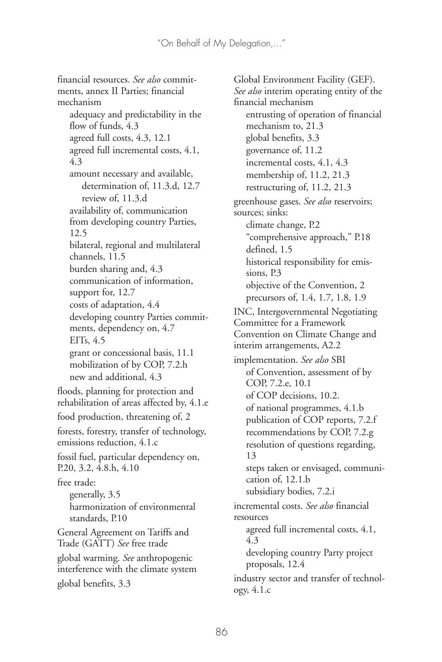financial resources. *See also* commitments, annex II Parties; financial mechanism adequacy and predictability in the flow of funds, 4.3 agreed full costs, 4.3, 12.1 agreed full incremental costs, 4.1, 4.3 amount necessary and available, determination of, 11.3.d, 12.7 review of, 11.3.d availability of, communication from developing country Parties, 12.5 bilateral, regional and multilateral channels, 11.5 burden sharing and, 4.3 communication of information, support for, 12.7 costs of adaptation, 4.4 developing country Parties commitments, dependency on, 4.7 EITs, 4.5 grant or concessional basis, 11.1 mobilization of by COP, 7.2.h new and additional, 4.3 floods, planning for protection and rehabilitation of areas affected by, 4.1.e food production, threatening of, 2 forests, forestry, transfer of technology, emissions reduction, 4.1.c fossil fuel, particular dependency on, P.20, 3.2, 4.8.h, 4.10 free trade: generally, 3.5 harmonization of environmental standards, P.10 General Agreement on Tariffs and Trade (GATT) *See* free trade global warming. *See* anthropogenic interference with the climate system global benefits, 3.3

Global Environment Facility (GEF). *See also* interim operating entity of the financial mechanism entrusting of operation of financial mechanism to, 21.3 global benefits, 3.3 governance of, 11.2 incremental costs, 4.1, 4.3 membership of, 11.2, 21.3 restructuring of, 11.2, 21.3 greenhouse gases. *See also* reservoirs; sources; sinks: climate change, P.2 "comprehensive approach," P.18 defined, 1.5 historical responsibility for emissions, P.3 objective of the Convention, 2 precursors of, 1.4, 1.7, 1.8, 1.9 INC, Intergovernmental Negotiating Committee for a Framework Convention on Climate Change and interim arrangements, A2.2 implementation. *See also* SBI of Convention, assessment of by COP, 7.2.e, 10.1 of COP decisions, 10.2. of national programmes, 4.1.b publication of COP reports, 7.2.f recommendations by COP, 7.2.g resolution of questions regarding, 13 steps taken or envisaged, communication of, 12.1.b subsidiary bodies, 7.2.i incremental costs. *See also* financial resources agreed full incremental costs, 4.1, 4.3 developing country Party project proposals, 12.4 industry sector and transfer of technology, 4.1.c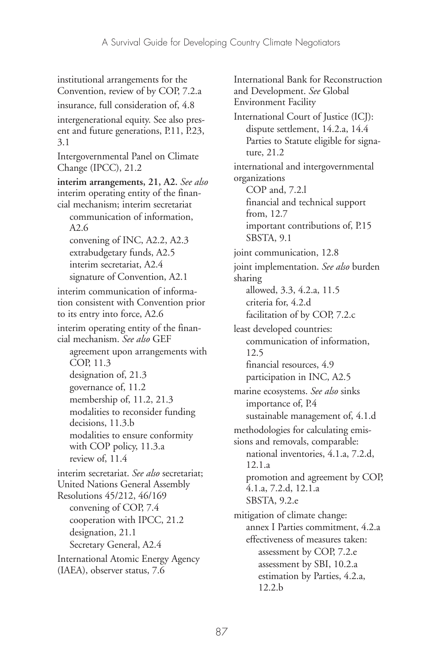institutional arrangements for the Convention, review of by COP, 7.2.a insurance, full consideration of, 4.8 intergenerational equity. See also present and future generations, P.11, P.23, 3.1 Intergovernmental Panel on Climate Change (IPCC), 21.2 **interim arrangements, 21, A2.** *See also* interim operating entity of the financial mechanism; interim secretariat communication of information, A2.6 convening of INC, A2.2, A2.3 extrabudgetary funds, A2.5 interim secretariat, A2.4 signature of Convention, A2.1 interim communication of information consistent with Convention prior to its entry into force, A2.6 interim operating entity of the financial mechanism. *See also* GEF agreement upon arrangements with COP, 11.3 designation of, 21.3 governance of, 11.2 membership of, 11.2, 21.3 modalities to reconsider funding decisions, 11.3.b modalities to ensure conformity with COP policy, 11.3.a review of, 11.4 interim secretariat. *See also* secretariat; United Nations General Assembly Resolutions 45/212, 46/169 convening of COP, 7.4 cooperation with IPCC, 21.2 designation, 21.1 Secretary General, A2.4 International Atomic Energy Agency (IAEA), observer status, 7.6

International Bank for Reconstruction and Development. *See* Global Environment Facility International Court of Justice (ICJ): dispute settlement, 14.2.a, 14.4 Parties to Statute eligible for signature, 21.2 international and intergovernmental organizations COP and, 7.2.l financial and technical support from, 12.7 important contributions of, P.15 SBSTA, 9.1 joint communication, 12.8 joint implementation. *See also* burden sharing allowed, 3.3, 4.2.a, 11.5 criteria for, 4.2.d facilitation of by COP, 7.2.c least developed countries: communication of information, 12.5 financial resources, 4.9 participation in INC, A2.5 marine ecosystems. *See also* sinks importance of, P.4 sustainable management of, 4.1.d methodologies for calculating emissions and removals, comparable: national inventories, 4.1.a, 7.2.d, 12.1.a promotion and agreement by COP, 4.1.a, 7.2.d, 12.1.a SBSTA, 9.2.e mitigation of climate change: annex I Parties commitment, 4.2.a effectiveness of measures taken: assessment by COP, 7.2.e assessment by SBI, 10.2.a estimation by Parties, 4.2.a, 12.2.b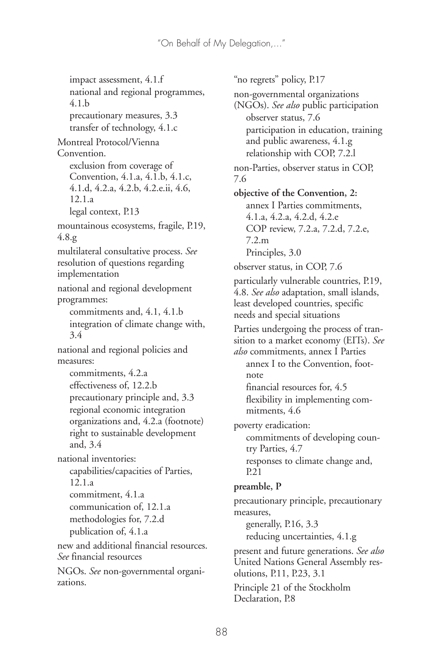impact assessment, 4.1.f national and regional programmes, 4.1.b precautionary measures, 3.3 transfer of technology, 4.1.c Montreal Protocol/Vienna Convention. exclusion from coverage of Convention, 4.1.a, 4.1.b, 4.1.c, 4.1.d, 4.2.a, 4.2.b, 4.2.e.ii, 4.6, 12.1.a legal context, P.13 mountainous ecosystems, fragile, P.19, 4.8.g multilateral consultative process. *See* resolution of questions regarding implementation national and regional development programmes: commitments and, 4.1, 4.1.b integration of climate change with, 3.4 national and regional policies and measures: commitments, 4.2.a effectiveness of, 12.2.b precautionary principle and, 3.3 regional economic integration organizations and, 4.2.a (footnote) right to sustainable development and, 3.4 national inventories: capabilities/capacities of Parties, 12.1.a commitment, 4.1.a communication of, 12.1.a methodologies for, 7.2.d publication of, 4.1.a new and additional financial resources. *See* financial resources NGOs. *See* non-governmental organizations.

"no regrets" policy, P.17 non-governmental organizations (NGOs). *See also* public participation observer status, 7.6 participation in education, training and public awareness, 4.1.g relationship with COP, 7.2.l non-Parties, observer status in COP, 7.6 **objective of the Convention, 2:**  annex I Parties commitments, 4.1.a, 4.2.a, 4.2.d, 4.2.e COP review, 7.2.a, 7.2.d, 7.2.e, 7.2.m Principles, 3.0 observer status, in COP, 7.6 particularly vulnerable countries, P.19, 4.8. *See also* adaptation, small islands, least developed countries, specific needs and special situations Parties undergoing the process of transition to a market economy (EITs). *See also* commitments, annex I Parties annex I to the Convention, footnote financial resources for, 4.5 flexibility in implementing commitments, 4.6 poverty eradication: commitments of developing country Parties, 4.7 responses to climate change and, P.21 **preamble, P** precautionary principle, precautionary measures, generally, P.16, 3.3 reducing uncertainties, 4.1.g present and future generations. *See also* United Nations General Assembly resolutions, P.11, P.23, 3.1 Principle 21 of the Stockholm Declaration, P.8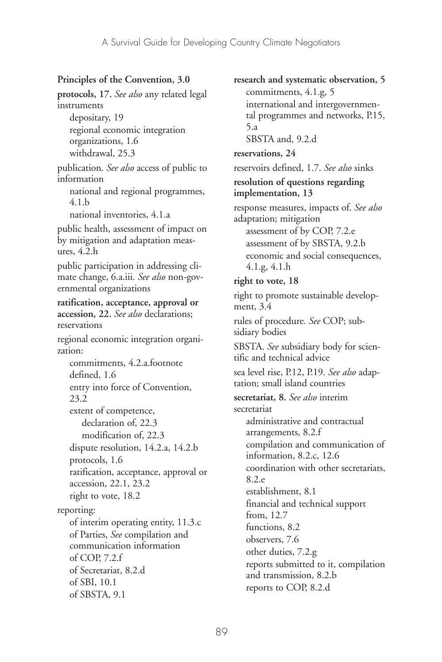#### **Principles of the Convention, 3.0**

**protocols, 17.** *See also* any related legal instruments depositary, 19

regional economic integration organizations, 1.6 withdrawal, 25.3

publication. *See also* access of public to information

national and regional programmes, 4.1.b

national inventories, 4.1.a

public health, assessment of impact on by mitigation and adaptation measures, 4.2.h

public participation in addressing climate change, 6.a.iii. *See also* non-governmental organizations

**ratification, acceptance, approval or accession, 22.** *See also* declarations; reservations regional economic integration organization: commitments, 4.2.a.footnote defined, 1.6 entry into force of Convention, 23.2 extent of competence, declaration of, 22.3 modification of, 22.3 dispute resolution, 14.2.a, 14.2.b protocols, 1.6 ratification, acceptance, approval or accession, 22.1, 23.2 right to vote, 18.2 reporting: of interim operating entity, 11.3.c of Parties, *See* compilation and communication information of COP, 7.2.f of Secretariat, 8.2.d of SBI, 10.1 of SBSTA, 9.1

**research and systematic observation, 5**  commitments, 4.1.g, 5 international and intergovernmental programmes and networks, P.15, 5.a SBSTA and, 9.2.d **reservations, 24** reservoirs defined, 1.7. *See also* sinks **resolution of questions regarding implementation, 13** response measures, impacts of. *See also* adaptation; mitigation assessment of by COP, 7.2.e assessment of by SBSTA, 9.2.b economic and social consequences, 4.1.g, 4.1.h **right to vote, 18** right to promote sustainable development, 3.4 rules of procedure. *See* COP; subsidiary bodies SBSTA. *See* subsidiary body for scientific and technical advice sea level rise, P.12, P.19. *See also* adaptation; small island countries **secretariat, 8.** *See also* interim secretariat administrative and contractual arrangements, 8.2.f compilation and communication of information, 8.2.c, 12.6 coordination with other secretariats, 8.2.e establishment, 8.1 financial and technical support from, 12.7 functions, 8.2 observers, 7.6 other duties, 7.2.g reports submitted to it, compilation and transmission, 8.2.b

reports to COP, 8.2.d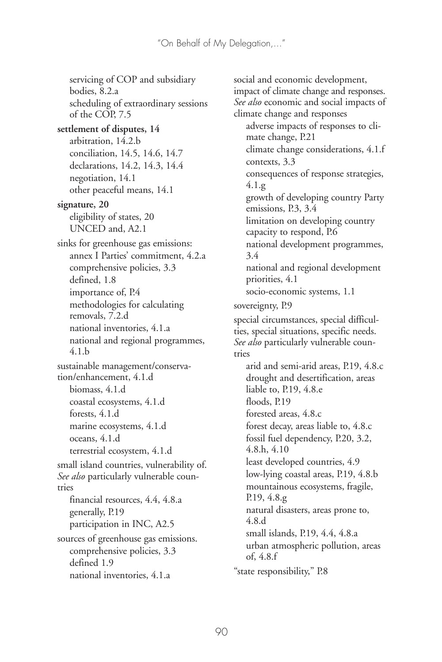servicing of COP and subsidiary bodies, 8.2.a scheduling of extraordinary sessions of the COP, 7.5 **settlement of disputes, 14** arbitration, 14.2.b conciliation, 14.5, 14.6, 14.7 declarations, 14.2, 14.3, 14.4 negotiation, 14.1 other peaceful means, 14.1 **signature, 20** eligibility of states, 20 UNCED and, A2.1 sinks for greenhouse gas emissions: annex I Parties' commitment, 4.2.a comprehensive policies, 3.3 defined, 1.8 importance of, P.4 methodologies for calculating removals, 7.2.d national inventories, 4.1.a national and regional programmes, 4.1.b sustainable management/conservation/enhancement, 4.1.d biomass, 4.1.d coastal ecosystems, 4.1.d forests, 4.1.d marine ecosystems, 4.1.d oceans, 4.1.d terrestrial ecosystem, 4.1.d small island countries, vulnerability of. *See also* particularly vulnerable countries financial resources, 4.4, 4.8.a generally, P.19 participation in INC, A2.5 sources of greenhouse gas emissions. comprehensive policies, 3.3 defined 1.9 national inventories, 4.1.a

social and economic development, impact of climate change and responses. *See also* economic and social impacts of climate change and responses adverse impacts of responses to climate change, P.21 climate change considerations, 4.1.f contexts, 3.3 consequences of response strategies, 4.1.g growth of developing country Party emissions, P.3, 3.4 limitation on developing country capacity to respond, P.6 national development programmes, 3.4 national and regional development priorities, 4.1 socio-economic systems, 1.1 sovereignty, P.9 special circumstances, special difficulties, special situations, specific needs. *See also* particularly vulnerable countries arid and semi-arid areas, P.19, 4.8.c drought and desertification, areas liable to, P.19, 4.8.e floods, P.19 forested areas, 4.8.c forest decay, areas liable to, 4.8.c fossil fuel dependency, P.20, 3.2, 4.8.h, 4.10 least developed countries, 4.9 low-lying coastal areas, P.19, 4.8.b mountainous ecosystems, fragile, P.19, 4.8.g natural disasters, areas prone to, 4.8.d small islands, P.19, 4.4, 4.8.a urban atmospheric pollution, areas of, 4.8.f "state responsibility," P.8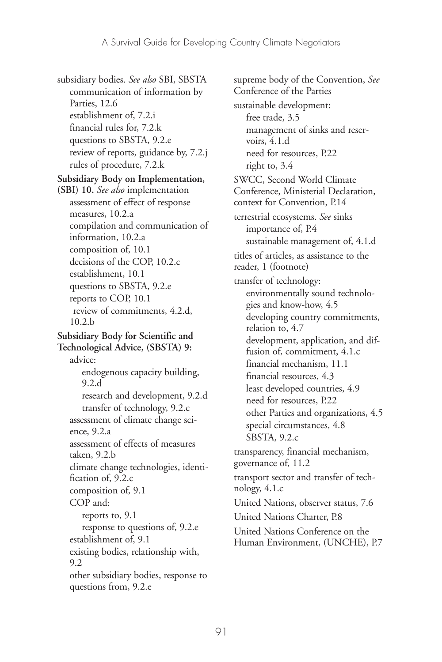subsidiary bodies. *See also* SBI, SBSTA communication of information by Parties, 12.6 establishment of, 7.2.i financial rules for, 7.2.k questions to SBSTA, 9.2.e review of reports, guidance by, 7.2.j rules of procedure, 7.2.k **Subsidiary Body on Implementation, (SBI) 10.** *See also* implementation assessment of effect of response measures, 10.2.a compilation and communication of information, 10.2.a composition of, 10.1 decisions of the COP, 10.2.c establishment, 10.1 questions to SBSTA, 9.2.e reports to COP, 10.1 review of commitments, 4.2.d, 10.2.b **Subsidiary Body for Scientific and Technological Advice, (SBSTA) 9:** advice: endogenous capacity building, 9.2.d research and development, 9.2.d transfer of technology, 9.2.c assessment of climate change science, 9.2.a assessment of effects of measures taken, 9.2.b climate change technologies, identification of, 9.2.c composition of, 9.1 COP and: reports to, 9.1 response to questions of, 9.2.e establishment of, 9.1 existing bodies, relationship with, 9.2 other subsidiary bodies, response to questions from, 9.2.e

supreme body of the Convention, *See* Conference of the Parties sustainable development: free trade, 3.5 management of sinks and reservoirs, 4.1.d need for resources, P.22 right to, 3.4 SWCC, Second World Climate Conference, Ministerial Declaration, context for Convention, P.14 terrestrial ecosystems. *See* sinks importance of, P.4 sustainable management of, 4.1.d titles of articles, as assistance to the reader, 1 (footnote) transfer of technology: environmentally sound technologies and know-how, 4.5 developing country commitments, relation to, 4.7 development, application, and diffusion of, commitment, 4.1.c financial mechanism, 11.1 financial resources, 4.3 least developed countries, 4.9 need for resources, P.22 other Parties and organizations, 4.5 special circumstances, 4.8 SBSTA, 9.2.c transparency, financial mechanism, governance of, 11.2 transport sector and transfer of technology, 4.1.c United Nations, observer status, 7.6 United Nations Charter, P.8 United Nations Conference on the Human Environment, (UNCHE), P.7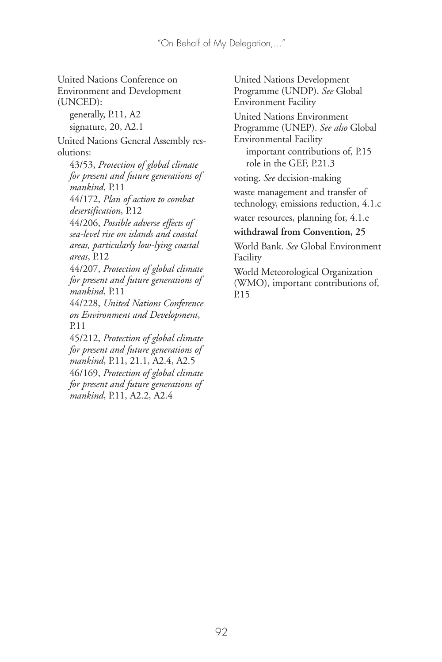United Nations Conference on Environment and Development (UNCED):

generally, P.11, A2 signature, 20, A2.1

United Nations General Assembly resolutions:

43/53, *Protection of global climate for present and future generations of mankind*, P.11 44/172, *Plan of action to combat desertification*, P.12 44/206, *Possible adverse effects of sea-level rise on islands and coastal areas, particularly low-lying coastal areas*, P.12 44/207, *Protection of global climate for present and future generations of mankind*, P.11 44/228, *United Nations Conference on Environment and Development*, P.11 45/212, *Protection of global climate*

*for present and future generations of mankind*, P.11, 21.1, A2.4, A2.5 46/169, *Protection of global climate for present and future generations of*

*mankind*, P.11, A2.2, A2.4

United Nations Development Programme (UNDP). *See* Global Environment Facility United Nations Environment Programme (UNEP). *See also* Global Environmental Facility important contributions of, P.15 role in the GEF, P.21.3 voting. *See* decision-making waste management and transfer of technology, emissions reduction, 4.1.c water resources, planning for, 4.1.e **withdrawal from Convention, 25**

World Bank. *See* Global Environment Facility

World Meteorological Organization (WMO), important contributions of, P.15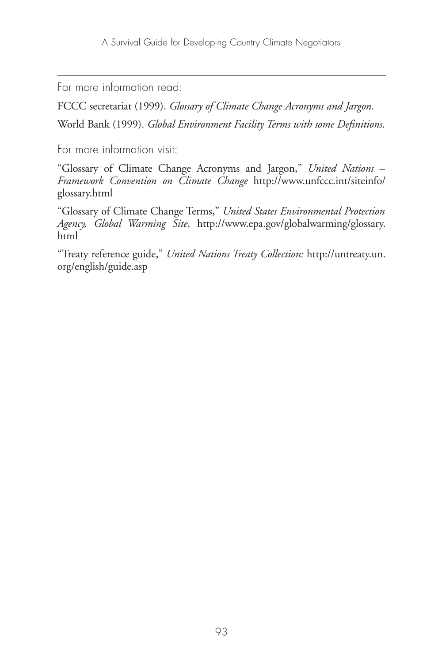For more information read:

FCCC secretariat (1999). *Glossary of Climate Change Acronyms and Jargon*. World Bank (1999). *Global Environment Facility Terms with some Definitions*.

For more information visit:

"Glossary of Climate Change Acronyms and Jargon," *United Nations – Framework Convention on Climate Change* http://www.unfccc.int/siteinfo/ glossary.html

"Glossary of Climate Change Terms," *United States Environmental Protection Agency, Global Warming Site*, http://www.epa.gov/globalwarming/glossary. html

"Treaty reference guide," *United Nations Treaty Collection:* http://untreaty.un. org/english/guide.asp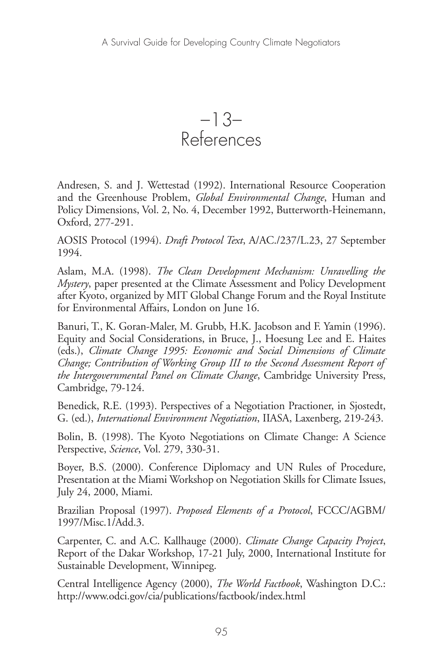# –13– References

Andresen, S. and J. Wettestad (1992). International Resource Cooperation and the Greenhouse Problem, *Global Environmental Change*, Human and Policy Dimensions, Vol. 2, No. 4, December 1992, Butterworth-Heinemann, Oxford, 277-291.

AOSIS Protocol (1994). *Draft Protocol Text*, A/AC./237/L.23, 27 September 1994.

Aslam, M.A. (1998). *The Clean Development Mechanism: Unravelling the Mystery*, paper presented at the Climate Assessment and Policy Development after Kyoto, organized by MIT Global Change Forum and the Royal Institute for Environmental Affairs, London on June 16.

Banuri, T., K. Goran-Maler, M. Grubb, H.K. Jacobson and F. Yamin (1996). Equity and Social Considerations, in Bruce, J., Hoesung Lee and E. Haites (eds.), *Climate Change 1995: Economic and Social Dimensions of Climate Change; Contribution of Working Group III to the Second Assessment Report of the Intergovernmental Panel on Climate Change*, Cambridge University Press, Cambridge, 79-124.

Benedick, R.E. (1993). Perspectives of a Negotiation Practioner, in Sjostedt, G. (ed.), *International Environment Negotiation*, IIASA, Laxenberg, 219-243.

Bolin, B. (1998). The Kyoto Negotiations on Climate Change: A Science Perspective, *Science*, Vol. 279, 330-31.

Boyer, B.S. (2000). Conference Diplomacy and UN Rules of Procedure, Presentation at the Miami Workshop on Negotiation Skills for Climate Issues, July 24, 2000, Miami.

Brazilian Proposal (1997). *Proposed Elements of a Protocol*, FCCC/AGBM/ 1997/Misc.1/Add.3.

Carpenter, C. and A.C. Kallhauge (2000). *Climate Change Capacity Project*, Report of the Dakar Workshop, 17-21 July, 2000, International Institute for Sustainable Development, Winnipeg.

Central Intelligence Agency (2000), *The World Factbook*, Washington D.C.: http://www.odci.gov/cia/publications/factbook/index.html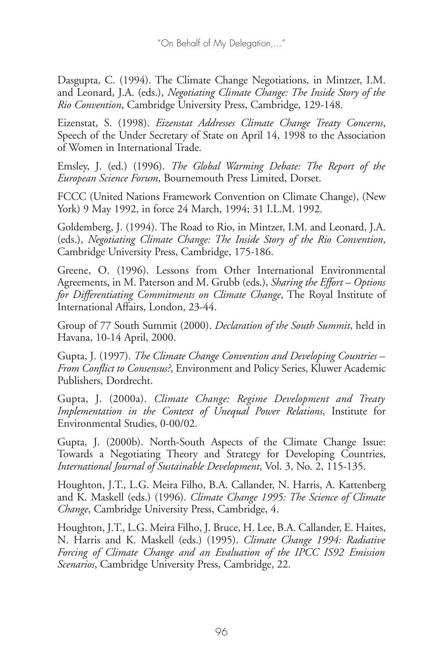Dasgupta, C. (1994). The Climate Change Negotiations, in Mintzer, I.M. and Leonard, J.A. (eds.), *Negotiating Climate Change: The Inside Story of the Rio Convention*, Cambridge University Press, Cambridge, 129-148.

Eizenstat, S. (1998). *Eizenstat Addresses Climate Change Treaty Concerns*, Speech of the Under Secretary of State on April 14, 1998 to the Association of Women in International Trade.

Emsley, J. (ed.) (1996). *The Global Warming Debate: The Report of the European Science Forum*, Bournemouth Press Limited, Dorset.

FCCC (United Nations Framework Convention on Climate Change), (New York) 9 May 1992, in force 24 March, 1994; 31 I.L.M. 1992.

Goldemberg, J. (1994). The Road to Rio, in Mintzer, I.M. and Leonard, J.A. (eds.), *Negotiating Climate Change: The Inside Story of the Rio Convention*, Cambridge University Press, Cambridge, 175-186.

Greene, O. (1996). Lessons from Other International Environmental Agreements, in M. Paterson and M. Grubb (eds.), *Sharing the Effort – Options for Differentiating Commitments on Climate Change*, The Royal Institute of International Affairs, London, 23-44.

Group of 77 South Summit (2000). *Declaration of the South Summit*, held in Havana, 10-14 April, 2000.

Gupta, J. (1997). *The Climate Change Convention and Developing Countries – From Conflict to Consensus?*, Environment and Policy Series, Kluwer Academic Publishers, Dordrecht.

Gupta, J. (2000a). *Climate Change: Regime Development and Treaty Implementation in the Context of Unequal Power Relations*, Institute for Environmental Studies, 0-00/02.

Gupta, J. (2000b). North-South Aspects of the Climate Change Issue: Towards a Negotiating Theory and Strategy for Developing Countries, *International Journal of Sustainable Development*, Vol. 3, No. 2, 115-135.

Houghton, J.T., L.G. Meira Filho, B.A. Callander, N. Harris, A. Kattenberg and K. Maskell (eds.) (1996). *Climate Change 1995: The Science of Climate Change*, Cambridge University Press, Cambridge, 4.

Houghton, J.T., L.G. Meira Filho, J. Bruce, H. Lee, B.A. Callander, E. Haites, N. Harris and K. Maskell (eds.) (1995). *Climate Change 1994: Radiative Forcing of Climate Change and an Evaluation of the IPCC IS92 Emission Scenarios*, Cambridge University Press, Cambridge, 22.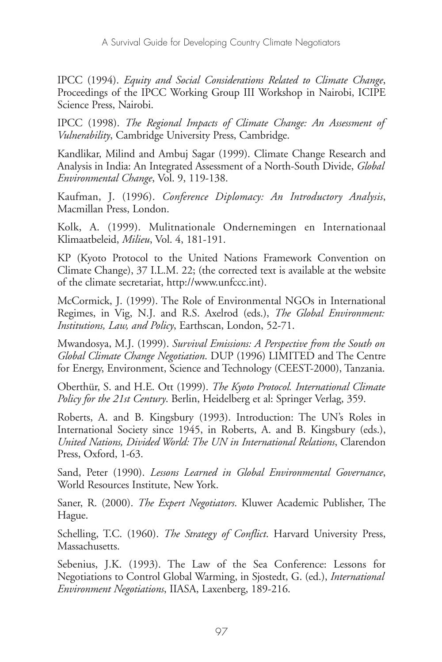IPCC (1994). *Equity and Social Considerations Related to Climate Change*, Proceedings of the IPCC Working Group III Workshop in Nairobi, ICIPE Science Press, Nairobi.

IPCC (1998). *The Regional Impacts of Climate Change: An Assessment of Vulnerability*, Cambridge University Press, Cambridge.

Kandlikar, Milind and Ambuj Sagar (1999). Climate Change Research and Analysis in India: An Integrated Assessment of a North-South Divide, *Global Environmental Change*, Vol. 9, 119-138.

Kaufman, J. (1996). *Conference Diplomacy: An Introductory Analysis*, Macmillan Press, London.

Kolk, A. (1999). Mulitnationale Ondernemingen en Internationaal Klimaatbeleid, *Milieu*, Vol. 4, 181-191.

KP (Kyoto Protocol to the United Nations Framework Convention on Climate Change), 37 I.L.M. 22; (the corrected text is available at the website of the climate secretariat, http://www.unfccc.int).

McCormick, J. (1999). The Role of Environmental NGOs in International Regimes, in Vig, N.J. and R.S. Axelrod (eds.), *The Global Environment: Institutions, Law, and Policy*, Earthscan, London, 52-71.

Mwandosya, M.J. (1999). *Survival Emissions: A Perspective from the South on Global Climate Change Negotiation*. DUP (1996) LIMITED and The Centre for Energy, Environment, Science and Technology (CEEST-2000), Tanzania.

Oberthür, S. and H.E. Ott (1999). *The Kyoto Protocol. International Climate Policy for the 21st Century*. Berlin, Heidelberg et al: Springer Verlag, 359.

Roberts, A. and B. Kingsbury (1993). Introduction: The UN's Roles in International Society since 1945, in Roberts, A. and B. Kingsbury (eds.), *United Nations, Divided World: The UN in International Relations*, Clarendon Press, Oxford, 1-63.

Sand, Peter (1990). *Lessons Learned in Global Environmental Governance*, World Resources Institute, New York.

Saner, R. (2000). *The Expert Negotiators*. Kluwer Academic Publisher, The Hague.

Schelling, T.C. (1960). *The Strategy of Conflict*. Harvard University Press, Massachusetts.

Sebenius, J.K. (1993). The Law of the Sea Conference: Lessons for Negotiations to Control Global Warming, in Sjostedt, G. (ed.), *International Environment Negotiations*, IIASA, Laxenberg, 189-216.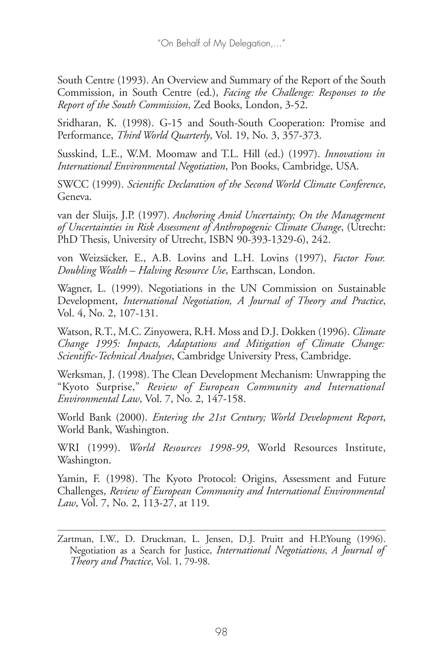South Centre (1993). An Overview and Summary of the Report of the South Commission, in South Centre (ed.), *Facing the Challenge: Responses to the Report of the South Commission*, Zed Books, London, 3-52.

Sridharan, K. (1998). G-15 and South-South Cooperation: Promise and Performance, *Third World Quarterly*, Vol. 19, No. 3, 357-373.

Susskind, L.E., W.M. Moomaw and T.L. Hill (ed.) (1997). *Innovations in International Environmental Negotiation*, Pon Books, Cambridge, USA.

SWCC (1999). *Scientific Declaration of the Second World Climate Conference*, Geneva.

van der Sluijs, J.P. (1997). *Anchoring Amid Uncertainty; On the Management of Uncertainties in Risk Assessment of Anthropogenic Climate Change*, (Utrecht: PhD Thesis, University of Utrecht, ISBN 90-393-1329-6), 242.

von Weizsäcker, E., A.B. Lovins and L.H. Lovins (1997), *Factor Four. Doubling Wealth – Halving Resource Use*, Earthscan, London.

Wagner, L. (1999). Negotiations in the UN Commission on Sustainable Development, *International Negotiation, A Journal of Theory and Practice*, Vol. 4, No. 2, 107-131.

Watson, R.T., M.C. Zinyowera, R.H. Moss and D.J. Dokken (1996). *Climate Change 1995: Impacts, Adaptations and Mitigation of Climate Change: Scientific-Technical Analyses*, Cambridge University Press, Cambridge.

Werksman, J. (1998). The Clean Development Mechanism: Unwrapping the "Kyoto Surprise," *Review of European Community and International Environmental Law*, Vol. 7, No. 2, 147-158.

World Bank (2000). *Entering the 21st Century; World Development Report*, World Bank, Washington.

WRI (1999). *World Resources 1998-99*, World Resources Institute, Washington.

Yamin, F. (1998). The Kyoto Protocol: Origins, Assessment and Future Challenges, *Review of European Community and International Environmental Law*, Vol. 7, No. 2, 113-27, at 119.

Zartman, I.W., D. Druckman, L. Jensen, D.J. Pruitt and H.P.Young (1996). Negotiation as a Search for Justice, *International Negotiations*, *A Journal of Theory and Practice*, Vol. 1, 79-98.